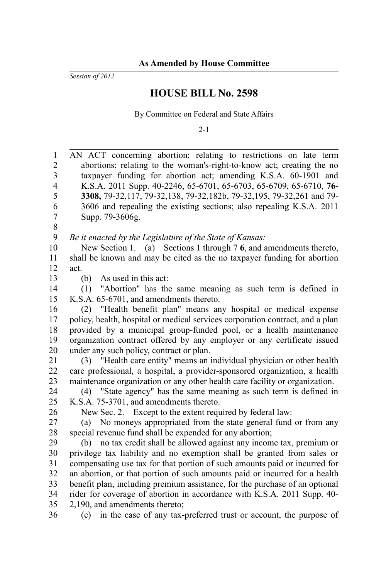*Session of 2012*

## **HOUSE BILL No. 2598**

By Committee on Federal and State Affairs

2-1

| $\mathbf{1}$             | AN ACT concerning abortion; relating to restrictions on late term             |
|--------------------------|-------------------------------------------------------------------------------|
| $\overline{c}$           | abortions; relating to the woman's-right-to-know act; creating the no         |
| 3                        | taxpayer funding for abortion act; amending K.S.A. 60-1901 and                |
| $\overline{\mathcal{L}}$ | K.S.A. 2011 Supp. 40-2246, 65-6701, 65-6703, 65-6709, 65-6710, 76-            |
| 5                        | 3308, 79-32, 117, 79-32, 138, 79-32, 182b, 79-32, 195, 79-32, 261 and 79-     |
| 6                        | 3606 and repealing the existing sections; also repealing K.S.A. 2011          |
| $\overline{7}$           | Supp. 79-3606g.                                                               |
| 8                        |                                                                               |
| 9                        | Be it enacted by the Legislature of the State of Kansas:                      |
| 10                       | New Section 1. (a) Sections 1 through $76$ , and amendments thereto,          |
| 11                       | shall be known and may be cited as the no taxpayer funding for abortion       |
| 12                       | act.                                                                          |
| 13                       | As used in this act:<br>(b)                                                   |
| 14                       | (1) "Abortion" has the same meaning as such term is defined in                |
| 15                       | K.S.A. 65-6701, and amendments thereto.                                       |
| 16                       | "Health benefit plan" means any hospital or medical expense<br>(2)            |
| 17                       | policy, health, hospital or medical services corporation contract, and a plan |
| 18                       | provided by a municipal group-funded pool, or a health maintenance            |
| 19                       | organization contract offered by any employer or any certificate issued       |
| 20                       | under any such policy, contract or plan.                                      |
| 21                       | (3) "Health care entity" means an individual physician or other health        |
| 22                       | care professional, a hospital, a provider-sponsored organization, a health    |
| 23                       | maintenance organization or any other health care facility or organization.   |
| 24                       | (4) "State agency" has the same meaning as such term is defined in            |
| 25                       | K.S.A. 75-3701, and amendments thereto.                                       |
| 26                       | New Sec. 2. Except to the extent required by federal law:                     |
| 27                       | No moneys appropriated from the state general fund or from any<br>(a)         |
| 28                       | special revenue fund shall be expended for any abortion;                      |
| 29                       | no tax credit shall be allowed against any income tax, premium or<br>(b)      |
| 30                       | privilege tax liability and no exemption shall be granted from sales or       |
| 31                       | compensating use tax for that portion of such amounts paid or incurred for    |
| 32                       | an abortion, or that portion of such amounts paid or incurred for a health    |
| 33                       | benefit plan, including premium assistance, for the purchase of an optional   |
| 34                       | rider for coverage of abortion in accordance with K.S.A. 2011 Supp. 40-       |
| 35                       | 2,190, and amendments thereto;                                                |
| 36                       | (c) in the case of any tax-preferred trust or account, the purpose of         |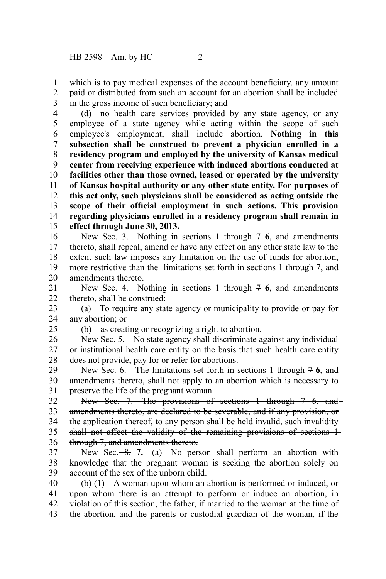which is to pay medical expenses of the account beneficiary, any amount paid or distributed from such an account for an abortion shall be included in the gross income of such beneficiary; and 1 2 3

(d) no health care services provided by any state agency, or any employee of a state agency while acting within the scope of such employee's employment, shall include abortion. **Nothing in this subsection shall be construed to prevent a physician enrolled in a residency program and employed by the university of Kansas medical center from receiving experience with induced abortions conducted at facilities other than those owned, leased or operated by the university of Kansas hospital authority or any other state entity. For purposes of this act only, such physicians shall be considered as acting outside the scope of their official employment in such actions. This provision regarding physicians enrolled in a residency program shall remain in effect through June 30, 2013.** 4 5 6 7 8 9 10 11 12 13 14 15

New Sec. 3. Nothing in sections 1 through 7 **6**, and amendments thereto, shall repeal, amend or have any effect on any other state law to the extent such law imposes any limitation on the use of funds for abortion, more restrictive than the limitations set forth in sections 1 through 7, and amendments thereto. 16 17 18 19 20

New Sec. 4. Nothing in sections 1 through 7 **6**, and amendments thereto, shall be construed: 21 22

(a) To require any state agency or municipality to provide or pay for any abortion; or 23 24

25

(b) as creating or recognizing a right to abortion.

New Sec. 5. No state agency shall discriminate against any individual or institutional health care entity on the basis that such health care entity does not provide, pay for or refer for abortions. 26 27 28

New Sec. 6. The limitations set forth in sections 1 through 7 **6**, and amendments thereto, shall not apply to an abortion which is necessary to preserve the life of the pregnant woman. 29 30 31

New See. 7. The provisions of sections 1 through 7 6, andamendments thereto, are declared to be severable, and if any provision, or the application thereof, to any person shall be held invalid, such invalidity shall not affect the validity of the remaining provisions of sections 1through 7, and amendments thereto. 32 33 34 35 36

New Sec. 8. 7. (a) No person shall perform an abortion with knowledge that the pregnant woman is seeking the abortion solely on account of the sex of the unborn child. 37 38 39

(b) (1) A woman upon whom an abortion is performed or induced, or upon whom there is an attempt to perform or induce an abortion, in violation of this section, the father, if married to the woman at the time of the abortion, and the parents or custodial guardian of the woman, if the 40 41 42 43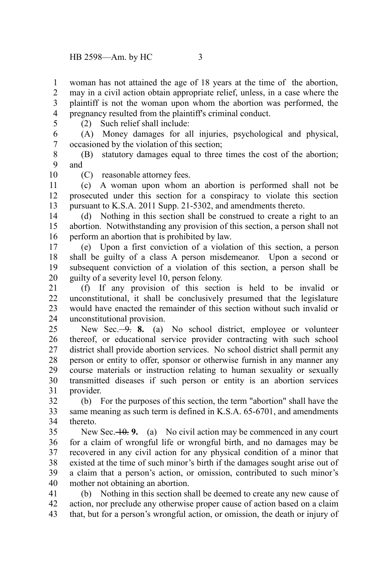woman has not attained the age of 18 years at the time of the abortion, may in a civil action obtain appropriate relief, unless, in a case where the plaintiff is not the woman upon whom the abortion was performed, the pregnancy resulted from the plaintiff's criminal conduct. 1 2 3 4

5

10

(2) Such relief shall include:

(A) Money damages for all injuries, psychological and physical, occasioned by the violation of this section; 6 7

(B) statutory damages equal to three times the cost of the abortion; and 8 9

(C) reasonable attorney fees.

(c) A woman upon whom an abortion is performed shall not be prosecuted under this section for a conspiracy to violate this section pursuant to K.S.A. 2011 Supp. 21-5302, and amendments thereto. 11 12 13

(d) Nothing in this section shall be construed to create a right to an abortion. Notwithstanding any provision of this section, a person shall not perform an abortion that is prohibited by law. 14 15 16

(e) Upon a first conviction of a violation of this section, a person shall be guilty of a class A person misdemeanor. Upon a second or subsequent conviction of a violation of this section, a person shall be guilty of a severity level 10, person felony. 17 18 19 20

(f) If any provision of this section is held to be invalid or unconstitutional, it shall be conclusively presumed that the legislature would have enacted the remainder of this section without such invalid or unconstitutional provision. 21  $22$ 23 24

New Sec.  $\rightarrow$  8. (a) No school district, employee or volunteer thereof, or educational service provider contracting with such school district shall provide abortion services. No school district shall permit any person or entity to offer, sponsor or otherwise furnish in any manner any course materials or instruction relating to human sexuality or sexually transmitted diseases if such person or entity is an abortion services provider. 25 26 27 28 29 30 31

(b) For the purposes of this section, the term "abortion" shall have the same meaning as such term is defined in K.S.A. 65-6701, and amendments thereto. 32 33 34

New Sec.  $\overline{+0}$ . (a) No civil action may be commenced in any court for a claim of wrongful life or wrongful birth, and no damages may be recovered in any civil action for any physical condition of a minor that existed at the time of such minor's birth if the damages sought arise out of a claim that a person's action, or omission, contributed to such minor's mother not obtaining an abortion. 35 36 37 38 39 40

(b) Nothing in this section shall be deemed to create any new cause of action, nor preclude any otherwise proper cause of action based on a claim that, but for a person's wrongful action, or omission, the death or injury of 41 42 43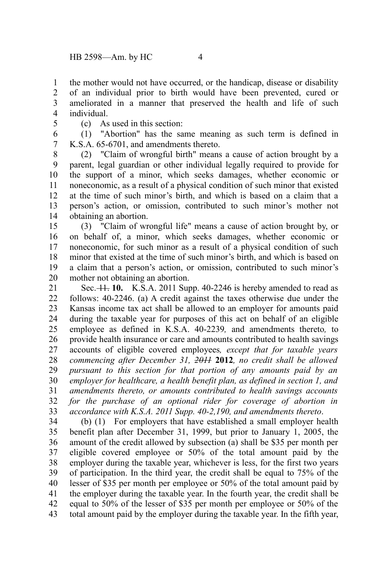the mother would not have occurred, or the handicap, disease or disability of an individual prior to birth would have been prevented, cured or ameliorated in a manner that preserved the health and life of such individual. 1 2 3 4

5

(c) As used in this section:

(1) "Abortion" has the same meaning as such term is defined in K.S.A. 65-6701, and amendments thereto. 6 7

(2) "Claim of wrongful birth" means a cause of action brought by a parent, legal guardian or other individual legally required to provide for the support of a minor, which seeks damages, whether economic or noneconomic, as a result of a physical condition of such minor that existed at the time of such minor's birth, and which is based on a claim that a person's action, or omission, contributed to such minor's mother not obtaining an abortion. 8 9 10 11 12 13 14

(3) "Claim of wrongful life" means a cause of action brought by, or on behalf of, a minor, which seeks damages, whether economic or noneconomic, for such minor as a result of a physical condition of such minor that existed at the time of such minor's birth, and which is based on a claim that a person's action, or omission, contributed to such minor's mother not obtaining an abortion. 15 16 17 18 19 20

Sec. 11. **10.** K.S.A. 2011 Supp. 40-2246 is hereby amended to read as follows: 40-2246. (a) A credit against the taxes otherwise due under the Kansas income tax act shall be allowed to an employer for amounts paid during the taxable year for purposes of this act on behalf of an eligible employee as defined in K.S.A. 40-2239*,* and amendments thereto*,* to provide health insurance or care and amounts contributed to health savings accounts of eligible covered employees*, except that for taxable years commencing after December 31, 2011* **2012***, no credit shall be allowed pursuant to this section for that portion of any amounts paid by an employer for healthcare, a health benefit plan, as defined in section 1, and amendments thereto, or amounts contributed to health savings accounts for the purchase of an optional rider for coverage of abortion in accordance with K.S.A. 2011 Supp. 40-2,190, and amendments thereto*. 21 22 23 24 25 26 27 28 29 30 31 32 33

(b) (1) For employers that have established a small employer health benefit plan after December 31, 1999, but prior to January 1, 2005, the amount of the credit allowed by subsection (a) shall be \$35 per month per eligible covered employee or 50% of the total amount paid by the employer during the taxable year, whichever is less, for the first two years of participation. In the third year, the credit shall be equal to 75% of the lesser of \$35 per month per employee or 50% of the total amount paid by the employer during the taxable year. In the fourth year, the credit shall be equal to 50% of the lesser of \$35 per month per employee or 50% of the total amount paid by the employer during the taxable year. In the fifth year, 34 35 36 37 38 39 40 41 42 43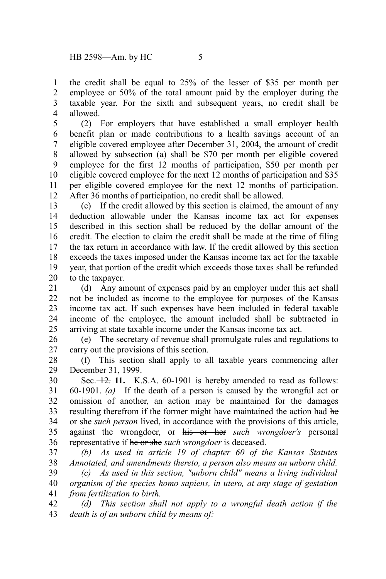the credit shall be equal to 25% of the lesser of \$35 per month per employee or 50% of the total amount paid by the employer during the taxable year. For the sixth and subsequent years, no credit shall be allowed. 1 2 3 4

(2) For employers that have established a small employer health benefit plan or made contributions to a health savings account of an eligible covered employee after December 31, 2004, the amount of credit allowed by subsection (a) shall be \$70 per month per eligible covered employee for the first 12 months of participation, \$50 per month per eligible covered employee for the next 12 months of participation and \$35 per eligible covered employee for the next 12 months of participation. After 36 months of participation, no credit shall be allowed. 5 6 7 8 9 10 11 12

(c) If the credit allowed by this section is claimed, the amount of any deduction allowable under the Kansas income tax act for expenses described in this section shall be reduced by the dollar amount of the credit. The election to claim the credit shall be made at the time of filing the tax return in accordance with law. If the credit allowed by this section exceeds the taxes imposed under the Kansas income tax act for the taxable year, that portion of the credit which exceeds those taxes shall be refunded to the taxpayer. 13 14 15 16 17 18 19 20

(d) Any amount of expenses paid by an employer under this act shall not be included as income to the employee for purposes of the Kansas income tax act. If such expenses have been included in federal taxable income of the employee, the amount included shall be subtracted in arriving at state taxable income under the Kansas income tax act. 21 22 23 24 25

(e) The secretary of revenue shall promulgate rules and regulations to carry out the provisions of this section. 26 27

(f) This section shall apply to all taxable years commencing after December 31, 1999. 28 29

Sec.  $\frac{12}{2}$  11. K.S.A. 60-1901 is hereby amended to read as follows: 60-1901. *(a)* If the death of a person is caused by the wrongful act or omission of another, an action may be maintained for the damages resulting therefrom if the former might have maintained the action had he or she *such person* lived, in accordance with the provisions of this article, against the wrongdoer, or his or her *such wrongdoer's* personal representative if he or she *such wrongdoer* is deceased. 30 31 32 33 34 35 36

*(b) As used in article 19 of chapter 60 of the Kansas Statutes Annotated, and amendments thereto, a person also means an unborn child.* 37 38

*(c) As used in this section, "unborn child" means a living individual organism of the species homo sapiens, in utero, at any stage of gestation from fertilization to birth.* 39 40 41

*(d) This section shall not apply to a wrongful death action if the death is of an unborn child by means of:* 42 43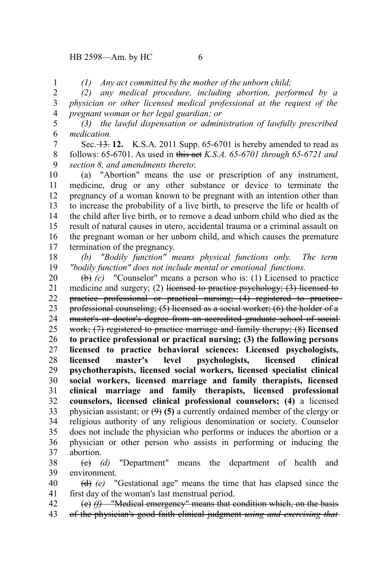1

*(1) Any act committed by the mother of the unborn child;*

*(2) any medical procedure, including abortion, performed by a physician or other licensed medical professional at the request of the pregnant woman or her legal guardian; or* 2 3 4

*(3) the lawful dispensation or administration of lawfully prescribed medication.* 5 6

Sec. 13. **12.** K.S.A. 2011 Supp. 65-6701 is hereby amended to read as follows: 65-6701. As used in this act *K.S.A. 65-6701 through 65-6721 and section 8, and amendments thereto*: 7 8 9

(a) "Abortion" means the use or prescription of any instrument, medicine, drug or any other substance or device to terminate the pregnancy of a woman known to be pregnant with an intention other than to increase the probability of a live birth, to preserve the life or health of the child after live birth, or to remove a dead unborn child who died as the result of natural causes in utero, accidental trauma or a criminal assault on the pregnant woman or her unborn child, and which causes the premature termination of the pregnancy. 10 11 12 13 14 15 16 17

*(b) "Bodily function" means physical functions only. The term "bodily function" does not include mental or emotional functions.* 18 19

(b) *(c)* "Counselor" means a person who is: (1) Licensed to practice medicine and surgery; (2) licensed to practice psychology; (3) licensed to practice professional or practical nursing; (4) registered to practice professional counseling; (5) licensed as a social worker; (6) the holder of a master's or doctor's degree from an accredited graduate school of social work; (7) registered to practice marriage and family therapy; (8) **licensed to practice professional or practical nursing; (3) the following persons licensed to practice behavioral sciences: Licensed psychologists, licensed master's level psychologists, licensed clinical psychotherapists, licensed social workers, licensed specialist clinical social workers, licensed marriage and family therapists, licensed clinical marriage and family therapists, licensed professional counselors, licensed clinical professional counselors; (4)** a licensed physician assistant; or  $(9)$  (5) a currently ordained member of the clergy or religious authority of any religious denomination or society. Counselor does not include the physician who performs or induces the abortion or a physician or other person who assists in performing or inducing the abortion. 20 21 22 23 24 25 26 27 28 29 30 31 32 33 34 35 36 37

(c) *(d)* "Department" means the department of health and environment. 38 39

(d) *(e)* "Gestational age" means the time that has elapsed since the first day of the woman's last menstrual period. 40 41

(e) *(f)* "Medical emergency" means that condition which, on the basis 42

of the physician's good faith clinical judgment *using and exercising that* 43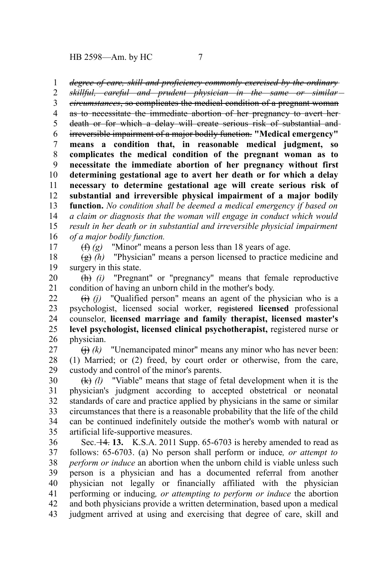*degree of care, skill and proficiency commonly exercised by the ordinary* 1

*skillful, careful and prudent physician in the same or similar* 2

*circumstances*, so complicates the medical condition of a pregnant woman 3

as to necessitate the immediate abortion of her pregnancy to avert her death or for which a delay will create serious risk of substantial and irreversible impairment of a major bodily function. **"Medical emergency"** 4 5 6

**means a condition that, in reasonable medical judgment, so complicates the medical condition of the pregnant woman as to necessitate the immediate abortion of her pregnancy without first determining gestational age to avert her death or for which a delay necessary to determine gestational age will create serious risk of substantial and irreversible physical impairment of a major bodily function.** *No condition shall be deemed a medical emergency if based on a claim or diagnosis that the woman will engage in conduct which would result in her death or in substantial and irreversible physicial impairment* 7 8 9 10 11 12 13 14 15 16

*of a major bodily function.* 17

(f) *(g)* "Minor" means a person less than 18 years of age.

(g) *(h)* "Physician" means a person licensed to practice medicine and surgery in this state. 18 19

(h) *(i)* "Pregnant" or "pregnancy" means that female reproductive condition of having an unborn child in the mother's body. 20 21

 $(i)$  (i) "Qualified person" means an agent of the physician who is a psychologist, licensed social worker, registered **licensed** professional counselor, **licensed marriage and family therapist, licensed master's level psychologist, licensed clinical psychotherapist,** registered nurse or physician. 22 23 24 25 26

 $\leftrightarrow$  *(k)* "Unemancipated minor" means any minor who has never been: (1) Married; or (2) freed, by court order or otherwise, from the care, custody and control of the minor's parents. 27 28 29

(k) *(l)* "Viable" means that stage of fetal development when it is the physician's judgment according to accepted obstetrical or neonatal standards of care and practice applied by physicians in the same or similar circumstances that there is a reasonable probability that the life of the child can be continued indefinitely outside the mother's womb with natural or artificial life-supportive measures. 30 31 32 33 34 35

Sec. 14. **13.** K.S.A. 2011 Supp. 65-6703 is hereby amended to read as follows: 65-6703. (a) No person shall perform or induce*, or attempt to perform or induce* an abortion when the unborn child is viable unless such person is a physician and has a documented referral from another physician not legally or financially affiliated with the physician performing or inducing*, or attempting to perform or induce* the abortion and both physicians provide a written determination, based upon a medical judgment arrived at using and exercising that degree of care, skill and 36 37 38 39 40 41 42 43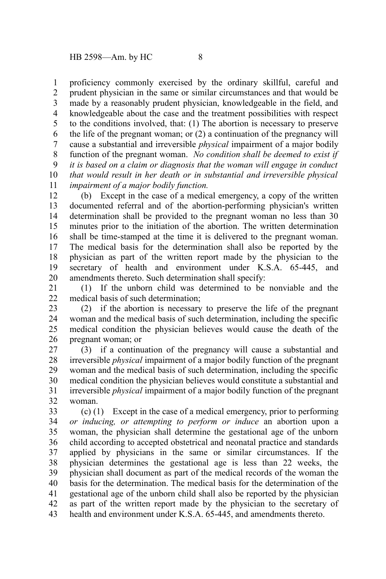proficiency commonly exercised by the ordinary skillful, careful and prudent physician in the same or similar circumstances and that would be made by a reasonably prudent physician, knowledgeable in the field, and knowledgeable about the case and the treatment possibilities with respect to the conditions involved, that: (1) The abortion is necessary to preserve the life of the pregnant woman; or (2) a continuation of the pregnancy will cause a substantial and irreversible *physical* impairment of a major bodily function of the pregnant woman. *No condition shall be deemed to exist if it is based on a claim or diagnosis that the woman will engage in conduct that would result in her death or in substantial and irreversible physical*

*impairment of a major bodily function.* 11

(b) Except in the case of a medical emergency, a copy of the written documented referral and of the abortion-performing physician's written determination shall be provided to the pregnant woman no less than 30 minutes prior to the initiation of the abortion. The written determination shall be time-stamped at the time it is delivered to the pregnant woman. The medical basis for the determination shall also be reported by the physician as part of the written report made by the physician to the secretary of health and environment under K.S.A. 65-445, and amendments thereto. Such determination shall specify: 12 13 14 15 16 17 18 19 20

(1) If the unborn child was determined to be nonviable and the medical basis of such determination; 21 22

(2) if the abortion is necessary to preserve the life of the pregnant woman and the medical basis of such determination, including the specific medical condition the physician believes would cause the death of the pregnant woman; or 23 24 25 26

(3) if a continuation of the pregnancy will cause a substantial and irreversible *physical* impairment of a major bodily function of the pregnant woman and the medical basis of such determination, including the specific medical condition the physician believes would constitute a substantial and irreversible *physical* impairment of a major bodily function of the pregnant woman. 27 28 29 30 31 32

(c) (1) Except in the case of a medical emergency, prior to performing *or inducing, or attempting to perform or induce* an abortion upon a woman, the physician shall determine the gestational age of the unborn child according to accepted obstetrical and neonatal practice and standards applied by physicians in the same or similar circumstances. If the physician determines the gestational age is less than 22 weeks, the physician shall document as part of the medical records of the woman the basis for the determination. The medical basis for the determination of the gestational age of the unborn child shall also be reported by the physician as part of the written report made by the physician to the secretary of health and environment under K.S.A. 65-445, and amendments thereto. 33 34 35 36 37 38 39 40 41 42 43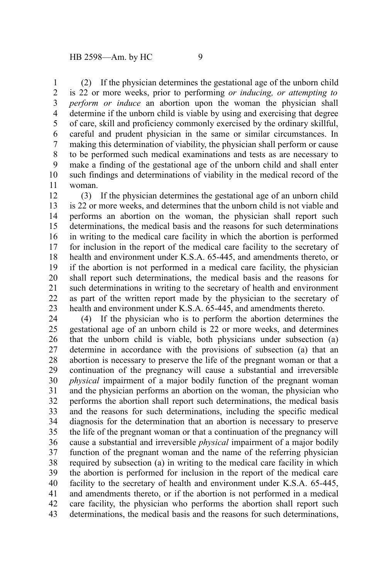(2) If the physician determines the gestational age of the unborn child is 22 or more weeks, prior to performing *or inducing, or attempting to perform or induce* an abortion upon the woman the physician shall determine if the unborn child is viable by using and exercising that degree of care, skill and proficiency commonly exercised by the ordinary skillful, careful and prudent physician in the same or similar circumstances. In making this determination of viability, the physician shall perform or cause to be performed such medical examinations and tests as are necessary to make a finding of the gestational age of the unborn child and shall enter such findings and determinations of viability in the medical record of the woman. 1 2 3 4 5 6 7 8 9 10 11

(3) If the physician determines the gestational age of an unborn child is 22 or more weeks, and determines that the unborn child is not viable and performs an abortion on the woman, the physician shall report such determinations, the medical basis and the reasons for such determinations in writing to the medical care facility in which the abortion is performed for inclusion in the report of the medical care facility to the secretary of health and environment under K.S.A. 65-445, and amendments thereto, or if the abortion is not performed in a medical care facility, the physician shall report such determinations, the medical basis and the reasons for such determinations in writing to the secretary of health and environment as part of the written report made by the physician to the secretary of health and environment under K.S.A. 65-445, and amendments thereto. 12 13 14 15 16 17 18 19 20 21 22 23

(4) If the physician who is to perform the abortion determines the gestational age of an unborn child is 22 or more weeks, and determines that the unborn child is viable, both physicians under subsection (a) determine in accordance with the provisions of subsection (a) that an abortion is necessary to preserve the life of the pregnant woman or that a continuation of the pregnancy will cause a substantial and irreversible *physical* impairment of a major bodily function of the pregnant woman and the physician performs an abortion on the woman, the physician who performs the abortion shall report such determinations, the medical basis and the reasons for such determinations, including the specific medical diagnosis for the determination that an abortion is necessary to preserve the life of the pregnant woman or that a continuation of the pregnancy will cause a substantial and irreversible *physical* impairment of a major bodily function of the pregnant woman and the name of the referring physician required by subsection (a) in writing to the medical care facility in which the abortion is performed for inclusion in the report of the medical care facility to the secretary of health and environment under K.S.A. 65-445, and amendments thereto, or if the abortion is not performed in a medical care facility, the physician who performs the abortion shall report such determinations, the medical basis and the reasons for such determinations, 24 25 26 27 28 29 30 31 32 33 34 35 36 37 38 39 40 41 42 43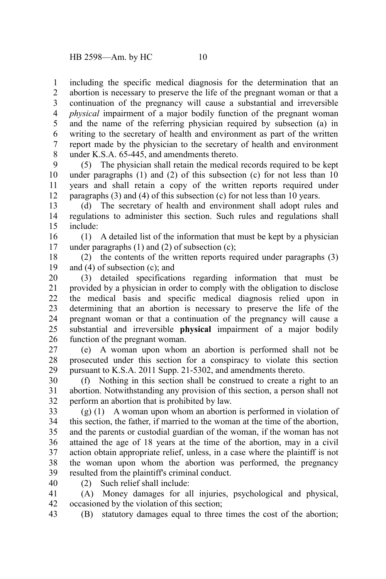including the specific medical diagnosis for the determination that an abortion is necessary to preserve the life of the pregnant woman or that a continuation of the pregnancy will cause a substantial and irreversible *physical* impairment of a major bodily function of the pregnant woman and the name of the referring physician required by subsection (a) in writing to the secretary of health and environment as part of the written report made by the physician to the secretary of health and environment under K.S.A. 65-445, and amendments thereto. 1 2 3 4 5 6 7 8

(5) The physician shall retain the medical records required to be kept under paragraphs (1) and (2) of this subsection (c) for not less than 10 years and shall retain a copy of the written reports required under paragraphs (3) and (4) of this subsection (c) for not less than 10 years. 9 10 11 12

(d) The secretary of health and environment shall adopt rules and regulations to administer this section. Such rules and regulations shall include: 13 14 15

(1) A detailed list of the information that must be kept by a physician under paragraphs  $(1)$  and  $(2)$  of subsection  $(c)$ ; 16 17

(2) the contents of the written reports required under paragraphs (3) and (4) of subsection (c); and 18 19

(3) detailed specifications regarding information that must be provided by a physician in order to comply with the obligation to disclose the medical basis and specific medical diagnosis relied upon in determining that an abortion is necessary to preserve the life of the pregnant woman or that a continuation of the pregnancy will cause a substantial and irreversible **physical** impairment of a major bodily function of the pregnant woman. 20 21 22 23 24 25 26

(e) A woman upon whom an abortion is performed shall not be prosecuted under this section for a conspiracy to violate this section pursuant to K.S.A. 2011 Supp. 21-5302, and amendments thereto. 27 28 29

(f) Nothing in this section shall be construed to create a right to an abortion. Notwithstanding any provision of this section, a person shall not perform an abortion that is prohibited by law. 30 31 32

(g) (1) A woman upon whom an abortion is performed in violation of this section, the father, if married to the woman at the time of the abortion, and the parents or custodial guardian of the woman, if the woman has not attained the age of 18 years at the time of the abortion, may in a civil action obtain appropriate relief, unless, in a case where the plaintiff is not the woman upon whom the abortion was performed, the pregnancy resulted from the plaintiff's criminal conduct. 33 34 35 36 37 38 39

40

(2) Such relief shall include:

(A) Money damages for all injuries, psychological and physical, occasioned by the violation of this section; 41 42

(B) statutory damages equal to three times the cost of the abortion; 43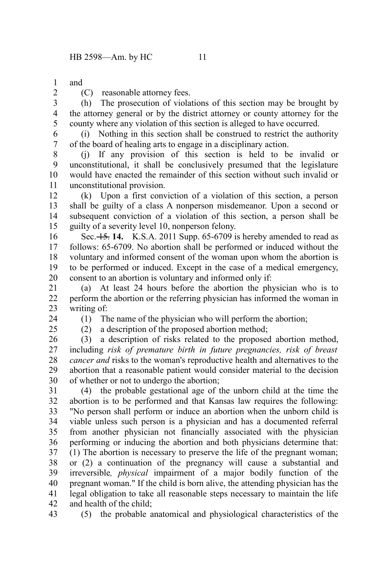and 1

2

24  $25$  (C) reasonable attorney fees.

(h) The prosecution of violations of this section may be brought by the attorney general or by the district attorney or county attorney for the county where any violation of this section is alleged to have occurred. 3 4 5

(i) Nothing in this section shall be construed to restrict the authority of the board of healing arts to engage in a disciplinary action. 6 7

(j) If any provision of this section is held to be invalid or unconstitutional, it shall be conclusively presumed that the legislature would have enacted the remainder of this section without such invalid or unconstitutional provision. 8 9 10 11

(k) Upon a first conviction of a violation of this section, a person shall be guilty of a class A nonperson misdemeanor. Upon a second or subsequent conviction of a violation of this section, a person shall be guilty of a severity level 10, nonperson felony. 12 13 14 15

Sec. 15. **14.** K.S.A. 2011 Supp. 65-6709 is hereby amended to read as follows: 65-6709. No abortion shall be performed or induced without the voluntary and informed consent of the woman upon whom the abortion is to be performed or induced. Except in the case of a medical emergency, consent to an abortion is voluntary and informed only if: 16 17 18 19 20

(a) At least 24 hours before the abortion the physician who is to perform the abortion or the referring physician has informed the woman in writing of: 21 22 23

(1) The name of the physician who will perform the abortion;

(2) a description of the proposed abortion method;

(3) a description of risks related to the proposed abortion method, including *risk of premature birth in future pregnancies, risk of breast cancer and* risks to the woman's reproductive health and alternatives to the abortion that a reasonable patient would consider material to the decision of whether or not to undergo the abortion; 26 27 28 29 30

(4) the probable gestational age of the unborn child at the time the abortion is to be performed and that Kansas law requires the following: "No person shall perform or induce an abortion when the unborn child is viable unless such person is a physician and has a documented referral from another physician not financially associated with the physician performing or inducing the abortion and both physicians determine that: (1) The abortion is necessary to preserve the life of the pregnant woman; or (2) a continuation of the pregnancy will cause a substantial and irreversible*, physical* impairment of a major bodily function of the pregnant woman." If the child is born alive, the attending physician has the legal obligation to take all reasonable steps necessary to maintain the life and health of the child; 31 32 33 34 35 36 37 38 39 40 41 42

(5) the probable anatomical and physiological characteristics of the 43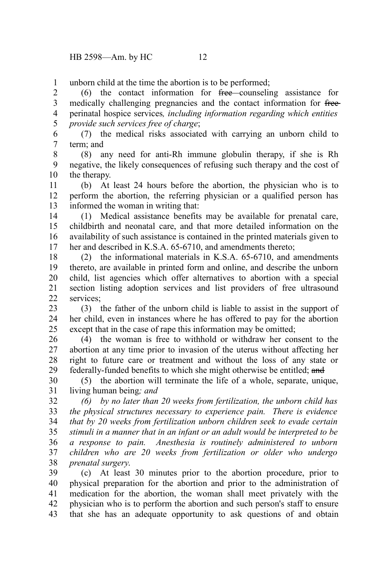unborn child at the time the abortion is to be performed; 1

(6) the contact information for free counseling assistance for medically challenging pregnancies and the contact information for free perinatal hospice services*, including information regarding which entities provide such services free of charge*; 2 3 4 5

(7) the medical risks associated with carrying an unborn child to term; and 6 7

(8) any need for anti-Rh immune globulin therapy, if she is Rh negative, the likely consequences of refusing such therapy and the cost of the therapy. 8 9 10

(b) At least 24 hours before the abortion, the physician who is to perform the abortion, the referring physician or a qualified person has informed the woman in writing that: 11 12 13

(1) Medical assistance benefits may be available for prenatal care, childbirth and neonatal care, and that more detailed information on the availability of such assistance is contained in the printed materials given to her and described in K.S.A. 65-6710, and amendments thereto; 14 15 16 17

(2) the informational materials in K.S.A. 65-6710, and amendments thereto, are available in printed form and online, and describe the unborn child, list agencies which offer alternatives to abortion with a special section listing adoption services and list providers of free ultrasound services; 18 19 20 21  $22$ 

(3) the father of the unborn child is liable to assist in the support of her child, even in instances where he has offered to pay for the abortion except that in the case of rape this information may be omitted; 23 24 25

(4) the woman is free to withhold or withdraw her consent to the abortion at any time prior to invasion of the uterus without affecting her right to future care or treatment and without the loss of any state or federally-funded benefits to which she might otherwise be entitled; and 26 27 28 29

(5) the abortion will terminate the life of a whole, separate, unique, living human being*; and* 30 31

*(6) by no later than 20 weeks from fertilization, the unborn child has the physical structures necessary to experience pain. There is evidence that by 20 weeks from fertilization unborn children seek to evade certain stimuli in a manner that in an infant or an adult would be interpreted to be a response to pain. Anesthesia is routinely administered to unborn children who are 20 weeks from fertilization or older who undergo prenatal surgery*. 32 33 34 35 36 37 38

(c) At least 30 minutes prior to the abortion procedure, prior to physical preparation for the abortion and prior to the administration of medication for the abortion, the woman shall meet privately with the physician who is to perform the abortion and such person's staff to ensure that she has an adequate opportunity to ask questions of and obtain 39 40 41 42 43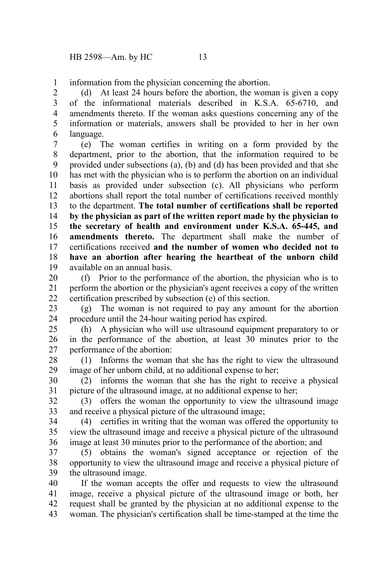information from the physician concerning the abortion. 1

(d) At least 24 hours before the abortion, the woman is given a copy of the informational materials described in K.S.A. 65-6710, and amendments thereto. If the woman asks questions concerning any of the information or materials, answers shall be provided to her in her own language. 2 3 4 5 6

(e) The woman certifies in writing on a form provided by the department, prior to the abortion, that the information required to be provided under subsections (a), (b) and (d) has been provided and that she has met with the physician who is to perform the abortion on an individual basis as provided under subsection (c). All physicians who perform abortions shall report the total number of certifications received monthly to the department. **The total number of certifications shall be reported by the physician as part of the written report made by the physician to the secretary of health and environment under K.S.A. 65-445, and amendments thereto.** The department shall make the number of certifications received **and the number of women who decided not to have an abortion after hearing the heartbeat of the unborn child** available on an annual basis. 7 8 9 10 11 12 13 14 15 16 17 18 19

(f) Prior to the performance of the abortion, the physician who is to perform the abortion or the physician's agent receives a copy of the written certification prescribed by subsection (e) of this section. 20 21 22

(g) The woman is not required to pay any amount for the abortion procedure until the 24-hour waiting period has expired. 23 24

(h) A physician who will use ultrasound equipment preparatory to or in the performance of the abortion, at least 30 minutes prior to the performance of the abortion: 25 26 27

(1) Informs the woman that she has the right to view the ultrasound image of her unborn child, at no additional expense to her; 28 29

(2) informs the woman that she has the right to receive a physical picture of the ultrasound image, at no additional expense to her; 30 31

(3) offers the woman the opportunity to view the ultrasound image and receive a physical picture of the ultrasound image; 32 33

(4) certifies in writing that the woman was offered the opportunity to view the ultrasound image and receive a physical picture of the ultrasound image at least 30 minutes prior to the performance of the abortion; and 34 35 36

(5) obtains the woman's signed acceptance or rejection of the opportunity to view the ultrasound image and receive a physical picture of the ultrasound image. 37 38 39

If the woman accepts the offer and requests to view the ultrasound image, receive a physical picture of the ultrasound image or both, her request shall be granted by the physician at no additional expense to the woman. The physician's certification shall be time-stamped at the time the 40 41 42 43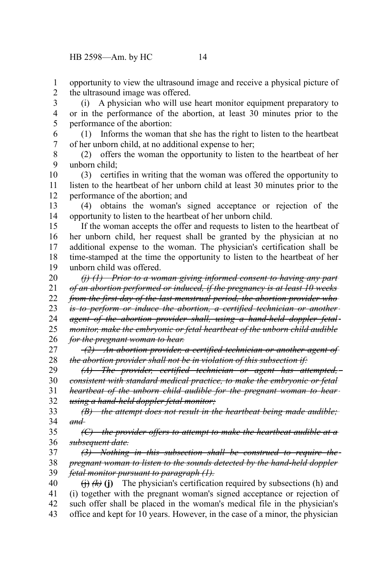opportunity to view the ultrasound image and receive a physical picture of the ultrasound image was offered. 1 2

(i) A physician who will use heart monitor equipment preparatory to or in the performance of the abortion, at least 30 minutes prior to the performance of the abortion: 3 4 5

(1) Informs the woman that she has the right to listen to the heartbeat of her unborn child, at no additional expense to her; 6 7

(2) offers the woman the opportunity to listen to the heartbeat of her unborn child; 8 9

(3) certifies in writing that the woman was offered the opportunity to listen to the heartbeat of her unborn child at least 30 minutes prior to the performance of the abortion; and 10 11 12

(4) obtains the woman's signed acceptance or rejection of the opportunity to listen to the heartbeat of her unborn child. 13 14

If the woman accepts the offer and requests to listen to the heartbeat of her unborn child, her request shall be granted by the physician at no additional expense to the woman. The physician's certification shall be time-stamped at the time the opportunity to listen to the heartbeat of her unborn child was offered. 15 16 17 18 19

*(j) (1) Prior to a woman giving informed consent to having any part of an abortion performed or induced, if the pregnancy is at least 10 weeks from the first day of the last menstrual period, the abortion provider who is to perform or induce the abortion, a certified technician or another agent of the abortion provider shall, using a hand-held doppler fetal monitor, make the embryonic or fetal heartbeat of the unborn child audible for the pregnant woman to hear.* 20 21 22 23 24 25 26

 *(2) An abortion provider, a certified technician or another agent of the abortion provider shall not be in violation of this subsection if:* 27 28

*(A) The provider, certified technician or agent has attempted, consistent with standard medical practice, to make the embryonic or fetal* 29 30

*heartbeat of the unborn child audible for the pregnant woman to hear* 31

*using a hand-held doppler fetal monitor;* 32

*(B) the attempt does not result in the heartbeat being made audible; and*  33 34

*(C) the provider offers to attempt to make the heartbeat audible at a subsequent date.* 35 36

*(3) Nothing in this subsection shall be construed to require the pregnant woman to listen to the sounds detected by the hand-held doppler fetal monitor pursuant to paragraph (1).* 37 38 39

 $\overline{(i)}$   $\overline{(k)}$  (i) The physician's certification required by subsections (h) and (i) together with the pregnant woman's signed acceptance or rejection of such offer shall be placed in the woman's medical file in the physician's office and kept for 10 years. However, in the case of a minor, the physician 40 41 42 43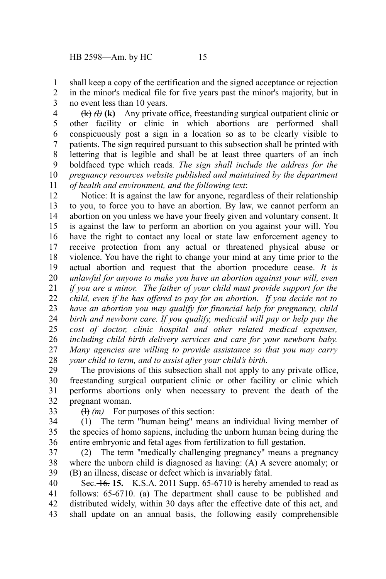shall keep a copy of the certification and the signed acceptance or rejection 1

in the minor's medical file for five years past the minor's majority, but in no event less than 10 years. 2 3

 $(k)$   $(k)$  Any private office, freestanding surgical outpatient clinic or other facility or clinic in which abortions are performed shall conspicuously post a sign in a location so as to be clearly visible to patients. The sign required pursuant to this subsection shall be printed with lettering that is legible and shall be at least three quarters of an inch boldfaced type which reads*. The sign shall include the address for the pregnancy resources website published and maintained by the department of health and environment, and the following text*: 4 5 6 7 8 9 10 11

Notice: It is against the law for anyone, regardless of their relationship to you, to force you to have an abortion. By law, we cannot perform an abortion on you unless we have your freely given and voluntary consent. It is against the law to perform an abortion on you against your will. You have the right to contact any local or state law enforcement agency to receive protection from any actual or threatened physical abuse or violence. You have the right to change your mind at any time prior to the actual abortion and request that the abortion procedure cease. *It is unlawful for anyone to make you have an abortion against your will, even if you are a minor. The father of your child must provide support for the child, even if he has offered to pay for an abortion. If you decide not to have an abortion you may qualify for financial help for pregnancy, child birth and newborn care. If you qualify, medicaid will pay or help pay the cost of doctor, clinic hospital and other related medical expenses, including child birth delivery services and care for your newborn baby. Many agencies are willing to provide assistance so that you may carry your child to term, and to assist after your child's birth.* 12 13 14 15 16 17 18 19 20 21 22 23 24 25 26 27 28

The provisions of this subsection shall not apply to any private office. freestanding surgical outpatient clinic or other facility or clinic which performs abortions only when necessary to prevent the death of the pregnant woman. 29 30 31 32

33

(l) *(m)* For purposes of this section:

(1) The term "human being" means an individual living member of the species of homo sapiens, including the unborn human being during the entire embryonic and fetal ages from fertilization to full gestation. 34 35 36

(2) The term "medically challenging pregnancy" means a pregnancy where the unborn child is diagnosed as having: (A) A severe anomaly; or (B) an illness, disease or defect which is invariably fatal. 37 38 39

Sec. 16. **15.** K.S.A. 2011 Supp. 65-6710 is hereby amended to read as follows: 65-6710. (a) The department shall cause to be published and distributed widely, within 30 days after the effective date of this act, and shall update on an annual basis, the following easily comprehensible 40 41 42 43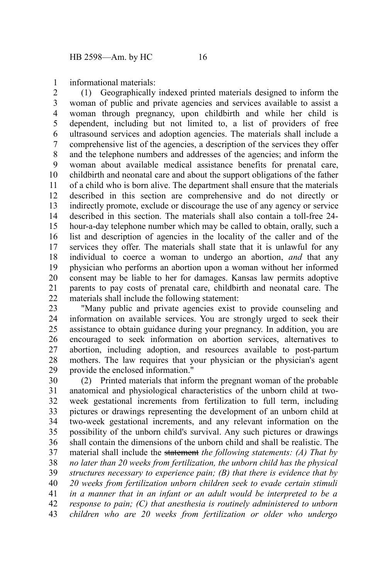informational materials: 1

(1) Geographically indexed printed materials designed to inform the woman of public and private agencies and services available to assist a woman through pregnancy, upon childbirth and while her child is dependent, including but not limited to, a list of providers of free ultrasound services and adoption agencies. The materials shall include a comprehensive list of the agencies, a description of the services they offer and the telephone numbers and addresses of the agencies; and inform the woman about available medical assistance benefits for prenatal care, childbirth and neonatal care and about the support obligations of the father of a child who is born alive. The department shall ensure that the materials described in this section are comprehensive and do not directly or indirectly promote, exclude or discourage the use of any agency or service described in this section. The materials shall also contain a toll-free 24 hour-a-day telephone number which may be called to obtain, orally, such a list and description of agencies in the locality of the caller and of the services they offer. The materials shall state that it is unlawful for any individual to coerce a woman to undergo an abortion, *and* that any physician who performs an abortion upon a woman without her informed consent may be liable to her for damages. Kansas law permits adoptive parents to pay costs of prenatal care, childbirth and neonatal care. The materials shall include the following statement: 2 3 4 5 6 7 8 9 10 11 12 13 14 15 16 17 18 19 20 21 22

"Many public and private agencies exist to provide counseling and information on available services. You are strongly urged to seek their assistance to obtain guidance during your pregnancy. In addition, you are encouraged to seek information on abortion services, alternatives to abortion, including adoption, and resources available to post-partum mothers. The law requires that your physician or the physician's agent provide the enclosed information." 23 24 25 26 27 28 29

(2) Printed materials that inform the pregnant woman of the probable anatomical and physiological characteristics of the unborn child at twoweek gestational increments from fertilization to full term, including pictures or drawings representing the development of an unborn child at two-week gestational increments, and any relevant information on the possibility of the unborn child's survival. Any such pictures or drawings shall contain the dimensions of the unborn child and shall be realistic. The material shall include the statement *the following statements: (A) That by no later than 20 weeks from fertilization, the unborn child has the physical structures necessary to experience pain; (B) that there is evidence that by 20 weeks from fertilization unborn children seek to evade certain stimuli in a manner that in an infant or an adult would be interpreted to be a response to pain; (C) that anesthesia is routinely administered to unborn children who are 20 weeks from fertilization or older who undergo* 30 31 32 33 34 35 36 37 38 39 40 41 42 43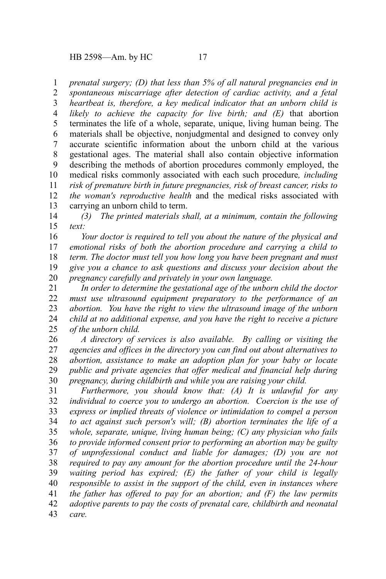HB 2598—Am. by HC 17

*prenatal surgery; (D) that less than 5% of all natural pregnancies end in* 1

*spontaneous miscarriage after detection of cardiac activity, and a fetal heartbeat is, therefore, a key medical indicator that an unborn child is likely to achieve the capacity for live birth; and (E)* that abortion terminates the life of a whole, separate, unique, living human being. The materials shall be objective, nonjudgmental and designed to convey only accurate scientific information about the unborn child at the various gestational ages. The material shall also contain objective information describing the methods of abortion procedures commonly employed, the medical risks commonly associated with each such procedure*, including risk of premature birth in future pregnancies, risk of breast cancer, risks to the woman's reproductive health* and the medical risks associated with carrying an unborn child to term. 2 3 4 5 6 7 8 9 10 11 12 13

*(3) The printed materials shall, at a minimum, contain the following text:* 14 15

*Your doctor is required to tell you about the nature of the physical and emotional risks of both the abortion procedure and carrying a child to term. The doctor must tell you how long you have been pregnant and must give you a chance to ask questions and discuss your decision about the pregnancy carefully and privately in your own language.* 16 17 18 19 20

*In order to determine the gestational age of the unborn child the doctor must use ultrasound equipment preparatory to the performance of an abortion. You have the right to view the ultrasound image of the unborn child at no additional expense, and you have the right to receive a picture of the unborn child.*  21 22 23 24 25

*A directory of services is also available. By calling or visiting the agencies and offices in the directory you can find out about alternatives to abortion, assistance to make an adoption plan for your baby or locate public and private agencies that offer medical and financial help during pregnancy, during childbirth and while you are raising your child.* 26 27 28 29 30

*Furthermore, you should know that: (A) It is unlawful for any individual to coerce you to undergo an abortion. Coercion is the use of express or implied threats of violence or intimidation to compel a person to act against such person's will; (B) abortion terminates the life of a whole, separate, unique, living human being; (C) any physician who fails to provide informed consent prior to performing an abortion may be guilty of unprofessional conduct and liable for damages; (D) you are not required to pay any amount for the abortion procedure until the 24-hour waiting period has expired; (E) the father of your child is legally responsible to assist in the support of the child, even in instances where the father has offered to pay for an abortion; and (F) the law permits adoptive parents to pay the costs of prenatal care, childbirth and neonatal care.* 31 32 33 34 35 36 37 38 39 40 41 42 43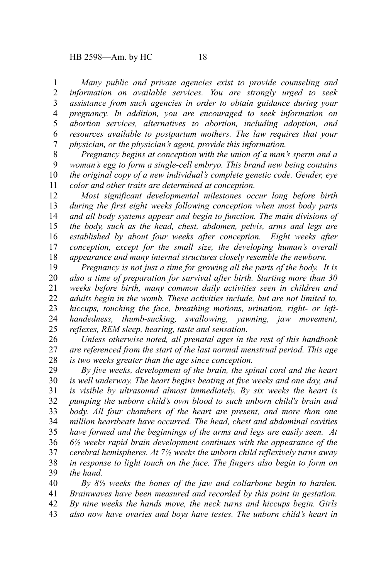*Many public and private agencies exist to provide counseling and information on available services. You are strongly urged to seek assistance from such agencies in order to obtain guidance during your pregnancy. In addition, you are encouraged to seek information on abortion services, alternatives to abortion, including adoption, and resources available to postpartum mothers. The law requires that your physician, or the physician's agent, provide this information.* 1 2 3 4 5 6 7

*Pregnancy begins at conception with the union of a man's sperm and a woman's egg to form a single-cell embryo. This brand new being contains the original copy of a new individual's complete genetic code. Gender, eye color and other traits are determined at conception.* 8 9 10 11

*Most significant developmental milestones occur long before birth during the first eight weeks following conception when most body parts and all body systems appear and begin to function. The main divisions of the body, such as the head, chest, abdomen, pelvis, arms and legs are established by about four weeks after conception. Eight weeks after conception, except for the small size, the developing human's overall appearance and many internal structures closely resemble the newborn.* 12 13 14 15 16 17 18

*Pregnancy is not just a time for growing all the parts of the body. It is also a time of preparation for survival after birth. Starting more than 30 weeks before birth, many common daily activities seen in children and adults begin in the womb. These activities include, but are not limited to, hiccups, touching the face, breathing motions, urination, right- or lefthandedness, thumb-sucking, swallowing, yawning, jaw movement, reflexes, REM sleep, hearing, taste and sensation.* 19 20 21 22 23 24 25

*Unless otherwise noted, all prenatal ages in the rest of this handbook are referenced from the start of the last normal menstrual period. This age is two weeks greater than the age since conception.* 26 27 28

*By five weeks, development of the brain, the spinal cord and the heart is well underway. The heart begins beating at five weeks and one day, and is visible by ultrasound almost immediately. By six weeks the heart is pumping the unborn child's own blood to such unborn child's brain and body. All four chambers of the heart are present, and more than one million heartbeats have occurred. The head, chest and abdominal cavities have formed and the beginnings of the arms and legs are easily seen. At 6½ weeks rapid brain development continues with the appearance of the cerebral hemispheres. At 7½ weeks the unborn child reflexively turns away in response to light touch on the face. The fingers also begin to form on the hand.* 29 30 31 32 33 34 35 36 37 38 39 40

*By 8½ weeks the bones of the jaw and collarbone begin to harden. Brainwaves have been measured and recorded by this point in gestation. By nine weeks the hands move, the neck turns and hiccups begin. Girls also now have ovaries and boys have testes. The unborn child's heart in* 41 42 43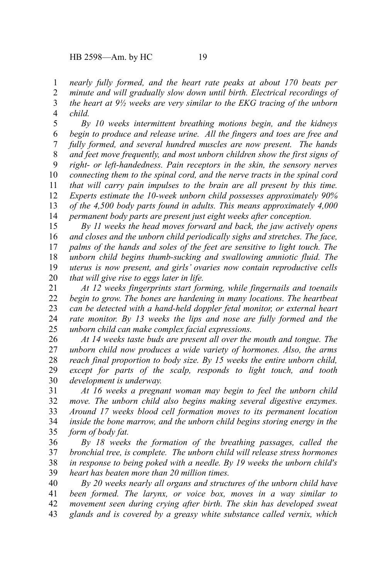*nearly fully formed, and the heart rate peaks at about 170 beats per minute and will gradually slow down until birth. Electrical recordings of the heart at 9½ weeks are very similar to the EKG tracing of the unborn child.* 1 2 3 4

*By 10 weeks intermittent breathing motions begin, and the kidneys begin to produce and release urine. All the fingers and toes are free and fully formed, and several hundred muscles are now present. The hands and feet move frequently, and most unborn children show the first signs of right- or left-handedness. Pain receptors in the skin, the sensory nerves connecting them to the spinal cord, and the nerve tracts in the spinal cord that will carry pain impulses to the brain are all present by this time. Experts estimate the 10-week unborn child possesses approximately 90% of the 4,500 body parts found in adults. This means approximately 4,000 permanent body parts are present just eight weeks after conception.* 5 6 7 8 9 10 11 12 13 14

*By 11 weeks the head moves forward and back, the jaw actively opens and closes and the unborn child periodically sighs and stretches. The face, palms of the hands and soles of the feet are sensitive to light touch. The unborn child begins thumb-sucking and swallowing amniotic fluid. The uterus is now present, and girls' ovaries now contain reproductive cells that will give rise to eggs later in life.* 15 16 17 18 19 20

*At 12 weeks fingerprints start forming, while fingernails and toenails begin to grow. The bones are hardening in many locations. The heartbeat can be detected with a hand-held doppler fetal monitor, or external heart rate monitor. By 13 weeks the lips and nose are fully formed and the unborn child can make complex facial expressions.* 21 22 23 24 25

*At 14 weeks taste buds are present all over the mouth and tongue. The unborn child now produces a wide variety of hormones. Also, the arms reach final proportion to body size. By 15 weeks the entire unborn child, except for parts of the scalp, responds to light touch, and tooth development is underway.* 26 27 28 29 30

*At 16 weeks a pregnant woman may begin to feel the unborn child move. The unborn child also begins making several digestive enzymes. Around 17 weeks blood cell formation moves to its permanent location inside the bone marrow, and the unborn child begins storing energy in the form of body fat.* 31 32 33 34 35

*By 18 weeks the formation of the breathing passages, called the bronchial tree, is complete. The unborn child will release stress hormones in response to being poked with a needle. By 19 weeks the unborn child's heart has beaten more than 20 million times.* 36 37 38 39

*By 20 weeks nearly all organs and structures of the unborn child have been formed. The larynx, or voice box, moves in a way similar to movement seen during crying after birth. The skin has developed sweat glands and is covered by a greasy white substance called vernix, which* 40 41 42 43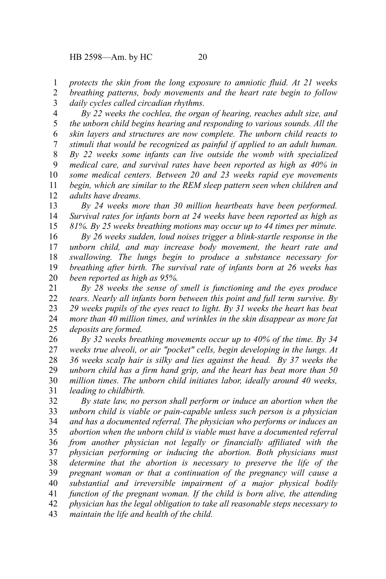*protects the skin from the long exposure to amniotic fluid. At 21 weeks* 1

*breathing patterns, body movements and the heart rate begin to follow daily cycles called circadian rhythms.* 2 3

*By 22 weeks the cochlea, the organ of hearing, reaches adult size, and the unborn child begins hearing and responding to various sounds. All the skin layers and structures are now complete. The unborn child reacts to stimuli that would be recognized as painful if applied to an adult human. By 22 weeks some infants can live outside the womb with specialized medical care, and survival rates have been reported as high as 40% in some medical centers. Between 20 and 23 weeks rapid eye movements begin, which are similar to the REM sleep pattern seen when children and adults have dreams.* 4 5 6 7 8 9 10 11 12

*By 24 weeks more than 30 million heartbeats have been performed. Survival rates for infants born at 24 weeks have been reported as high as 81%. By 25 weeks breathing motions may occur up to 44 times per minute.* 13 14 15

*By 26 weeks sudden, loud noises trigger a blink-startle response in the unborn child, and may increase body movement, the heart rate and swallowing. The lungs begin to produce a substance necessary for breathing after birth. The survival rate of infants born at 26 weeks has been reported as high as 95%.* 16 17 18 19 20

*By 28 weeks the sense of smell is functioning and the eyes produce tears. Nearly all infants born between this point and full term survive. By 29 weeks pupils of the eyes react to light. By 31 weeks the heart has beat more than 40 million times, and wrinkles in the skin disappear as more fat deposits are formed.* 21 22 23 24 25

*By 32 weeks breathing movements occur up to 40% of the time. By 34 weeks true alveoli, or air "pocket" cells, begin developing in the lungs. At 36 weeks scalp hair is silky and lies against the head. By 37 weeks the unborn child has a firm hand grip, and the heart has beat more than 50 million times. The unborn child initiates labor, ideally around 40 weeks, leading to childbirth.* 26 27 28 29 30 31

*By state law, no person shall perform or induce an abortion when the unborn child is viable or pain-capable unless such person is a physician and has a documented referral. The physician who performs or induces an abortion when the unborn child is viable must have a documented referral from another physician not legally or financially affiliated with the physician performing or inducing the abortion. Both physicians must determine that the abortion is necessary to preserve the life of the pregnant woman or that a continuation of the pregnancy will cause a substantial and irreversible impairment of a major physical bodily function of the pregnant woman. If the child is born alive, the attending physician has the legal obligation to take all reasonable steps necessary to maintain the life and health of the child.* 32 33 34 35 36 37 38 39 40 41 42 43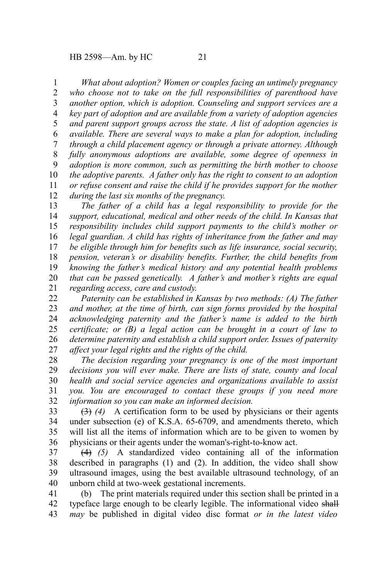*What about adoption? Women or couples facing an untimely pregnancy who choose not to take on the full responsibilities of parenthood have another option, which is adoption. Counseling and support services are a key part of adoption and are available from a variety of adoption agencies and parent support groups across the state. A list of adoption agencies is available. There are several ways to make a plan for adoption, including through a child placement agency or through a private attorney. Although fully anonymous adoptions are available, some degree of openness in adoption is more common, such as permitting the birth mother to choose the adoptive parents. A father only has the right to consent to an adoption or refuse consent and raise the child if he provides support for the mother during the last six months of the pregnancy.* 1 2 3 4 5 6 7 8 9 10 11 12

*The father of a child has a legal responsibility to provide for the support, educational, medical and other needs of the child. In Kansas that responsibility includes child support payments to the child's mother or legal guardian. A child has rights of inheritance from the father and may be eligible through him for benefits such as life insurance, social security, pension, veteran's or disability benefits. Further, the child benefits from knowing the father's medical history and any potential health problems that can be passed genetically. A father's and mother's rights are equal regarding access, care and custody.* 13 14 15 16 17 18 19 20 21

*Paternity can be established in Kansas by two methods: (A) The father and mother, at the time of birth, can sign forms provided by the hospital acknowledging paternity and the father's name is added to the birth certificate; or (B) a legal action can be brought in a court of law to determine paternity and establish a child support order. Issues of paternity affect your legal rights and the rights of the child.* 22 23 24 25 26 27

*The decision regarding your pregnancy is one of the most important decisions you will ever make. There are lists of state, county and local health and social service agencies and organizations available to assist you. You are encouraged to contact these groups if you need more information so you can make an informed decision.* 28 29 30 31 32

(3) *(4)* A certification form to be used by physicians or their agents under subsection (e) of K.S.A. 65-6709, and amendments thereto, which will list all the items of information which are to be given to women by physicians or their agents under the woman's-right-to-know act. 33 34 35 36

(4) *(5)* A standardized video containing all of the information described in paragraphs (1) and (2). In addition, the video shall show ultrasound images, using the best available ultrasound technology, of an unborn child at two*-*week gestational increments. 37 38 39 40

(b) The print materials required under this section shall be printed in a typeface large enough to be clearly legible. The informational video shall *may* be published in digital video disc format *or in the latest video* 41 42 43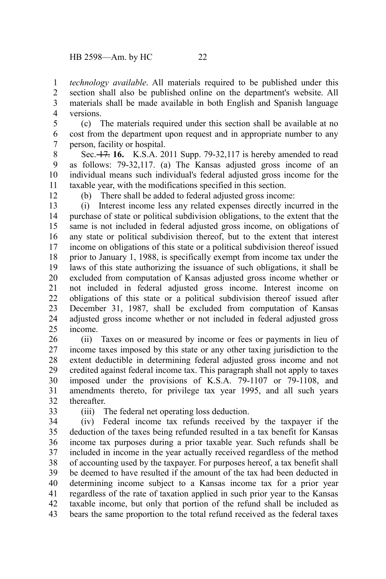*technology available*. All materials required to be published under this section shall also be published online on the department's website. All materials shall be made available in both English and Spanish language versions. 1 2 3 4

(c) The materials required under this section shall be available at no cost from the department upon request and in appropriate number to any person, facility or hospital. 5 6 7

Sec. 17. **16.** K.S.A. 2011 Supp. 79-32,117 is hereby amended to read as follows: 79-32,117. (a) The Kansas adjusted gross income of an individual means such individual's federal adjusted gross income for the taxable year, with the modifications specified in this section. 8 9 10 11

12

(b) There shall be added to federal adjusted gross income:

(i) Interest income less any related expenses directly incurred in the purchase of state or political subdivision obligations, to the extent that the same is not included in federal adjusted gross income, on obligations of any state or political subdivision thereof, but to the extent that interest income on obligations of this state or a political subdivision thereof issued prior to January 1, 1988, is specifically exempt from income tax under the laws of this state authorizing the issuance of such obligations, it shall be excluded from computation of Kansas adjusted gross income whether or not included in federal adjusted gross income. Interest income on obligations of this state or a political subdivision thereof issued after December 31, 1987, shall be excluded from computation of Kansas adjusted gross income whether or not included in federal adjusted gross income. 13 14 15 16 17 18 19 20 21 22 23 24 25

(ii) Taxes on or measured by income or fees or payments in lieu of income taxes imposed by this state or any other taxing jurisdiction to the extent deductible in determining federal adjusted gross income and not credited against federal income tax. This paragraph shall not apply to taxes imposed under the provisions of K.S.A. 79-1107 or 79-1108, and amendments thereto, for privilege tax year 1995, and all such years thereafter. 26 27 28 29 30 31 32

33

(iii) The federal net operating loss deduction.

(iv) Federal income tax refunds received by the taxpayer if the deduction of the taxes being refunded resulted in a tax benefit for Kansas income tax purposes during a prior taxable year. Such refunds shall be included in income in the year actually received regardless of the method of accounting used by the taxpayer. For purposes hereof, a tax benefit shall be deemed to have resulted if the amount of the tax had been deducted in determining income subject to a Kansas income tax for a prior year regardless of the rate of taxation applied in such prior year to the Kansas taxable income, but only that portion of the refund shall be included as bears the same proportion to the total refund received as the federal taxes 34 35 36 37 38 39 40 41 42 43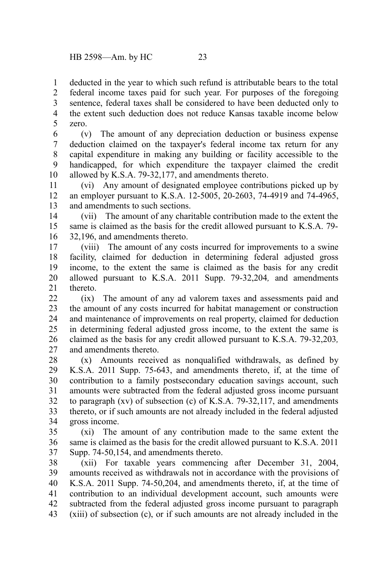deducted in the year to which such refund is attributable bears to the total federal income taxes paid for such year. For purposes of the foregoing sentence, federal taxes shall be considered to have been deducted only to the extent such deduction does not reduce Kansas taxable income below zero. 1 2 3 4 5

(v) The amount of any depreciation deduction or business expense deduction claimed on the taxpayer's federal income tax return for any capital expenditure in making any building or facility accessible to the handicapped, for which expenditure the taxpayer claimed the credit allowed by K.S.A. 79-32,177, and amendments thereto. 6 7 8 9 10

(vi) Any amount of designated employee contributions picked up by an employer pursuant to K.S.A. 12-5005, 20-2603, 74-4919 and 74-4965, and amendments to such sections. 11 12 13

(vii) The amount of any charitable contribution made to the extent the same is claimed as the basis for the credit allowed pursuant to K.S.A. 79- 32,196, and amendments thereto. 14 15 16

(viii) The amount of any costs incurred for improvements to a swine facility, claimed for deduction in determining federal adjusted gross income, to the extent the same is claimed as the basis for any credit allowed pursuant to K.S.A. 2011 Supp. 79-32,204*,* and amendments thereto. 17 18 19 20 21

(ix) The amount of any ad valorem taxes and assessments paid and the amount of any costs incurred for habitat management or construction and maintenance of improvements on real property, claimed for deduction in determining federal adjusted gross income, to the extent the same is claimed as the basis for any credit allowed pursuant to K.S.A. 79-32,203*,* and amendments thereto.  $22$ 23 24 25 26 27

(x) Amounts received as nonqualified withdrawals, as defined by K.S.A. 2011 Supp. 75-643, and amendments thereto, if, at the time of contribution to a family postsecondary education savings account, such amounts were subtracted from the federal adjusted gross income pursuant to paragraph (xv) of subsection (c) of K.S.A. 79-32,117, and amendments thereto, or if such amounts are not already included in the federal adjusted gross income. 28 29 30 31 32 33 34

(xi) The amount of any contribution made to the same extent the same is claimed as the basis for the credit allowed pursuant to K.S.A. 2011 Supp. 74-50,154, and amendments thereto. 35 36 37

(xii) For taxable years commencing after December 31, 2004, amounts received as withdrawals not in accordance with the provisions of K.S.A. 2011 Supp. 74-50,204, and amendments thereto, if, at the time of contribution to an individual development account, such amounts were subtracted from the federal adjusted gross income pursuant to paragraph (xiii) of subsection (c), or if such amounts are not already included in the 38 39 40 41 42 43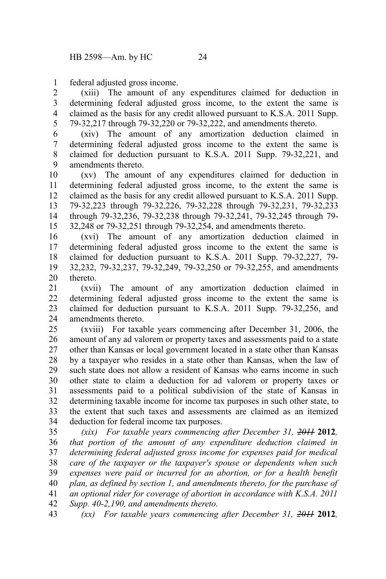federal adjusted gross income. 1

(xiii) The amount of any expenditures claimed for deduction in determining federal adjusted gross income, to the extent the same is claimed as the basis for any credit allowed pursuant to K.S.A. 2011 Supp. 79-32,217 through 79-32,220 or 79-32,222, and amendments thereto. 2 3 4 5

(xiv) The amount of any amortization deduction claimed in determining federal adjusted gross income to the extent the same is claimed for deduction pursuant to K.S.A. 2011 Supp. 79-32,221, and amendments thereto. 6 7 8 9

(xv) The amount of any expenditures claimed for deduction in determining federal adjusted gross income, to the extent the same is claimed as the basis for any credit allowed pursuant to K.S.A. 2011 Supp. 79-32,223 through 79-32,226, 79-32,228 through 79-32,231, 79-32,233 through 79-32,236, 79-32,238 through 79-32,241, 79-32,245 through 79- 32,248 or 79-32,251 through 79-32,254, and amendments thereto. 10 11 12 13 14 15

(xvi) The amount of any amortization deduction claimed in determining federal adjusted gross income to the extent the same is claimed for deduction pursuant to K.S.A. 2011 Supp. 79-32,227, 79- 32,232, 79-32,237, 79-32,249, 79-32,250 or 79-32,255, and amendments thereto. 16 17 18 19 20

(xvii) The amount of any amortization deduction claimed in determining federal adjusted gross income to the extent the same is claimed for deduction pursuant to K.S.A. 2011 Supp. 79-32,256, and amendments thereto. 21 22 23 24

(xviii) For taxable years commencing after December 31, 2006, the amount of any ad valorem or property taxes and assessments paid to a state other than Kansas or local government located in a state other than Kansas by a taxpayer who resides in a state other than Kansas, when the law of such state does not allow a resident of Kansas who earns income in such other state to claim a deduction for ad valorem or property taxes or assessments paid to a political subdivision of the state of Kansas in determining taxable income for income tax purposes in such other state, to the extent that such taxes and assessments are claimed as an itemized deduction for federal income tax purposes. 25 26 27 28 29 30 31 32 33 34

*(xix) For taxable years commencing after December 31, 2011* **2012***, that portion of the amount of any expenditure deduction claimed in determining federal adjusted gross income for expenses paid for medical care of the taxpayer or the taxpayer's spouse or dependents when such expenses were paid or incurred for an abortion, or for a health benefit plan, as defined by section 1, and amendments thereto, for the purchase of an optional rider for coverage of abortion in accordance with K.S.A. 2011 Supp. 40-2,190, and amendments thereto. (xx)* For taxable years commencing after December 31, 2011 2012, 35 36 37 38 39 40 41 42 43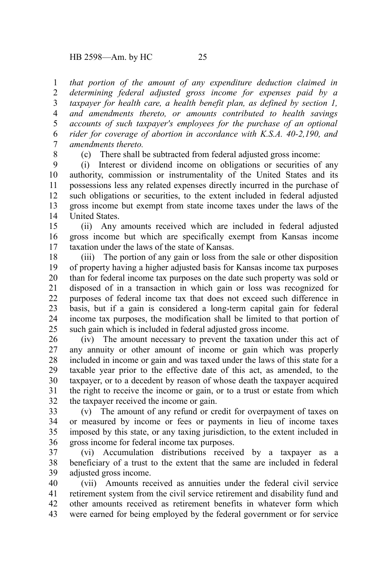*that portion of the amount of any expenditure deduction claimed in determining federal adjusted gross income for expenses paid by a taxpayer for health care, a health benefit plan, as defined by section 1, and amendments thereto, or amounts contributed to health savings accounts of such taxpayer's employees for the purchase of an optional rider for coverage of abortion in accordance with K.S.A. 40-2,190, and amendments thereto.* 1 2 3 4 5 6 7

8

(c) There shall be subtracted from federal adjusted gross income:

(i) Interest or dividend income on obligations or securities of any authority, commission or instrumentality of the United States and its possessions less any related expenses directly incurred in the purchase of such obligations or securities, to the extent included in federal adjusted gross income but exempt from state income taxes under the laws of the United States. 9 10 11 12 13 14

(ii) Any amounts received which are included in federal adjusted gross income but which are specifically exempt from Kansas income taxation under the laws of the state of Kansas. 15 16 17

(iii) The portion of any gain or loss from the sale or other disposition of property having a higher adjusted basis for Kansas income tax purposes than for federal income tax purposes on the date such property was sold or disposed of in a transaction in which gain or loss was recognized for purposes of federal income tax that does not exceed such difference in basis, but if a gain is considered a long-term capital gain for federal income tax purposes, the modification shall be limited to that portion of such gain which is included in federal adjusted gross income. 18 19 20 21 22 23 24 25

(iv) The amount necessary to prevent the taxation under this act of any annuity or other amount of income or gain which was properly included in income or gain and was taxed under the laws of this state for a taxable year prior to the effective date of this act, as amended, to the taxpayer, or to a decedent by reason of whose death the taxpayer acquired the right to receive the income or gain, or to a trust or estate from which the taxpayer received the income or gain. 26 27 28 29 30 31 32

(v) The amount of any refund or credit for overpayment of taxes on or measured by income or fees or payments in lieu of income taxes imposed by this state, or any taxing jurisdiction, to the extent included in gross income for federal income tax purposes. 33 34 35 36

(vi) Accumulation distributions received by a taxpayer as a beneficiary of a trust to the extent that the same are included in federal adjusted gross income. 37 38 39

(vii) Amounts received as annuities under the federal civil service retirement system from the civil service retirement and disability fund and other amounts received as retirement benefits in whatever form which were earned for being employed by the federal government or for service 40 41 42 43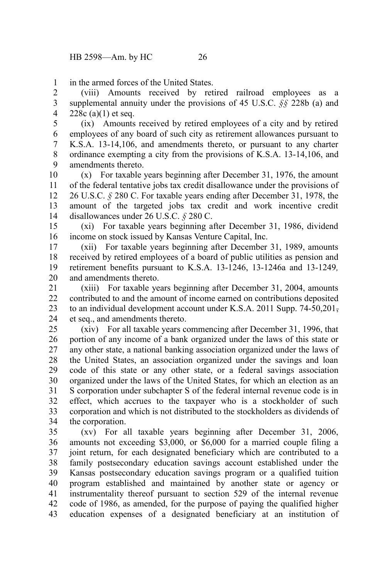in the armed forces of the United States. 1

(viii) Amounts received by retired railroad employees as a supplemental annuity under the provisions of 45 U.S.C. *§§* 228b (a) and  $228c$  (a)(1) et seq. 2 3 4

(ix) Amounts received by retired employees of a city and by retired employees of any board of such city as retirement allowances pursuant to K.S.A. 13-14,106, and amendments thereto, or pursuant to any charter ordinance exempting a city from the provisions of K.S.A. 13-14,106, and amendments thereto. 5 6 7 8 9

(x) For taxable years beginning after December 31, 1976, the amount of the federal tentative jobs tax credit disallowance under the provisions of 26 U.S.C. *§* 280 C. For taxable years ending after December 31, 1978, the amount of the targeted jobs tax credit and work incentive credit disallowances under 26 U.S.C. *§* 280 C. 10 11 12 13 14

(xi) For taxable years beginning after December 31, 1986, dividend income on stock issued by Kansas Venture Capital, Inc. 15 16

(xii) For taxable years beginning after December 31, 1989, amounts received by retired employees of a board of public utilities as pension and retirement benefits pursuant to K.S.A. 13-1246, 13-1246a and 13-1249*,* and amendments thereto. 17 18 19 20

(xiii) For taxable years beginning after December 31, 2004, amounts contributed to and the amount of income earned on contributions deposited to an individual development account under K.S.A. 2011 Supp. 74-50,201, et seq., and amendments thereto. 21 22 23 24

(xiv) For all taxable years commencing after December 31, 1996, that portion of any income of a bank organized under the laws of this state or any other state, a national banking association organized under the laws of the United States, an association organized under the savings and loan code of this state or any other state, or a federal savings association organized under the laws of the United States, for which an election as an S corporation under subchapter S of the federal internal revenue code is in effect, which accrues to the taxpayer who is a stockholder of such corporation and which is not distributed to the stockholders as dividends of the corporation. 25 26 27 28 29 30 31 32 33 34

(xv) For all taxable years beginning after December 31, 2006, amounts not exceeding \$3,000, or \$6,000 for a married couple filing a joint return, for each designated beneficiary which are contributed to a family postsecondary education savings account established under the Kansas postsecondary education savings program or a qualified tuition program established and maintained by another state or agency or instrumentality thereof pursuant to section 529 of the internal revenue code of 1986, as amended, for the purpose of paying the qualified higher education expenses of a designated beneficiary at an institution of 35 36 37 38 39 40 41 42 43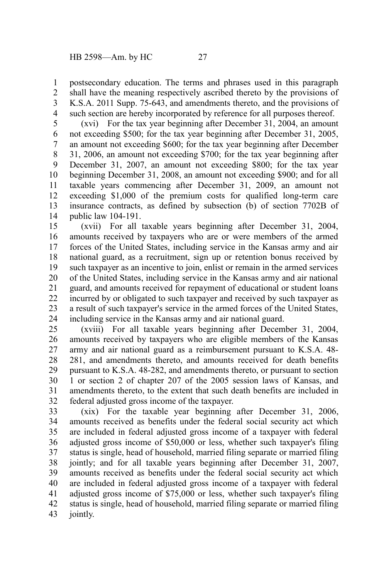postsecondary education. The terms and phrases used in this paragraph shall have the meaning respectively ascribed thereto by the provisions of K.S.A. 2011 Supp. 75-643, and amendments thereto, and the provisions of such section are hereby incorporated by reference for all purposes thereof. 1 2 3 4

(xvi) For the tax year beginning after December 31, 2004, an amount not exceeding \$500; for the tax year beginning after December 31, 2005, an amount not exceeding \$600; for the tax year beginning after December 31, 2006, an amount not exceeding \$700; for the tax year beginning after December 31, 2007, an amount not exceeding \$800; for the tax year beginning December 31, 2008, an amount not exceeding \$900; and for all taxable years commencing after December 31, 2009, an amount not exceeding \$1,000 of the premium costs for qualified long-term care insurance contracts, as defined by subsection (b) of section 7702B of public law 104-191. 5 6 7 8 9 10 11 12 13 14

(xvii) For all taxable years beginning after December 31, 2004, amounts received by taxpayers who are or were members of the armed forces of the United States, including service in the Kansas army and air national guard, as a recruitment, sign up or retention bonus received by such taxpayer as an incentive to join, enlist or remain in the armed services of the United States, including service in the Kansas army and air national guard, and amounts received for repayment of educational or student loans incurred by or obligated to such taxpayer and received by such taxpayer as a result of such taxpayer's service in the armed forces of the United States, including service in the Kansas army and air national guard. 15 16 17 18 19 20 21 22 23 24

(xviii) For all taxable years beginning after December 31, 2004, amounts received by taxpayers who are eligible members of the Kansas army and air national guard as a reimbursement pursuant to K.S.A. 48- 281, and amendments thereto, and amounts received for death benefits pursuant to K.S.A. 48-282, and amendments thereto, or pursuant to section 1 or section 2 of chapter 207 of the 2005 session laws of Kansas, and amendments thereto, to the extent that such death benefits are included in federal adjusted gross income of the taxpayer. 25 26 27 28 29 30 31 32

(xix) For the taxable year beginning after December 31, 2006, amounts received as benefits under the federal social security act which are included in federal adjusted gross income of a taxpayer with federal adjusted gross income of \$50,000 or less, whether such taxpayer's filing status is single, head of household, married filing separate or married filing jointly; and for all taxable years beginning after December 31, 2007, amounts received as benefits under the federal social security act which are included in federal adjusted gross income of a taxpayer with federal adjusted gross income of \$75,000 or less, whether such taxpayer's filing status is single, head of household, married filing separate or married filing jointly. 33 34 35 36 37 38 39 40 41 42 43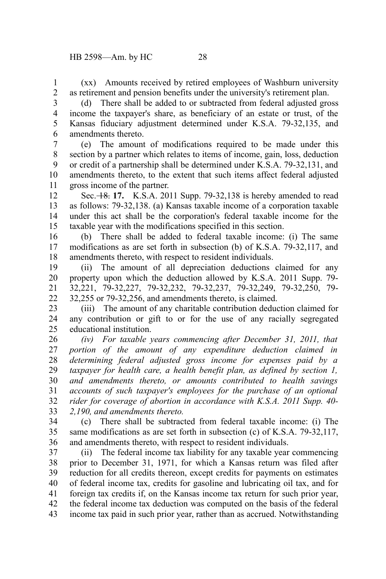(xx) Amounts received by retired employees of Washburn university as retirement and pension benefits under the university's retirement plan. 1 2

(d) There shall be added to or subtracted from federal adjusted gross income the taxpayer's share, as beneficiary of an estate or trust, of the Kansas fiduciary adjustment determined under K.S.A. 79-32,135, and amendments thereto. 3 4 5 6

(e) The amount of modifications required to be made under this section by a partner which relates to items of income, gain, loss, deduction or credit of a partnership shall be determined under K.S.A. 79-32,131, and amendments thereto, to the extent that such items affect federal adjusted gross income of the partner. 7 8 9 10 11

Sec. 18. **17.** K.S.A. 2011 Supp. 79-32,138 is hereby amended to read as follows: 79-32,138. (a) Kansas taxable income of a corporation taxable under this act shall be the corporation's federal taxable income for the taxable year with the modifications specified in this section. 12 13 14 15

(b) There shall be added to federal taxable income: (i) The same modifications as are set forth in subsection (b) of K.S.A. 79-32,117, and amendments thereto, with respect to resident individuals. 16 17 18

(ii) The amount of all depreciation deductions claimed for any property upon which the deduction allowed by K.S.A. 2011 Supp. 79- 32,221, 79-32,227, 79-32,232, 79-32,237, 79-32,249, 79-32,250, 79- 32,255 or 79-32,256, and amendments thereto, is claimed. 19 20 21 22

(iii) The amount of any charitable contribution deduction claimed for any contribution or gift to or for the use of any racially segregated educational institution. 23 24 25

*(iv) For taxable years commencing after December 31, 2011, that portion of the amount of any expenditure deduction claimed in determining federal adjusted gross income for expenses paid by a taxpayer for health care, a health benefit plan, as defined by section 1, and amendments thereto, or amounts contributed to health savings accounts of such taxpayer's employees for the purchase of an optional rider for coverage of abortion in accordance with K.S.A. 2011 Supp. 40- 2,190, and amendments thereto.* 26 27 28 29 30 31 32 33

(c) There shall be subtracted from federal taxable income: (i) The same modifications as are set forth in subsection (c) of K.S.A. 79-32,117, and amendments thereto, with respect to resident individuals. 34 35 36

(ii) The federal income tax liability for any taxable year commencing prior to December 31, 1971, for which a Kansas return was filed after reduction for all credits thereon, except credits for payments on estimates of federal income tax, credits for gasoline and lubricating oil tax, and for foreign tax credits if, on the Kansas income tax return for such prior year, the federal income tax deduction was computed on the basis of the federal income tax paid in such prior year, rather than as accrued. Notwithstanding 37 38 39 40 41 42 43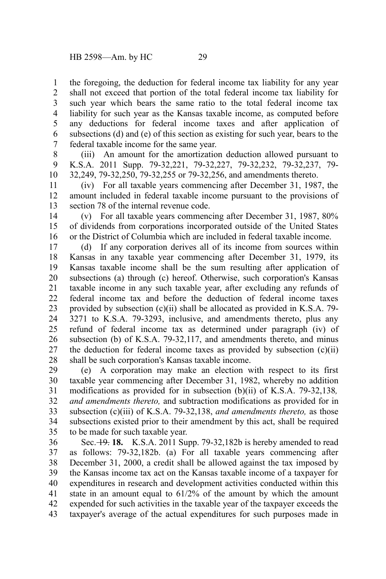the foregoing, the deduction for federal income tax liability for any year shall not exceed that portion of the total federal income tax liability for such year which bears the same ratio to the total federal income tax liability for such year as the Kansas taxable income, as computed before any deductions for federal income taxes and after application of subsections (d) and (e) of this section as existing for such year, bears to the federal taxable income for the same year. 1 2 3 4 5 6 7

(iii) An amount for the amortization deduction allowed pursuant to K.S.A. 2011 Supp. 79-32,221, 79-32,227, 79-32,232, 79-32,237, 79- 32,249, 79-32,250, 79-32,255 or 79-32,256, and amendments thereto. 8 9 10

(iv) For all taxable years commencing after December 31, 1987, the amount included in federal taxable income pursuant to the provisions of section 78 of the internal revenue code. 11 12 13

(v) For all taxable years commencing after December 31, 1987, 80% of dividends from corporations incorporated outside of the United States or the District of Columbia which are included in federal taxable income. 14 15 16

(d) If any corporation derives all of its income from sources within Kansas in any taxable year commencing after December 31, 1979, its Kansas taxable income shall be the sum resulting after application of subsections (a) through (c) hereof. Otherwise, such corporation's Kansas taxable income in any such taxable year, after excluding any refunds of federal income tax and before the deduction of federal income taxes provided by subsection (c)(ii) shall be allocated as provided in K.S.A. 79- 3271 to K.S.A. 79-3293, inclusive, and amendments thereto, plus any refund of federal income tax as determined under paragraph (iv) of subsection (b) of K.S.A. 79-32,117, and amendments thereto, and minus the deduction for federal income taxes as provided by subsection (c)(ii) shall be such corporation's Kansas taxable income. 17 18 19 20 21 22 23 24 25 26 27 28

(e) A corporation may make an election with respect to its first taxable year commencing after December 31, 1982, whereby no addition modifications as provided for in subsection (b)(ii) of K.S.A. 79-32,138*, and amendments thereto,* and subtraction modifications as provided for in subsection (c)(iii) of K.S.A. 79-32,138, *and amendments thereto,* as those subsections existed prior to their amendment by this act, shall be required to be made for such taxable year. 29 30 31 32 33 34 35

Sec. 19. **18.** K.S.A. 2011 Supp. 79-32,182b is hereby amended to read as follows: 79-32,182b. (a) For all taxable years commencing after December 31, 2000, a credit shall be allowed against the tax imposed by the Kansas income tax act on the Kansas taxable income of a taxpayer for expenditures in research and development activities conducted within this state in an amount equal to 61/2% of the amount by which the amount expended for such activities in the taxable year of the taxpayer exceeds the taxpayer's average of the actual expenditures for such purposes made in 36 37 38 39 40 41 42 43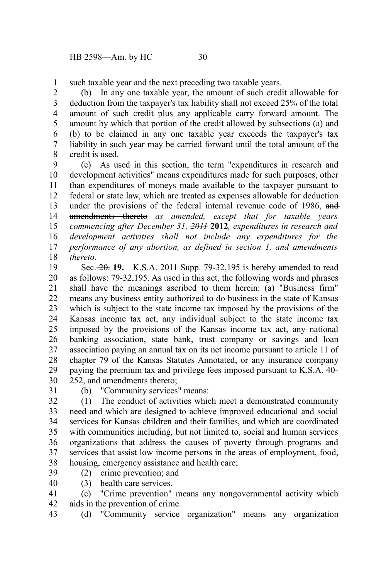such taxable year and the next preceding two taxable years. 1

(b) In any one taxable year, the amount of such credit allowable for deduction from the taxpayer's tax liability shall not exceed 25% of the total amount of such credit plus any applicable carry forward amount. The amount by which that portion of the credit allowed by subsections (a) and (b) to be claimed in any one taxable year exceeds the taxpayer's tax liability in such year may be carried forward until the total amount of the credit is used. 2 3 4 5 6 7 8

(c) As used in this section, the term "expenditures in research and development activities" means expenditures made for such purposes, other than expenditures of moneys made available to the taxpayer pursuant to federal or state law, which are treated as expenses allowable for deduction under the provisions of the federal internal revenue code of 1986, and amendments thereto *as amended, except that for taxable years commencing after December 31, 2011* **2012***, expenditures in research and development activities shall not include any expenditures for the performance of any abortion, as defined in section 1, and amendments thereto*. 9 10 11 12 13 14 15 16 17 18

Sec. 20. **19.** K.S.A. 2011 Supp. 79-32,195 is hereby amended to read as follows: 79-32,195. As used in this act, the following words and phrases shall have the meanings ascribed to them herein: (a) "Business firm" means any business entity authorized to do business in the state of Kansas which is subject to the state income tax imposed by the provisions of the Kansas income tax act, any individual subject to the state income tax imposed by the provisions of the Kansas income tax act, any national banking association, state bank, trust company or savings and loan association paying an annual tax on its net income pursuant to article 11 of chapter 79 of the Kansas Statutes Annotated, or any insurance company paying the premium tax and privilege fees imposed pursuant to K.S.A. 40- 252, and amendments thereto; 19 20 21 22 23 24 25 26 27 28 29 30

31

(b) "Community services" means:

(1) The conduct of activities which meet a demonstrated community need and which are designed to achieve improved educational and social services for Kansas children and their families, and which are coordinated with communities including, but not limited to, social and human services organizations that address the causes of poverty through programs and services that assist low income persons in the areas of employment, food, housing, emergency assistance and health care; 32 33 34 35 36 37 38

- (2) crime prevention; and 39
- (3) health care services. 40

(c) "Crime prevention" means any nongovernmental activity which aids in the prevention of crime. 41 42

(d) "Community service organization" means any organization 43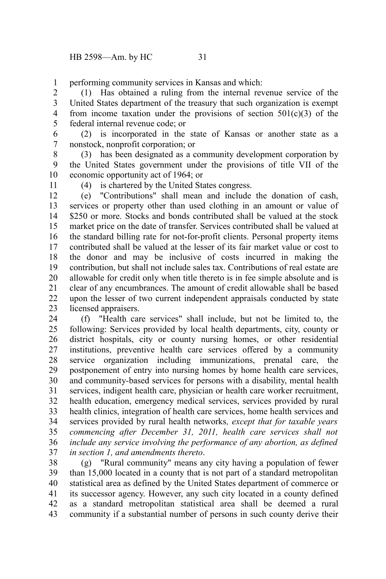performing community services in Kansas and which: 1

(1) Has obtained a ruling from the internal revenue service of the United States department of the treasury that such organization is exempt from income taxation under the provisions of section  $501(c)(3)$  of the federal internal revenue code; or 2 3 4 5

(2) is incorporated in the state of Kansas or another state as a nonstock, nonprofit corporation; or 6 7

(3) has been designated as a community development corporation by the United States government under the provisions of title VII of the economic opportunity act of 1964; or 8 9 10

11

(4) is chartered by the United States congress.

(e) "Contributions" shall mean and include the donation of cash, services or property other than used clothing in an amount or value of \$250 or more. Stocks and bonds contributed shall be valued at the stock market price on the date of transfer. Services contributed shall be valued at the standard billing rate for not-for-profit clients. Personal property items contributed shall be valued at the lesser of its fair market value or cost to the donor and may be inclusive of costs incurred in making the contribution, but shall not include sales tax. Contributions of real estate are allowable for credit only when title thereto is in fee simple absolute and is clear of any encumbrances. The amount of credit allowable shall be based upon the lesser of two current independent appraisals conducted by state licensed appraisers. 12 13 14 15 16 17 18 19 20 21 22 23

(f) "Health care services" shall include, but not be limited to, the following: Services provided by local health departments, city, county or district hospitals, city or county nursing homes, or other residential institutions, preventive health care services offered by a community service organization including immunizations, prenatal care, the postponement of entry into nursing homes by home health care services, and community*-*based services for persons with a disability, mental health services, indigent health care, physician or health care worker recruitment, health education, emergency medical services, services provided by rural health clinics, integration of health care services, home health services and services provided by rural health networks*, except that for taxable years commencing after December 31, 2011, health care services shall not include any service involving the performance of any abortion, as defined in section 1, and amendments thereto*. 24 25 26 27 28 29 30 31 32 33 34 35 36 37

(g) "Rural community" means any city having a population of fewer than 15,000 located in a county that is not part of a standard metropolitan statistical area as defined by the United States department of commerce or its successor agency. However, any such city located in a county defined as a standard metropolitan statistical area shall be deemed a rural community if a substantial number of persons in such county derive their 38 39 40 41 42 43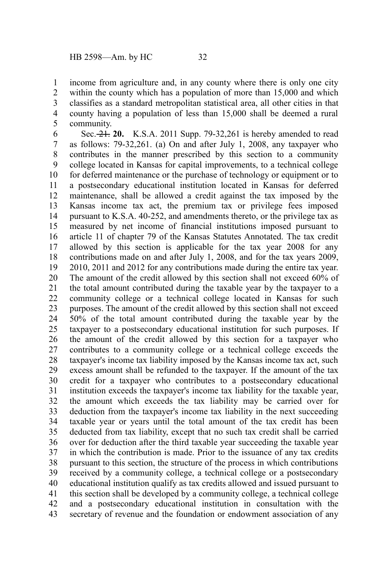income from agriculture and, in any county where there is only one city within the county which has a population of more than 15,000 and which classifies as a standard metropolitan statistical area, all other cities in that county having a population of less than 15,000 shall be deemed a rural community. 1 2 3 4 5

Sec. 21. **20.** K.S.A. 2011 Supp. 79-32,261 is hereby amended to read as follows: 79-32,261. (a) On and after July 1, 2008, any taxpayer who contributes in the manner prescribed by this section to a community college located in Kansas for capital improvements, to a technical college for deferred maintenance or the purchase of technology or equipment or to a postsecondary educational institution located in Kansas for deferred maintenance, shall be allowed a credit against the tax imposed by the Kansas income tax act, the premium tax or privilege fees imposed pursuant to K.S.A. 40-252, and amendments thereto, or the privilege tax as measured by net income of financial institutions imposed pursuant to article 11 of chapter 79 of the Kansas Statutes Annotated. The tax credit allowed by this section is applicable for the tax year 2008 for any contributions made on and after July 1, 2008, and for the tax years 2009, 2010, 2011 and 2012 for any contributions made during the entire tax year. The amount of the credit allowed by this section shall not exceed 60% of the total amount contributed during the taxable year by the taxpayer to a community college or a technical college located in Kansas for such purposes. The amount of the credit allowed by this section shall not exceed 50% of the total amount contributed during the taxable year by the taxpayer to a postsecondary educational institution for such purposes. If the amount of the credit allowed by this section for a taxpayer who contributes to a community college or a technical college exceeds the taxpayer's income tax liability imposed by the Kansas income tax act, such excess amount shall be refunded to the taxpayer. If the amount of the tax credit for a taxpayer who contributes to a postsecondary educational institution exceeds the taxpayer's income tax liability for the taxable year, the amount which exceeds the tax liability may be carried over for deduction from the taxpayer's income tax liability in the next succeeding taxable year or years until the total amount of the tax credit has been deducted from tax liability, except that no such tax credit shall be carried over for deduction after the third taxable year succeeding the taxable year in which the contribution is made. Prior to the issuance of any tax credits pursuant to this section, the structure of the process in which contributions received by a community college, a technical college or a postsecondary educational institution qualify as tax credits allowed and issued pursuant to this section shall be developed by a community college, a technical college and a postsecondary educational institution in consultation with the secretary of revenue and the foundation or endowment association of any 6 7 8 9 10 11 12 13 14 15 16 17 18 19 20 21 22 23 24 25 26 27 28 29 30 31 32 33 34 35 36 37 38 39 40 41 42 43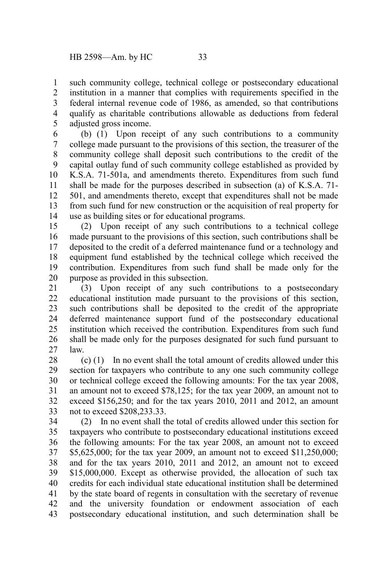such community college, technical college or postsecondary educational institution in a manner that complies with requirements specified in the federal internal revenue code of 1986, as amended, so that contributions qualify as charitable contributions allowable as deductions from federal adjusted gross income. 1 2 3 4 5

(b) (1) Upon receipt of any such contributions to a community college made pursuant to the provisions of this section, the treasurer of the community college shall deposit such contributions to the credit of the capital outlay fund of such community college established as provided by K.S.A. 71-501a, and amendments thereto. Expenditures from such fund shall be made for the purposes described in subsection (a) of K.S.A. 71- 501, and amendments thereto, except that expenditures shall not be made from such fund for new construction or the acquisition of real property for use as building sites or for educational programs. 6 7 8 9 10 11 12 13 14

(2) Upon receipt of any such contributions to a technical college made pursuant to the provisions of this section, such contributions shall be deposited to the credit of a deferred maintenance fund or a technology and equipment fund established by the technical college which received the contribution. Expenditures from such fund shall be made only for the purpose as provided in this subsection. 15 16 17 18 19 20

(3) Upon receipt of any such contributions to a postsecondary educational institution made pursuant to the provisions of this section, such contributions shall be deposited to the credit of the appropriate deferred maintenance support fund of the postsecondary educational institution which received the contribution. Expenditures from such fund shall be made only for the purposes designated for such fund pursuant to law. 21 22 23 24 25 26 27

(c) (1) In no event shall the total amount of credits allowed under this section for taxpayers who contribute to any one such community college or technical college exceed the following amounts: For the tax year 2008, an amount not to exceed \$78,125; for the tax year 2009, an amount not to exceed \$156,250; and for the tax years 2010, 2011 and 2012, an amount not to exceed \$208,233.33. 28 29 30 31 32 33

(2) In no event shall the total of credits allowed under this section for taxpayers who contribute to postsecondary educational institutions exceed the following amounts: For the tax year 2008, an amount not to exceed \$5,625,000; for the tax year 2009, an amount not to exceed \$11,250,000; and for the tax years 2010, 2011 and 2012, an amount not to exceed \$15,000,000. Except as otherwise provided, the allocation of such tax credits for each individual state educational institution shall be determined by the state board of regents in consultation with the secretary of revenue and the university foundation or endowment association of each postsecondary educational institution, and such determination shall be 34 35 36 37 38 39 40 41 42 43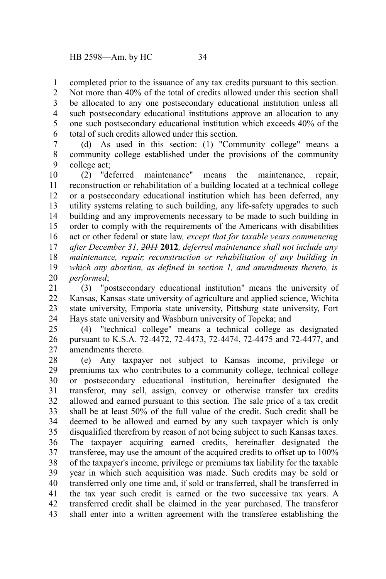completed prior to the issuance of any tax credits pursuant to this section. 1

Not more than 40% of the total of credits allowed under this section shall be allocated to any one postsecondary educational institution unless all such postsecondary educational institutions approve an allocation to any one such postsecondary educational institution which exceeds 40% of the total of such credits allowed under this section. 2 3 4 5 6

(d) As used in this section: (1) "Community college" means a community college established under the provisions of the community college act; 7 8 9

(2) "deferred maintenance" means the maintenance, repair, reconstruction or rehabilitation of a building located at a technical college or a postsecondary educational institution which has been deferred, any utility systems relating to such building, any life-safety upgrades to such building and any improvements necessary to be made to such building in order to comply with the requirements of the Americans with disabilities act or other federal or state law*, except that for taxable years commencing after December 31, 2011* **2012***, deferred maintenance shall not include any maintenance, repair, reconstruction or rehabilitation of any building in which any abortion, as defined in section 1, and amendments thereto, is performed*; 10 11 12 13 14 15 16 17 18 19 20

(3) "postsecondary educational institution" means the university of Kansas, Kansas state university of agriculture and applied science, Wichita state university, Emporia state university, Pittsburg state university, Fort Hays state university and Washburn university of Topeka; and 21 22 23 24

(4) "technical college" means a technical college as designated pursuant to K.S.A. 72-4472, 72-4473, 72-4474, 72-4475 and 72-4477, and amendments thereto. 25 26 27

(e) Any taxpayer not subject to Kansas income, privilege or premiums tax who contributes to a community college, technical college or postsecondary educational institution, hereinafter designated the transferor, may sell, assign, convey or otherwise transfer tax credits allowed and earned pursuant to this section. The sale price of a tax credit shall be at least 50% of the full value of the credit. Such credit shall be deemed to be allowed and earned by any such taxpayer which is only disqualified therefrom by reason of not being subject to such Kansas taxes. The taxpayer acquiring earned credits, hereinafter designated the transferee, may use the amount of the acquired credits to offset up to 100% of the taxpayer's income, privilege or premiums tax liability for the taxable year in which such acquisition was made. Such credits may be sold or transferred only one time and, if sold or transferred, shall be transferred in the tax year such credit is earned or the two successive tax years. A transferred credit shall be claimed in the year purchased. The transferor shall enter into a written agreement with the transferee establishing the 28 29 30 31 32 33 34 35 36 37 38 39 40 41 42 43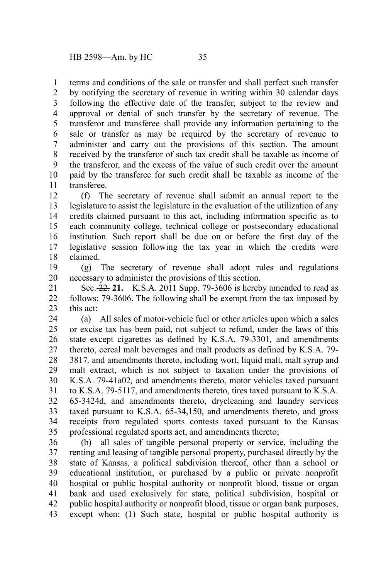terms and conditions of the sale or transfer and shall perfect such transfer 1

by notifying the secretary of revenue in writing within 30 calendar days following the effective date of the transfer, subject to the review and approval or denial of such transfer by the secretary of revenue. The transferor and transferee shall provide any information pertaining to the sale or transfer as may be required by the secretary of revenue to administer and carry out the provisions of this section. The amount received by the transferor of such tax credit shall be taxable as income of the transferor, and the excess of the value of such credit over the amount paid by the transferee for such credit shall be taxable as income of the transferee. 2 3 4 5 6 7 8 9 10 11

(f) The secretary of revenue shall submit an annual report to the legislature to assist the legislature in the evaluation of the utilization of any credits claimed pursuant to this act, including information specific as to each community college, technical college or postsecondary educational institution. Such report shall be due on or before the first day of the legislative session following the tax year in which the credits were claimed. 12 13 14 15 16 17 18

(g) The secretary of revenue shall adopt rules and regulations necessary to administer the provisions of this section. 19 20

Sec. 22. **21.** K.S.A. 2011 Supp. 79-3606 is hereby amended to read as follows: 79-3606. The following shall be exempt from the tax imposed by this act: 21 22 23

(a) All sales of motor-vehicle fuel or other articles upon which a sales or excise tax has been paid, not subject to refund, under the laws of this state except cigarettes as defined by K.S.A. 79-3301*,* and amendments thereto, cereal malt beverages and malt products as defined by K.S.A. 79- 3817*,* and amendments thereto, including wort, liquid malt, malt syrup and malt extract, which is not subject to taxation under the provisions of K.S.A. 79-41a02*,* and amendments thereto, motor vehicles taxed pursuant to K.S.A. 79-5117, and amendments thereto, tires taxed pursuant to K.S.A. 65-3424d, and amendments thereto, drycleaning and laundry services taxed pursuant to K.S.A. 65-34,150, and amendments thereto, and gross receipts from regulated sports contests taxed pursuant to the Kansas professional regulated sports act, and amendments thereto; 24 25 26 27 28 29 30 31 32 33 34 35

(b) all sales of tangible personal property or service, including the renting and leasing of tangible personal property, purchased directly by the state of Kansas, a political subdivision thereof, other than a school or educational institution, or purchased by a public or private nonprofit hospital or public hospital authority or nonprofit blood, tissue or organ bank and used exclusively for state, political subdivision, hospital or public hospital authority or nonprofit blood, tissue or organ bank purposes, except when: (1) Such state, hospital or public hospital authority is 36 37 38 39 40 41 42 43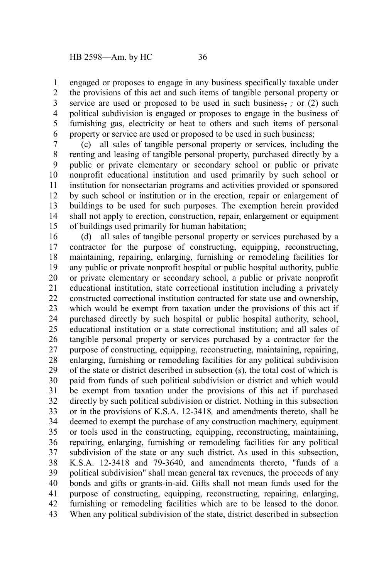engaged or proposes to engage in any business specifically taxable under the provisions of this act and such items of tangible personal property or service are used or proposed to be used in such business<sub>7</sub>; or (2) such political subdivision is engaged or proposes to engage in the business of furnishing gas, electricity or heat to others and such items of personal property or service are used or proposed to be used in such business; 1 2 3 4 5 6

(c) all sales of tangible personal property or services, including the renting and leasing of tangible personal property, purchased directly by a public or private elementary or secondary school or public or private nonprofit educational institution and used primarily by such school or institution for nonsectarian programs and activities provided or sponsored by such school or institution or in the erection, repair or enlargement of buildings to be used for such purposes. The exemption herein provided shall not apply to erection, construction, repair, enlargement or equipment of buildings used primarily for human habitation; 7 8 9 10 11 12 13 14 15

(d) all sales of tangible personal property or services purchased by a contractor for the purpose of constructing, equipping, reconstructing, maintaining, repairing, enlarging, furnishing or remodeling facilities for any public or private nonprofit hospital or public hospital authority, public or private elementary or secondary school, a public or private nonprofit educational institution, state correctional institution including a privately constructed correctional institution contracted for state use and ownership, which would be exempt from taxation under the provisions of this act if purchased directly by such hospital or public hospital authority, school, educational institution or a state correctional institution; and all sales of tangible personal property or services purchased by a contractor for the purpose of constructing, equipping, reconstructing, maintaining, repairing, enlarging, furnishing or remodeling facilities for any political subdivision of the state or district described in subsection (s), the total cost of which is paid from funds of such political subdivision or district and which would be exempt from taxation under the provisions of this act if purchased directly by such political subdivision or district. Nothing in this subsection or in the provisions of K.S.A. 12-3418*,* and amendments thereto, shall be deemed to exempt the purchase of any construction machinery, equipment or tools used in the constructing, equipping, reconstructing, maintaining, repairing, enlarging, furnishing or remodeling facilities for any political subdivision of the state or any such district. As used in this subsection, K.S.A. 12-3418 and 79-3640, and amendments thereto, "funds of a political subdivision" shall mean general tax revenues, the proceeds of any bonds and gifts or grants-in-aid. Gifts shall not mean funds used for the purpose of constructing, equipping, reconstructing, repairing, enlarging, furnishing or remodeling facilities which are to be leased to the donor. When any political subdivision of the state, district described in subsection 16 17 18 19 20 21 22 23 24 25 26 27 28 29 30 31 32 33 34 35 36 37 38 39 40 41 42 43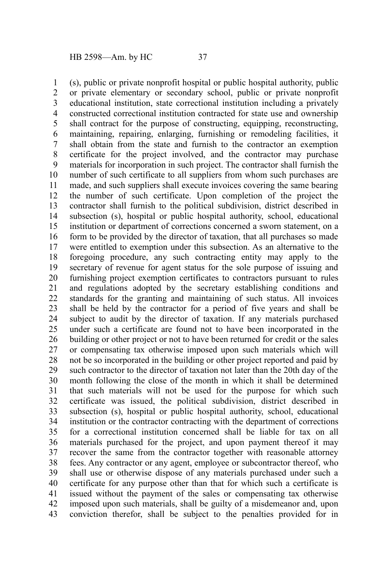(s), public or private nonprofit hospital or public hospital authority, public or private elementary or secondary school, public or private nonprofit educational institution, state correctional institution including a privately constructed correctional institution contracted for state use and ownership shall contract for the purpose of constructing, equipping, reconstructing, maintaining, repairing, enlarging, furnishing or remodeling facilities, it shall obtain from the state and furnish to the contractor an exemption certificate for the project involved, and the contractor may purchase materials for incorporation in such project. The contractor shall furnish the number of such certificate to all suppliers from whom such purchases are made, and such suppliers shall execute invoices covering the same bearing the number of such certificate. Upon completion of the project the contractor shall furnish to the political subdivision, district described in subsection (s), hospital or public hospital authority, school, educational institution or department of corrections concerned a sworn statement, on a form to be provided by the director of taxation, that all purchases so made were entitled to exemption under this subsection. As an alternative to the foregoing procedure, any such contracting entity may apply to the secretary of revenue for agent status for the sole purpose of issuing and furnishing project exemption certificates to contractors pursuant to rules and regulations adopted by the secretary establishing conditions and standards for the granting and maintaining of such status. All invoices shall be held by the contractor for a period of five years and shall be subject to audit by the director of taxation. If any materials purchased under such a certificate are found not to have been incorporated in the building or other project or not to have been returned for credit or the sales or compensating tax otherwise imposed upon such materials which will not be so incorporated in the building or other project reported and paid by such contractor to the director of taxation not later than the 20th day of the month following the close of the month in which it shall be determined that such materials will not be used for the purpose for which such certificate was issued, the political subdivision, district described in subsection (s), hospital or public hospital authority, school, educational institution or the contractor contracting with the department of corrections for a correctional institution concerned shall be liable for tax on all materials purchased for the project, and upon payment thereof it may recover the same from the contractor together with reasonable attorney fees. Any contractor or any agent, employee or subcontractor thereof, who shall use or otherwise dispose of any materials purchased under such a certificate for any purpose other than that for which such a certificate is issued without the payment of the sales or compensating tax otherwise imposed upon such materials, shall be guilty of a misdemeanor and, upon conviction therefor, shall be subject to the penalties provided for in 1 2 3 4 5 6 7 8 9 10 11 12 13 14 15 16 17 18 19 20 21 22 23 24 25 26 27 28 29 30 31 32 33 34 35 36 37 38 39 40 41 42 43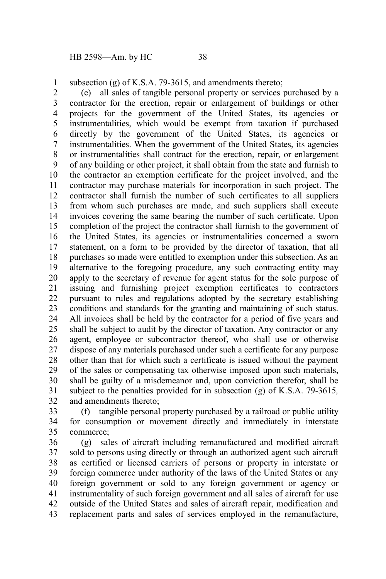subsection (g) of K.S.A. 79-3615, and amendments thereto; 1

(e) all sales of tangible personal property or services purchased by a contractor for the erection, repair or enlargement of buildings or other projects for the government of the United States, its agencies or instrumentalities, which would be exempt from taxation if purchased directly by the government of the United States, its agencies or instrumentalities. When the government of the United States, its agencies or instrumentalities shall contract for the erection, repair, or enlargement of any building or other project, it shall obtain from the state and furnish to the contractor an exemption certificate for the project involved, and the contractor may purchase materials for incorporation in such project. The contractor shall furnish the number of such certificates to all suppliers from whom such purchases are made, and such suppliers shall execute invoices covering the same bearing the number of such certificate. Upon completion of the project the contractor shall furnish to the government of the United States, its agencies or instrumentalities concerned a sworn statement, on a form to be provided by the director of taxation, that all purchases so made were entitled to exemption under this subsection. As an alternative to the foregoing procedure, any such contracting entity may apply to the secretary of revenue for agent status for the sole purpose of issuing and furnishing project exemption certificates to contractors pursuant to rules and regulations adopted by the secretary establishing conditions and standards for the granting and maintaining of such status. All invoices shall be held by the contractor for a period of five years and shall be subject to audit by the director of taxation. Any contractor or any agent, employee or subcontractor thereof, who shall use or otherwise dispose of any materials purchased under such a certificate for any purpose other than that for which such a certificate is issued without the payment of the sales or compensating tax otherwise imposed upon such materials, shall be guilty of a misdemeanor and, upon conviction therefor, shall be subject to the penalties provided for in subsection (g) of K.S.A. 79-3615*,* and amendments thereto; 2 3 4 5 6 7 8 9 10 11 12 13 14 15 16 17 18 19 20 21 22 23 24 25 26 27 28 29 30 31 32

(f) tangible personal property purchased by a railroad or public utility for consumption or movement directly and immediately in interstate commerce; 33 34 35

(g) sales of aircraft including remanufactured and modified aircraft sold to persons using directly or through an authorized agent such aircraft as certified or licensed carriers of persons or property in interstate or foreign commerce under authority of the laws of the United States or any foreign government or sold to any foreign government or agency or instrumentality of such foreign government and all sales of aircraft for use outside of the United States and sales of aircraft repair, modification and replacement parts and sales of services employed in the remanufacture, 36 37 38 39 40 41 42 43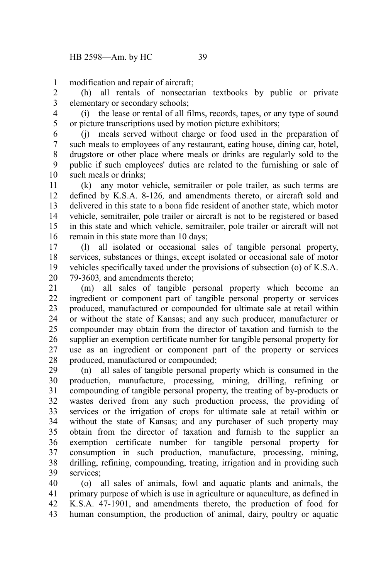modification and repair of aircraft; 1

(h) all rentals of nonsectarian textbooks by public or private elementary or secondary schools; 2 3

(i) the lease or rental of all films, records, tapes, or any type of sound or picture transcriptions used by motion picture exhibitors; 4 5

(j) meals served without charge or food used in the preparation of such meals to employees of any restaurant, eating house, dining car, hotel, drugstore or other place where meals or drinks are regularly sold to the public if such employees' duties are related to the furnishing or sale of such meals or drinks; 6 7 8 9 10

(k) any motor vehicle, semitrailer or pole trailer, as such terms are defined by K.S.A. 8-126*,* and amendments thereto, or aircraft sold and delivered in this state to a bona fide resident of another state, which motor vehicle, semitrailer, pole trailer or aircraft is not to be registered or based in this state and which vehicle, semitrailer, pole trailer or aircraft will not remain in this state more than 10 days; 11 12 13 14 15 16

(l) all isolated or occasional sales of tangible personal property, services, substances or things, except isolated or occasional sale of motor vehicles specifically taxed under the provisions of subsection (o) of K.S.A. 79-3603*,* and amendments thereto; 17 18 19 20

(m) all sales of tangible personal property which become an ingredient or component part of tangible personal property or services produced, manufactured or compounded for ultimate sale at retail within or without the state of Kansas; and any such producer, manufacturer or compounder may obtain from the director of taxation and furnish to the supplier an exemption certificate number for tangible personal property for use as an ingredient or component part of the property or services produced, manufactured or compounded; 21 22 23 24 25 26 27 28

(n) all sales of tangible personal property which is consumed in the production, manufacture, processing, mining, drilling, refining or compounding of tangible personal property, the treating of by-products or wastes derived from any such production process, the providing of services or the irrigation of crops for ultimate sale at retail within or without the state of Kansas; and any purchaser of such property may obtain from the director of taxation and furnish to the supplier an exemption certificate number for tangible personal property for consumption in such production, manufacture, processing, mining, drilling, refining, compounding, treating, irrigation and in providing such services<sup>.</sup> 29 30 31 32 33 34 35 36 37 38 39

(o) all sales of animals, fowl and aquatic plants and animals, the primary purpose of which is use in agriculture or aquaculture, as defined in K.S.A. 47-1901, and amendments thereto, the production of food for human consumption, the production of animal, dairy, poultry or aquatic 40 41 42 43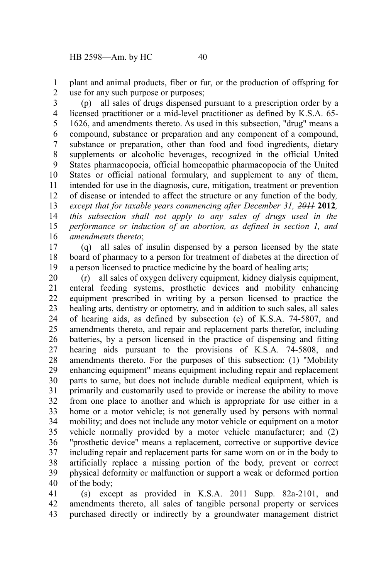plant and animal products, fiber or fur, or the production of offspring for use for any such purpose or purposes; 1 2

(p) all sales of drugs dispensed pursuant to a prescription order by a licensed practitioner or a mid-level practitioner as defined by K.S.A. 65- 1626, and amendments thereto. As used in this subsection, "drug" means a compound, substance or preparation and any component of a compound, substance or preparation, other than food and food ingredients, dietary supplements or alcoholic beverages, recognized in the official United States pharmacopoeia, official homeopathic pharmacopoeia of the United States or official national formulary, and supplement to any of them, intended for use in the diagnosis, cure, mitigation, treatment or prevention of disease or intended to affect the structure or any function of the body*, except that for taxable years commencing after December 31, 2011* **2012***, this subsection shall not apply to any sales of drugs used in the performance or induction of an abortion, as defined in section 1, and amendments thereto*; 3 4 5 6 7 8 9 10 11 12 13 14 15 16

(q) all sales of insulin dispensed by a person licensed by the state board of pharmacy to a person for treatment of diabetes at the direction of a person licensed to practice medicine by the board of healing arts; 17 18 19

(r) all sales of oxygen delivery equipment, kidney dialysis equipment, enteral feeding systems, prosthetic devices and mobility enhancing equipment prescribed in writing by a person licensed to practice the healing arts, dentistry or optometry, and in addition to such sales, all sales of hearing aids, as defined by subsection (c) of K.S.A. 74-5807, and amendments thereto, and repair and replacement parts therefor, including batteries, by a person licensed in the practice of dispensing and fitting hearing aids pursuant to the provisions of K.S.A. 74-5808, and amendments thereto. For the purposes of this subsection: (1) "Mobility enhancing equipment" means equipment including repair and replacement parts to same, but does not include durable medical equipment, which is primarily and customarily used to provide or increase the ability to move from one place to another and which is appropriate for use either in a home or a motor vehicle; is not generally used by persons with normal mobility; and does not include any motor vehicle or equipment on a motor vehicle normally provided by a motor vehicle manufacturer; and (2) "prosthetic device" means a replacement, corrective or supportive device including repair and replacement parts for same worn on or in the body to artificially replace a missing portion of the body, prevent or correct physical deformity or malfunction or support a weak or deformed portion of the body; 20 21 22 23 24 25 26 27 28 29 30 31 32 33 34 35 36 37 38 39 40

(s) except as provided in K.S.A. 2011 Supp. 82a-2101, and amendments thereto, all sales of tangible personal property or services purchased directly or indirectly by a groundwater management district 41 42 43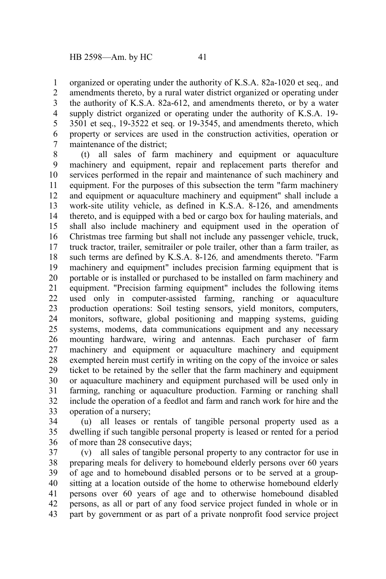organized or operating under the authority of K.S.A. 82a-1020 et seq.*,* and amendments thereto, by a rural water district organized or operating under the authority of K.S.A. 82a-612, and amendments thereto, or by a water supply district organized or operating under the authority of K.S.A. 19- 3501 et seq., 19-3522 et seq. or 19-3545, and amendments thereto, which property or services are used in the construction activities, operation or maintenance of the district; 1 2 3 4 5 6 7

(t) all sales of farm machinery and equipment or aquaculture machinery and equipment, repair and replacement parts therefor and services performed in the repair and maintenance of such machinery and equipment. For the purposes of this subsection the term "farm machinery and equipment or aquaculture machinery and equipment" shall include a work-site utility vehicle, as defined in K.S.A. 8-126, and amendments thereto, and is equipped with a bed or cargo box for hauling materials, and shall also include machinery and equipment used in the operation of Christmas tree farming but shall not include any passenger vehicle, truck, truck tractor, trailer, semitrailer or pole trailer, other than a farm trailer, as such terms are defined by K.S.A. 8-126*,* and amendments thereto. "Farm machinery and equipment" includes precision farming equipment that is portable or is installed or purchased to be installed on farm machinery and equipment. "Precision farming equipment" includes the following items used only in computer-assisted farming, ranching or aquaculture production operations: Soil testing sensors, yield monitors, computers, monitors, software, global positioning and mapping systems, guiding systems, modems, data communications equipment and any necessary mounting hardware, wiring and antennas. Each purchaser of farm machinery and equipment or aquaculture machinery and equipment exempted herein must certify in writing on the copy of the invoice or sales ticket to be retained by the seller that the farm machinery and equipment or aquaculture machinery and equipment purchased will be used only in farming, ranching or aquaculture production. Farming or ranching shall include the operation of a feedlot and farm and ranch work for hire and the operation of a nursery; 8 9 10 11 12 13 14 15 16 17 18 19 20 21 22 23 24 25 26 27 28 29 30 31 32 33

(u) all leases or rentals of tangible personal property used as a dwelling if such tangible personal property is leased or rented for a period of more than 28 consecutive days; 34 35 36

(v) all sales of tangible personal property to any contractor for use in preparing meals for delivery to homebound elderly persons over 60 years of age and to homebound disabled persons or to be served at a groupsitting at a location outside of the home to otherwise homebound elderly persons over 60 years of age and to otherwise homebound disabled persons, as all or part of any food service project funded in whole or in part by government or as part of a private nonprofit food service project 37 38 39 40 41 42 43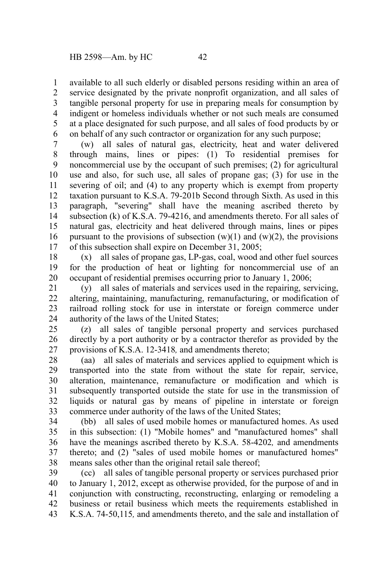available to all such elderly or disabled persons residing within an area of service designated by the private nonprofit organization, and all sales of tangible personal property for use in preparing meals for consumption by indigent or homeless individuals whether or not such meals are consumed at a place designated for such purpose, and all sales of food products by or on behalf of any such contractor or organization for any such purpose; 1 2 3 4 5 6

(w) all sales of natural gas, electricity, heat and water delivered through mains, lines or pipes: (1) To residential premises for noncommercial use by the occupant of such premises; (2) for agricultural use and also, for such use, all sales of propane gas; (3) for use in the severing of oil; and (4) to any property which is exempt from property taxation pursuant to K.S.A. 79-201b Second through Sixth. As used in this paragraph, "severing" shall have the meaning ascribed thereto by subsection (k) of K.S.A. 79-4216, and amendments thereto. For all sales of natural gas, electricity and heat delivered through mains, lines or pipes pursuant to the provisions of subsection  $(w)(1)$  and  $(w)(2)$ , the provisions of this subsection shall expire on December 31, 2005; 7 8 9 10 11 12 13 14 15 16 17

(x) all sales of propane gas, LP-gas, coal, wood and other fuel sources for the production of heat or lighting for noncommercial use of an occupant of residential premises occurring prior to January 1, 2006; 18 19 20

(y) all sales of materials and services used in the repairing, servicing, altering, maintaining, manufacturing, remanufacturing, or modification of railroad rolling stock for use in interstate or foreign commerce under authority of the laws of the United States; 21 22 23 24

(z) all sales of tangible personal property and services purchased directly by a port authority or by a contractor therefor as provided by the provisions of K.S.A. 12-3418*,* and amendments thereto; 25 26 27

(aa) all sales of materials and services applied to equipment which is transported into the state from without the state for repair, service, alteration, maintenance, remanufacture or modification and which is subsequently transported outside the state for use in the transmission of liquids or natural gas by means of pipeline in interstate or foreign commerce under authority of the laws of the United States; 28 29 30 31 32 33

(bb) all sales of used mobile homes or manufactured homes. As used in this subsection: (1) "Mobile homes" and "manufactured homes" shall have the meanings ascribed thereto by K.S.A. 58-4202*,* and amendments thereto; and (2) "sales of used mobile homes or manufactured homes" means sales other than the original retail sale thereof; 34 35 36 37 38

(cc) all sales of tangible personal property or services purchased prior to January 1, 2012, except as otherwise provided, for the purpose of and in conjunction with constructing, reconstructing, enlarging or remodeling a business or retail business which meets the requirements established in K.S.A. 74-50,115*,* and amendments thereto, and the sale and installation of 39 40 41 42 43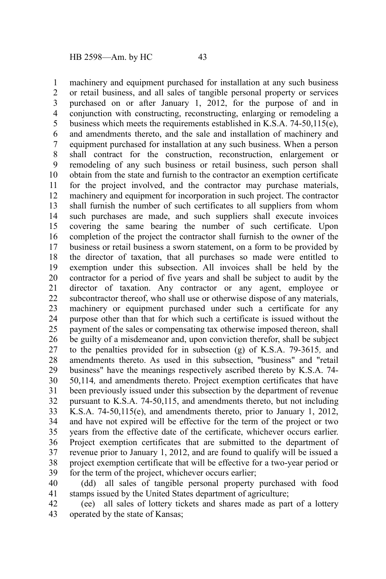machinery and equipment purchased for installation at any such business or retail business, and all sales of tangible personal property or services purchased on or after January 1, 2012, for the purpose of and in conjunction with constructing, reconstructing, enlarging or remodeling a business which meets the requirements established in K.S.A. 74-50,115(e), and amendments thereto, and the sale and installation of machinery and equipment purchased for installation at any such business. When a person shall contract for the construction, reconstruction, enlargement or remodeling of any such business or retail business, such person shall obtain from the state and furnish to the contractor an exemption certificate for the project involved, and the contractor may purchase materials, machinery and equipment for incorporation in such project. The contractor shall furnish the number of such certificates to all suppliers from whom such purchases are made, and such suppliers shall execute invoices covering the same bearing the number of such certificate. Upon completion of the project the contractor shall furnish to the owner of the business or retail business a sworn statement, on a form to be provided by the director of taxation, that all purchases so made were entitled to exemption under this subsection. All invoices shall be held by the contractor for a period of five years and shall be subject to audit by the director of taxation. Any contractor or any agent, employee or subcontractor thereof, who shall use or otherwise dispose of any materials, machinery or equipment purchased under such a certificate for any purpose other than that for which such a certificate is issued without the payment of the sales or compensating tax otherwise imposed thereon, shall be guilty of a misdemeanor and, upon conviction therefor, shall be subject to the penalties provided for in subsection (g) of K.S.A. 79-3615*,* and amendments thereto. As used in this subsection, "business" and "retail business" have the meanings respectively ascribed thereto by K.S.A. 74- 50,114*,* and amendments thereto. Project exemption certificates that have been previously issued under this subsection by the department of revenue pursuant to K.S.A. 74-50,115, and amendments thereto, but not including K.S.A. 74-50,115(e), and amendments thereto, prior to January 1, 2012, and have not expired will be effective for the term of the project or two years from the effective date of the certificate, whichever occurs earlier. Project exemption certificates that are submitted to the department of revenue prior to January 1, 2012, and are found to qualify will be issued a project exemption certificate that will be effective for a two-year period or for the term of the project, whichever occurs earlier; 1 2 3 4 5 6 7 8 9 10 11 12 13 14 15 16 17 18 19 20 21 22 23 24 25 26 27 28 29 30 31 32 33 34 35 36 37 38 39

(dd) all sales of tangible personal property purchased with food stamps issued by the United States department of agriculture; 40 41

(ee) all sales of lottery tickets and shares made as part of a lottery operated by the state of Kansas; 42 43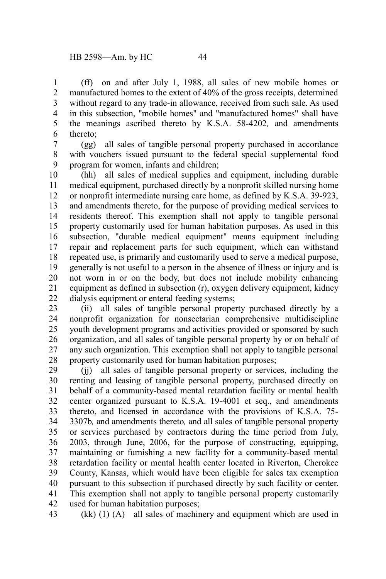(ff) on and after July 1, 1988, all sales of new mobile homes or manufactured homes to the extent of 40% of the gross receipts, determined without regard to any trade-in allowance, received from such sale. As used in this subsection, "mobile homes" and "manufactured homes" shall have the meanings ascribed thereto by K.S.A. 58-4202*,* and amendments thereto; 1 2 3 4 5 6

(gg) all sales of tangible personal property purchased in accordance with vouchers issued pursuant to the federal special supplemental food program for women, infants and children; 7 8 9

(hh) all sales of medical supplies and equipment, including durable medical equipment, purchased directly by a nonprofit skilled nursing home or nonprofit intermediate nursing care home, as defined by K.S.A. 39-923, and amendments thereto, for the purpose of providing medical services to residents thereof. This exemption shall not apply to tangible personal property customarily used for human habitation purposes. As used in this subsection, "durable medical equipment" means equipment including repair and replacement parts for such equipment, which can withstand repeated use, is primarily and customarily used to serve a medical purpose, generally is not useful to a person in the absence of illness or injury and is not worn in or on the body, but does not include mobility enhancing equipment as defined in subsection (r), oxygen delivery equipment, kidney dialysis equipment or enteral feeding systems; 10 11 12 13 14 15 16 17 18 19 20 21 22

(ii) all sales of tangible personal property purchased directly by a nonprofit organization for nonsectarian comprehensive multidiscipline youth development programs and activities provided or sponsored by such organization, and all sales of tangible personal property by or on behalf of any such organization. This exemption shall not apply to tangible personal property customarily used for human habitation purposes; 23 24 25 26 27 28

(ii) all sales of tangible personal property or services, including the renting and leasing of tangible personal property, purchased directly on behalf of a community-based mental retardation facility or mental health center organized pursuant to K.S.A. 19-4001 et seq., and amendments thereto, and licensed in accordance with the provisions of K.S.A. 75- 3307b*,* and amendments thereto*,* and all sales of tangible personal property or services purchased by contractors during the time period from July, 2003, through June, 2006, for the purpose of constructing, equipping, maintaining or furnishing a new facility for a community-based mental retardation facility or mental health center located in Riverton, Cherokee County, Kansas, which would have been eligible for sales tax exemption pursuant to this subsection if purchased directly by such facility or center. This exemption shall not apply to tangible personal property customarily used for human habitation purposes; 29 30 31 32 33 34 35 36 37 38 39 40 41 42

43

(kk) (1) (A) all sales of machinery and equipment which are used in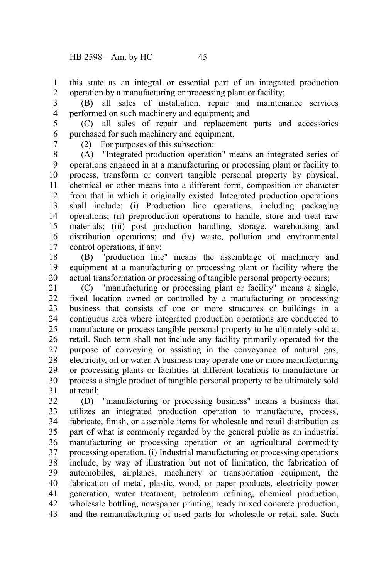this state as an integral or essential part of an integrated production operation by a manufacturing or processing plant or facility; 1 2

(B) all sales of installation, repair and maintenance services performed on such machinery and equipment; and 3 4

(C) all sales of repair and replacement parts and accessories purchased for such machinery and equipment. 5 6

7

(2) For purposes of this subsection:

(A) "Integrated production operation" means an integrated series of operations engaged in at a manufacturing or processing plant or facility to process, transform or convert tangible personal property by physical, chemical or other means into a different form, composition or character from that in which it originally existed. Integrated production operations shall include: (i) Production line operations, including packaging operations; (ii) preproduction operations to handle, store and treat raw materials; (iii) post production handling, storage, warehousing and distribution operations; and (iv) waste, pollution and environmental control operations, if any; 8 9 10 11 12 13 14 15 16 17

(B) "production line" means the assemblage of machinery and equipment at a manufacturing or processing plant or facility where the actual transformation or processing of tangible personal property occurs; 18 19 20

(C) "manufacturing or processing plant or facility" means a single, fixed location owned or controlled by a manufacturing or processing business that consists of one or more structures or buildings in a contiguous area where integrated production operations are conducted to manufacture or process tangible personal property to be ultimately sold at retail. Such term shall not include any facility primarily operated for the purpose of conveying or assisting in the conveyance of natural gas, electricity, oil or water. A business may operate one or more manufacturing or processing plants or facilities at different locations to manufacture or process a single product of tangible personal property to be ultimately sold at retail; 21 22 23 24 25 26 27 28 29 30 31

(D) "manufacturing or processing business" means a business that utilizes an integrated production operation to manufacture, process, fabricate, finish, or assemble items for wholesale and retail distribution as part of what is commonly regarded by the general public as an industrial manufacturing or processing operation or an agricultural commodity processing operation. (i) Industrial manufacturing or processing operations include, by way of illustration but not of limitation, the fabrication of automobiles, airplanes, machinery or transportation equipment, the fabrication of metal, plastic, wood, or paper products, electricity power generation, water treatment, petroleum refining, chemical production, wholesale bottling, newspaper printing, ready mixed concrete production, and the remanufacturing of used parts for wholesale or retail sale. Such 32 33 34 35 36 37 38 39 40 41 42 43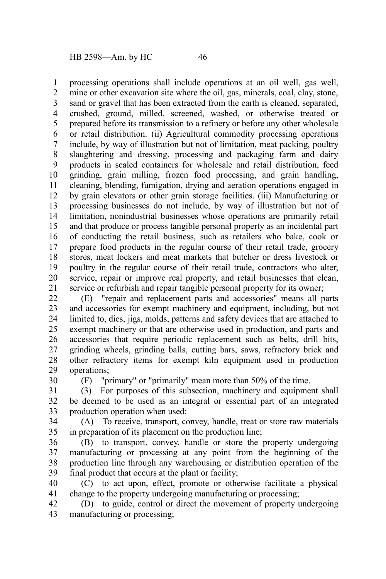processing operations shall include operations at an oil well, gas well, mine or other excavation site where the oil, gas, minerals, coal, clay, stone, sand or gravel that has been extracted from the earth is cleaned, separated, crushed, ground, milled, screened, washed, or otherwise treated or prepared before its transmission to a refinery or before any other wholesale or retail distribution. (ii) Agricultural commodity processing operations include, by way of illustration but not of limitation, meat packing, poultry slaughtering and dressing, processing and packaging farm and dairy products in sealed containers for wholesale and retail distribution, feed grinding, grain milling, frozen food processing, and grain handling, cleaning, blending, fumigation, drying and aeration operations engaged in by grain elevators or other grain storage facilities. (iii) Manufacturing or processing businesses do not include, by way of illustration but not of limitation, nonindustrial businesses whose operations are primarily retail and that produce or process tangible personal property as an incidental part of conducting the retail business, such as retailers who bake, cook or prepare food products in the regular course of their retail trade, grocery stores, meat lockers and meat markets that butcher or dress livestock or poultry in the regular course of their retail trade, contractors who alter, service, repair or improve real property, and retail businesses that clean, service or refurbish and repair tangible personal property for its owner; 1 2 3 4 5 6 7 8 9 10 11 12 13 14 15 16 17 18 19 20 21

(E) "repair and replacement parts and accessories" means all parts and accessories for exempt machinery and equipment, including, but not limited to, dies, jigs, molds, patterns and safety devices that are attached to exempt machinery or that are otherwise used in production, and parts and accessories that require periodic replacement such as belts, drill bits, grinding wheels, grinding balls, cutting bars, saws, refractory brick and other refractory items for exempt kiln equipment used in production operations; 22 23 24 25 26 27 28 29

30

(F) "primary" or "primarily" mean more than 50% of the time.

(3) For purposes of this subsection, machinery and equipment shall be deemed to be used as an integral or essential part of an integrated production operation when used: 31 32 33

(A) To receive, transport, convey, handle, treat or store raw materials in preparation of its placement on the production line; 34 35

(B) to transport, convey, handle or store the property undergoing manufacturing or processing at any point from the beginning of the production line through any warehousing or distribution operation of the final product that occurs at the plant or facility; 36 37 38 39

(C) to act upon, effect, promote or otherwise facilitate a physical change to the property undergoing manufacturing or processing; 40 41

(D) to guide, control or direct the movement of property undergoing manufacturing or processing; 42 43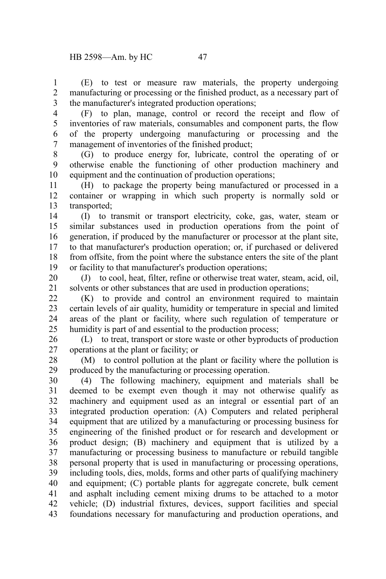(E) to test or measure raw materials, the property undergoing manufacturing or processing or the finished product, as a necessary part of the manufacturer's integrated production operations; 1 2 3

(F) to plan, manage, control or record the receipt and flow of inventories of raw materials, consumables and component parts, the flow of the property undergoing manufacturing or processing and the management of inventories of the finished product; 4 5 6 7

(G) to produce energy for, lubricate, control the operating of or otherwise enable the functioning of other production machinery and equipment and the continuation of production operations; 8 9 10

(H) to package the property being manufactured or processed in a container or wrapping in which such property is normally sold or transported; 11 12 13

(I) to transmit or transport electricity, coke, gas, water, steam or similar substances used in production operations from the point of generation, if produced by the manufacturer or processor at the plant site, to that manufacturer's production operation; or, if purchased or delivered from offsite, from the point where the substance enters the site of the plant or facility to that manufacturer's production operations; 14 15 16 17 18 19

(J) to cool, heat, filter, refine or otherwise treat water, steam, acid, oil, solvents or other substances that are used in production operations; 20 21

(K) to provide and control an environment required to maintain certain levels of air quality, humidity or temperature in special and limited areas of the plant or facility, where such regulation of temperature or humidity is part of and essential to the production process; 22 23 24 25

(L) to treat, transport or store waste or other byproducts of production operations at the plant or facility; or 26 27

(M) to control pollution at the plant or facility where the pollution is produced by the manufacturing or processing operation. 28 29

(4) The following machinery, equipment and materials shall be deemed to be exempt even though it may not otherwise qualify as machinery and equipment used as an integral or essential part of an integrated production operation: (A) Computers and related peripheral equipment that are utilized by a manufacturing or processing business for engineering of the finished product or for research and development or product design; (B) machinery and equipment that is utilized by a manufacturing or processing business to manufacture or rebuild tangible personal property that is used in manufacturing or processing operations, including tools, dies, molds, forms and other parts of qualifying machinery and equipment; (C) portable plants for aggregate concrete, bulk cement and asphalt including cement mixing drums to be attached to a motor vehicle; (D) industrial fixtures, devices, support facilities and special foundations necessary for manufacturing and production operations, and 30 31 32 33 34 35 36 37 38 39 40 41 42 43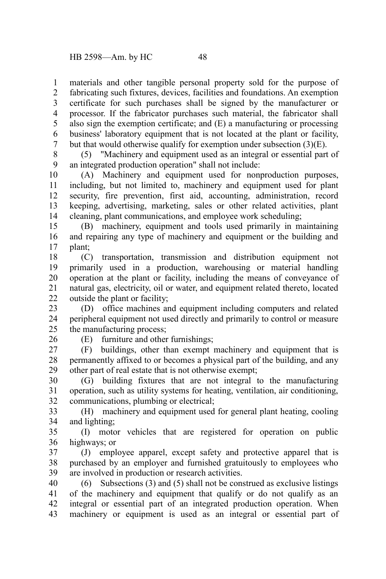materials and other tangible personal property sold for the purpose of fabricating such fixtures, devices, facilities and foundations. An exemption certificate for such purchases shall be signed by the manufacturer or processor. If the fabricator purchases such material, the fabricator shall also sign the exemption certificate; and (E) a manufacturing or processing business' laboratory equipment that is not located at the plant or facility, but that would otherwise qualify for exemption under subsection (3)(E). 1 2 3 4 5 6 7

(5) "Machinery and equipment used as an integral or essential part of an integrated production operation" shall not include: 8 9

(A) Machinery and equipment used for nonproduction purposes, including, but not limited to, machinery and equipment used for plant security, fire prevention, first aid, accounting, administration, record keeping, advertising, marketing, sales or other related activities, plant cleaning, plant communications, and employee work scheduling; 10 11 12 13 14

(B) machinery, equipment and tools used primarily in maintaining and repairing any type of machinery and equipment or the building and plant; 15 16 17

(C) transportation, transmission and distribution equipment not primarily used in a production, warehousing or material handling operation at the plant or facility, including the means of conveyance of natural gas, electricity, oil or water, and equipment related thereto, located outside the plant or facility; 18 19 20 21 22

(D) office machines and equipment including computers and related peripheral equipment not used directly and primarily to control or measure the manufacturing process; 23 24 25

26

(E) furniture and other furnishings;

(F) buildings, other than exempt machinery and equipment that is permanently affixed to or becomes a physical part of the building, and any other part of real estate that is not otherwise exempt; 27 28 29

(G) building fixtures that are not integral to the manufacturing operation, such as utility systems for heating, ventilation, air conditioning, communications, plumbing or electrical; 30 31 32

(H) machinery and equipment used for general plant heating, cooling and lighting; 33 34

(I) motor vehicles that are registered for operation on public highways; or 35 36

(J) employee apparel, except safety and protective apparel that is purchased by an employer and furnished gratuitously to employees who are involved in production or research activities. 37 38 39

(6) Subsections (3) and (5) shall not be construed as exclusive listings of the machinery and equipment that qualify or do not qualify as an integral or essential part of an integrated production operation. When machinery or equipment is used as an integral or essential part of 40 41 42 43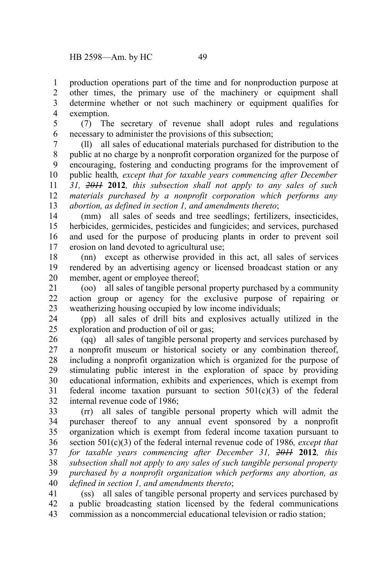production operations part of the time and for nonproduction purpose at other times, the primary use of the machinery or equipment shall determine whether or not such machinery or equipment qualifies for exemption. 1 2 3 4

(7) The secretary of revenue shall adopt rules and regulations necessary to administer the provisions of this subsection; 5 6

(ll) all sales of educational materials purchased for distribution to the public at no charge by a nonprofit corporation organized for the purpose of encouraging, fostering and conducting programs for the improvement of public health*, except that for taxable years commencing after December 31, 2011* **2012***, this subsection shall not apply to any sales of such materials purchased by a nonprofit corporation which performs any abortion, as defined in section 1, and amendments thereto*; 7 8 9 10 11 12 13

(mm) all sales of seeds and tree seedlings; fertilizers, insecticides, herbicides, germicides, pesticides and fungicides; and services, purchased and used for the purpose of producing plants in order to prevent soil erosion on land devoted to agricultural use; 14 15 16 17

(nn) except as otherwise provided in this act, all sales of services rendered by an advertising agency or licensed broadcast station or any member, agent or employee thereof; 18 19 20

(oo) all sales of tangible personal property purchased by a community action group or agency for the exclusive purpose of repairing or weatherizing housing occupied by low income individuals; 21 22 23

(pp) all sales of drill bits and explosives actually utilized in the exploration and production of oil or gas; 24 25

(qq) all sales of tangible personal property and services purchased by a nonprofit museum or historical society or any combination thereof, including a nonprofit organization which is organized for the purpose of stimulating public interest in the exploration of space by providing educational information, exhibits and experiences, which is exempt from federal income taxation pursuant to section 501(c)(3) of the federal internal revenue code of 1986; 26 27 28 29 30 31 32

(rr) all sales of tangible personal property which will admit the purchaser thereof to any annual event sponsored by a nonprofit organization which is exempt from federal income taxation pursuant to section 501(c)(3) of the federal internal revenue code of 1986*, except that for taxable years commencing after December 31, 2011* **2012***, this subsection shall not apply to any sales of such tangible personal property purchased by a nonprofit organization which performs any abortion, as defined in section 1, and amendments thereto*; 33 34 35 36 37 38 39 40

(ss) all sales of tangible personal property and services purchased by a public broadcasting station licensed by the federal communications commission as a noncommercial educational television or radio station; 41 42 43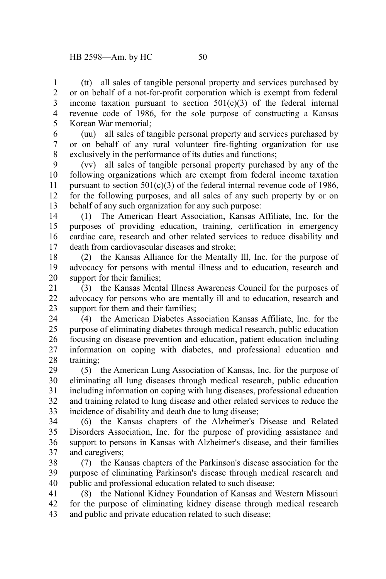(tt) all sales of tangible personal property and services purchased by or on behalf of a not-for-profit corporation which is exempt from federal income taxation pursuant to section  $501(c)(3)$  of the federal internal revenue code of 1986, for the sole purpose of constructing a Kansas Korean War memorial; 1 2 3 4 5

(uu) all sales of tangible personal property and services purchased by or on behalf of any rural volunteer fire-fighting organization for use exclusively in the performance of its duties and functions; 6 7 8

(vv) all sales of tangible personal property purchased by any of the following organizations which are exempt from federal income taxation pursuant to section  $501(c)(3)$  of the federal internal revenue code of 1986, for the following purposes, and all sales of any such property by or on behalf of any such organization for any such purpose: 9 10 11 12 13

(1) The American Heart Association, Kansas Affiliate, Inc. for the purposes of providing education, training, certification in emergency cardiac care, research and other related services to reduce disability and death from cardiovascular diseases and stroke; 14 15 16 17

(2) the Kansas Alliance for the Mentally Ill, Inc. for the purpose of advocacy for persons with mental illness and to education, research and support for their families; 18 19 20

(3) the Kansas Mental Illness Awareness Council for the purposes of advocacy for persons who are mentally ill and to education, research and support for them and their families: 21 22 23

(4) the American Diabetes Association Kansas Affiliate, Inc. for the purpose of eliminating diabetes through medical research, public education focusing on disease prevention and education, patient education including information on coping with diabetes, and professional education and training; 24 25 26 27 28

(5) the American Lung Association of Kansas, Inc. for the purpose of eliminating all lung diseases through medical research, public education including information on coping with lung diseases, professional education and training related to lung disease and other related services to reduce the incidence of disability and death due to lung disease; 29 30 31 32 33

(6) the Kansas chapters of the Alzheimer's Disease and Related Disorders Association, Inc. for the purpose of providing assistance and support to persons in Kansas with Alzheimer's disease, and their families and caregivers; 34 35 36 37

(7) the Kansas chapters of the Parkinson's disease association for the purpose of eliminating Parkinson's disease through medical research and public and professional education related to such disease; 38 39 40

(8) the National Kidney Foundation of Kansas and Western Missouri for the purpose of eliminating kidney disease through medical research and public and private education related to such disease; 41 42 43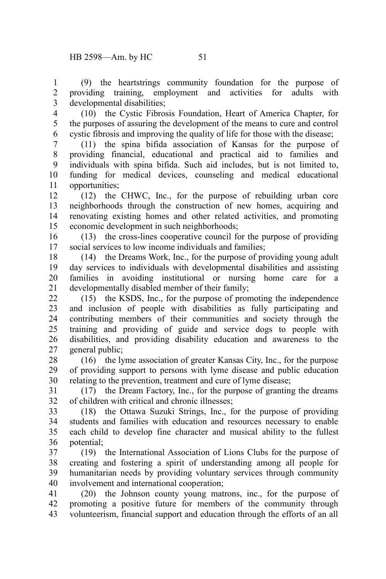(9) the heartstrings community foundation for the purpose of providing training, employment and activities for adults with developmental disabilities; 1 2 3

4 5

(10) the Cystic Fibrosis Foundation, Heart of America Chapter, for the purposes of assuring the development of the means to cure and control cystic fibrosis and improving the quality of life for those with the disease; 6

(11) the spina bifida association of Kansas for the purpose of providing financial, educational and practical aid to families and individuals with spina bifida. Such aid includes, but is not limited to, funding for medical devices, counseling and medical educational opportunities; 7 8 9 10 11

(12) the CHWC, Inc., for the purpose of rebuilding urban core neighborhoods through the construction of new homes, acquiring and renovating existing homes and other related activities, and promoting economic development in such neighborhoods; 12 13 14 15

(13) the cross-lines cooperative council for the purpose of providing social services to low income individuals and families; 16 17

(14) the Dreams Work, Inc., for the purpose of providing young adult day services to individuals with developmental disabilities and assisting families in avoiding institutional or nursing home care for a developmentally disabled member of their family; 18 19 20 21

(15) the KSDS, Inc., for the purpose of promoting the independence and inclusion of people with disabilities as fully participating and contributing members of their communities and society through the training and providing of guide and service dogs to people with disabilities, and providing disability education and awareness to the general public; 22 23 24 25 26 27

(16) the lyme association of greater Kansas City, Inc., for the purpose of providing support to persons with lyme disease and public education relating to the prevention, treatment and cure of lyme disease; 28 29 30

(17) the Dream Factory, Inc., for the purpose of granting the dreams of children with critical and chronic illnesses; 31 32

(18) the Ottawa Suzuki Strings, Inc., for the purpose of providing students and families with education and resources necessary to enable each child to develop fine character and musical ability to the fullest potential; 33 34 35 36

(19) the International Association of Lions Clubs for the purpose of creating and fostering a spirit of understanding among all people for humanitarian needs by providing voluntary services through community involvement and international cooperation; 37 38 39 40

(20) the Johnson county young matrons, inc., for the purpose of promoting a positive future for members of the community through volunteerism, financial support and education through the efforts of an all 41 42 43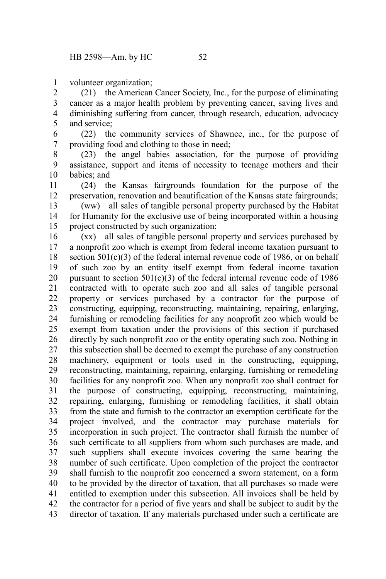volunteer organization; 1

(21) the American Cancer Society, Inc., for the purpose of eliminating cancer as a major health problem by preventing cancer, saving lives and diminishing suffering from cancer, through research, education, advocacy and service; 2 3 4 5

(22) the community services of Shawnee, inc., for the purpose of providing food and clothing to those in need; 6 7

(23) the angel babies association, for the purpose of providing assistance, support and items of necessity to teenage mothers and their babies; and 8 9 10

(24) the Kansas fairgrounds foundation for the purpose of the preservation, renovation and beautification of the Kansas state fairgrounds; 11 12

(ww) all sales of tangible personal property purchased by the Habitat for Humanity for the exclusive use of being incorporated within a housing project constructed by such organization; 13 14 15

(xx) all sales of tangible personal property and services purchased by a nonprofit zoo which is exempt from federal income taxation pursuant to section  $501(c)(3)$  of the federal internal revenue code of 1986, or on behalf of such zoo by an entity itself exempt from federal income taxation pursuant to section  $501(c)(3)$  of the federal internal revenue code of 1986 contracted with to operate such zoo and all sales of tangible personal property or services purchased by a contractor for the purpose of constructing, equipping, reconstructing, maintaining, repairing, enlarging, furnishing or remodeling facilities for any nonprofit zoo which would be exempt from taxation under the provisions of this section if purchased directly by such nonprofit zoo or the entity operating such zoo. Nothing in this subsection shall be deemed to exempt the purchase of any construction machinery, equipment or tools used in the constructing, equipping, reconstructing, maintaining, repairing, enlarging, furnishing or remodeling facilities for any nonprofit zoo. When any nonprofit zoo shall contract for the purpose of constructing, equipping, reconstructing, maintaining, repairing, enlarging, furnishing or remodeling facilities, it shall obtain from the state and furnish to the contractor an exemption certificate for the project involved, and the contractor may purchase materials for incorporation in such project. The contractor shall furnish the number of such certificate to all suppliers from whom such purchases are made, and such suppliers shall execute invoices covering the same bearing the number of such certificate. Upon completion of the project the contractor shall furnish to the nonprofit zoo concerned a sworn statement, on a form to be provided by the director of taxation, that all purchases so made were entitled to exemption under this subsection. All invoices shall be held by the contractor for a period of five years and shall be subject to audit by the director of taxation. If any materials purchased under such a certificate are 16 17 18 19 20 21 22 23 24 25 26 27 28 29 30 31 32 33 34 35 36 37 38 39 40 41 42 43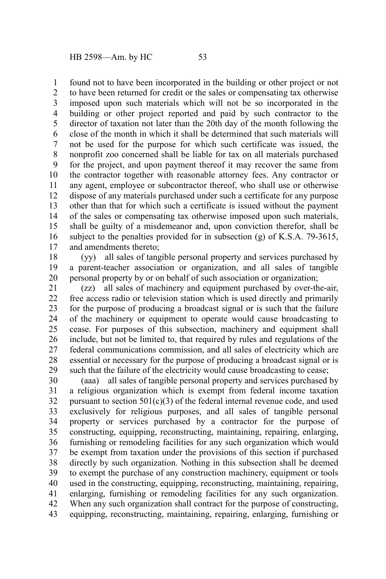found not to have been incorporated in the building or other project or not 1

to have been returned for credit or the sales or compensating tax otherwise imposed upon such materials which will not be so incorporated in the building or other project reported and paid by such contractor to the director of taxation not later than the 20th day of the month following the close of the month in which it shall be determined that such materials will not be used for the purpose for which such certificate was issued, the nonprofit zoo concerned shall be liable for tax on all materials purchased for the project, and upon payment thereof it may recover the same from the contractor together with reasonable attorney fees. Any contractor or any agent, employee or subcontractor thereof, who shall use or otherwise dispose of any materials purchased under such a certificate for any purpose other than that for which such a certificate is issued without the payment of the sales or compensating tax otherwise imposed upon such materials, shall be guilty of a misdemeanor and, upon conviction therefor, shall be subject to the penalties provided for in subsection (g) of K.S.A. 79-3615, and amendments thereto; 2 3 4 5 6 7 8 9 10 11 12 13 14 15 16 17

(yy) all sales of tangible personal property and services purchased by a parent-teacher association or organization, and all sales of tangible personal property by or on behalf of such association or organization; 18 19 20

(zz) all sales of machinery and equipment purchased by over-the-air, free access radio or television station which is used directly and primarily for the purpose of producing a broadcast signal or is such that the failure of the machinery or equipment to operate would cause broadcasting to cease. For purposes of this subsection, machinery and equipment shall include, but not be limited to, that required by rules and regulations of the federal communications commission, and all sales of electricity which are essential or necessary for the purpose of producing a broadcast signal or is such that the failure of the electricity would cause broadcasting to cease; 21 22 23 24 25 26 27 28 29

(aaa) all sales of tangible personal property and services purchased by a religious organization which is exempt from federal income taxation pursuant to section  $501(c)(3)$  of the federal internal revenue code, and used exclusively for religious purposes, and all sales of tangible personal property or services purchased by a contractor for the purpose of constructing, equipping, reconstructing, maintaining, repairing, enlarging, furnishing or remodeling facilities for any such organization which would be exempt from taxation under the provisions of this section if purchased directly by such organization. Nothing in this subsection shall be deemed to exempt the purchase of any construction machinery, equipment or tools used in the constructing, equipping, reconstructing, maintaining, repairing, enlarging, furnishing or remodeling facilities for any such organization. When any such organization shall contract for the purpose of constructing, equipping, reconstructing, maintaining, repairing, enlarging, furnishing or 30 31 32 33 34 35 36 37 38 39 40 41 42 43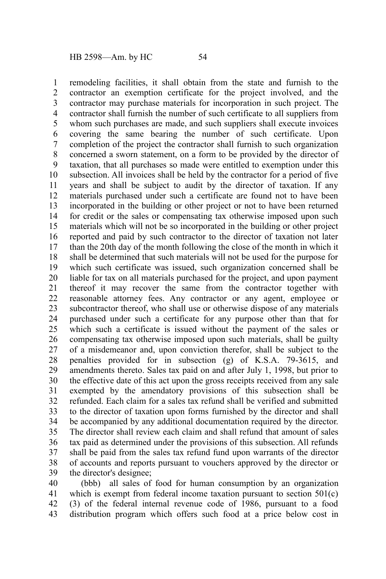remodeling facilities, it shall obtain from the state and furnish to the contractor an exemption certificate for the project involved, and the contractor may purchase materials for incorporation in such project. The contractor shall furnish the number of such certificate to all suppliers from whom such purchases are made, and such suppliers shall execute invoices covering the same bearing the number of such certificate. Upon completion of the project the contractor shall furnish to such organization concerned a sworn statement, on a form to be provided by the director of taxation, that all purchases so made were entitled to exemption under this subsection. All invoices shall be held by the contractor for a period of five years and shall be subject to audit by the director of taxation. If any materials purchased under such a certificate are found not to have been incorporated in the building or other project or not to have been returned for credit or the sales or compensating tax otherwise imposed upon such materials which will not be so incorporated in the building or other project reported and paid by such contractor to the director of taxation not later than the 20th day of the month following the close of the month in which it shall be determined that such materials will not be used for the purpose for which such certificate was issued, such organization concerned shall be liable for tax on all materials purchased for the project, and upon payment thereof it may recover the same from the contractor together with reasonable attorney fees. Any contractor or any agent, employee or subcontractor thereof, who shall use or otherwise dispose of any materials purchased under such a certificate for any purpose other than that for which such a certificate is issued without the payment of the sales or compensating tax otherwise imposed upon such materials, shall be guilty of a misdemeanor and, upon conviction therefor, shall be subject to the penalties provided for in subsection (g) of K.S.A. 79-3615, and amendments thereto. Sales tax paid on and after July 1, 1998, but prior to the effective date of this act upon the gross receipts received from any sale exempted by the amendatory provisions of this subsection shall be refunded. Each claim for a sales tax refund shall be verified and submitted to the director of taxation upon forms furnished by the director and shall be accompanied by any additional documentation required by the director. The director shall review each claim and shall refund that amount of sales tax paid as determined under the provisions of this subsection. All refunds shall be paid from the sales tax refund fund upon warrants of the director of accounts and reports pursuant to vouchers approved by the director or the director's designee; 1 2 3 4 5 6 7 8 9 10 11 12 13 14 15 16 17 18 19 20 21 22 23 24 25 26 27 28 29 30 31 32 33 34 35 36 37 38 39

(bbb) all sales of food for human consumption by an organization which is exempt from federal income taxation pursuant to section  $501(c)$ (3) of the federal internal revenue code of 1986, pursuant to a food distribution program which offers such food at a price below cost in 40 41 42 43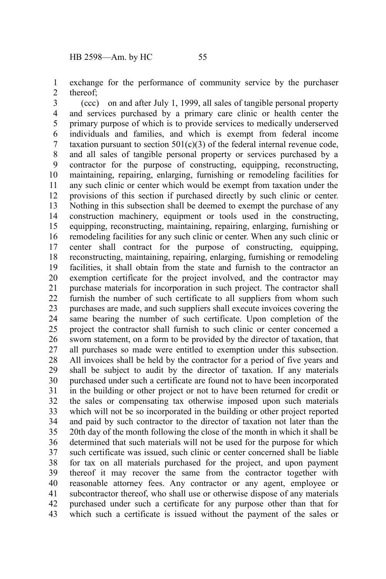exchange for the performance of community service by the purchaser thereof; 1 2

(ccc) on and after July 1, 1999, all sales of tangible personal property and services purchased by a primary care clinic or health center the primary purpose of which is to provide services to medically underserved individuals and families, and which is exempt from federal income taxation pursuant to section  $501(c)(3)$  of the federal internal revenue code, and all sales of tangible personal property or services purchased by a contractor for the purpose of constructing, equipping, reconstructing, maintaining, repairing, enlarging, furnishing or remodeling facilities for any such clinic or center which would be exempt from taxation under the provisions of this section if purchased directly by such clinic or center. Nothing in this subsection shall be deemed to exempt the purchase of any construction machinery, equipment or tools used in the constructing, equipping, reconstructing, maintaining, repairing, enlarging, furnishing or remodeling facilities for any such clinic or center. When any such clinic or center shall contract for the purpose of constructing, equipping, reconstructing, maintaining, repairing, enlarging, furnishing or remodeling facilities, it shall obtain from the state and furnish to the contractor an exemption certificate for the project involved, and the contractor may purchase materials for incorporation in such project. The contractor shall furnish the number of such certificate to all suppliers from whom such purchases are made, and such suppliers shall execute invoices covering the same bearing the number of such certificate. Upon completion of the project the contractor shall furnish to such clinic or center concerned a sworn statement, on a form to be provided by the director of taxation, that all purchases so made were entitled to exemption under this subsection. All invoices shall be held by the contractor for a period of five years and shall be subject to audit by the director of taxation. If any materials purchased under such a certificate are found not to have been incorporated in the building or other project or not to have been returned for credit or the sales or compensating tax otherwise imposed upon such materials which will not be so incorporated in the building or other project reported and paid by such contractor to the director of taxation not later than the 20th day of the month following the close of the month in which it shall be determined that such materials will not be used for the purpose for which such certificate was issued, such clinic or center concerned shall be liable for tax on all materials purchased for the project, and upon payment thereof it may recover the same from the contractor together with reasonable attorney fees. Any contractor or any agent, employee or subcontractor thereof, who shall use or otherwise dispose of any materials purchased under such a certificate for any purpose other than that for which such a certificate is issued without the payment of the sales or 3 4 5 6 7 8 9 10 11 12 13 14 15 16 17 18 19 20 21 22 23 24 25 26 27 28 29 30 31 32 33 34 35 36 37 38 39 40 41 42 43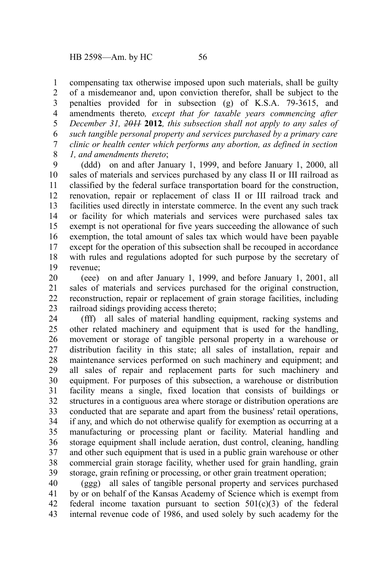compensating tax otherwise imposed upon such materials, shall be guilty of a misdemeanor and, upon conviction therefor, shall be subject to the penalties provided for in subsection (g) of K.S.A. 79-3615, and amendments thereto*, except that for taxable years commencing after December 31, 2011* **2012***, this subsection shall not apply to any sales of such tangible personal property and services purchased by a primary care clinic or health center which performs any abortion, as defined in section 1, and amendments thereto*; 1 2 3 4 5 6 7 8

(ddd) on and after January 1, 1999, and before January 1, 2000, all sales of materials and services purchased by any class II or III railroad as classified by the federal surface transportation board for the construction, renovation, repair or replacement of class II or III railroad track and facilities used directly in interstate commerce. In the event any such track or facility for which materials and services were purchased sales tax exempt is not operational for five years succeeding the allowance of such exemption, the total amount of sales tax which would have been payable except for the operation of this subsection shall be recouped in accordance with rules and regulations adopted for such purpose by the secretary of revenue; 9 10 11 12 13 14 15 16 17 18 19

(eee) on and after January 1, 1999, and before January 1, 2001, all sales of materials and services purchased for the original construction, reconstruction, repair or replacement of grain storage facilities, including railroad sidings providing access thereto; 20 21 22 23

(fff) all sales of material handling equipment, racking systems and other related machinery and equipment that is used for the handling, movement or storage of tangible personal property in a warehouse or distribution facility in this state; all sales of installation, repair and maintenance services performed on such machinery and equipment; and all sales of repair and replacement parts for such machinery and equipment. For purposes of this subsection, a warehouse or distribution facility means a single, fixed location that consists of buildings or structures in a contiguous area where storage or distribution operations are conducted that are separate and apart from the business' retail operations, if any, and which do not otherwise qualify for exemption as occurring at a manufacturing or processing plant or facility. Material handling and storage equipment shall include aeration, dust control, cleaning, handling and other such equipment that is used in a public grain warehouse or other commercial grain storage facility, whether used for grain handling, grain storage, grain refining or processing, or other grain treatment operation; 24 25 26 27 28 29 30 31 32 33 34 35 36 37 38 39

(ggg) all sales of tangible personal property and services purchased by or on behalf of the Kansas Academy of Science which is exempt from federal income taxation pursuant to section  $501(c)(3)$  of the federal internal revenue code of 1986, and used solely by such academy for the 40 41 42 43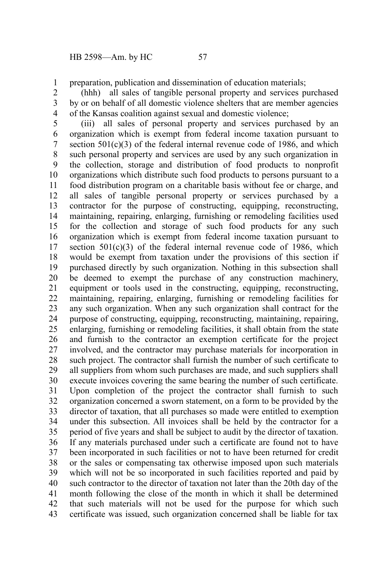preparation, publication and dissemination of education materials; 1

(hhh) all sales of tangible personal property and services purchased by or on behalf of all domestic violence shelters that are member agencies of the Kansas coalition against sexual and domestic violence; 2 3 4

(iii) all sales of personal property and services purchased by an organization which is exempt from federal income taxation pursuant to section  $501(c)(3)$  of the federal internal revenue code of 1986, and which such personal property and services are used by any such organization in the collection, storage and distribution of food products to nonprofit organizations which distribute such food products to persons pursuant to a food distribution program on a charitable basis without fee or charge, and all sales of tangible personal property or services purchased by a contractor for the purpose of constructing, equipping, reconstructing, maintaining, repairing, enlarging, furnishing or remodeling facilities used for the collection and storage of such food products for any such organization which is exempt from federal income taxation pursuant to section  $501(c)(3)$  of the federal internal revenue code of 1986, which would be exempt from taxation under the provisions of this section if purchased directly by such organization. Nothing in this subsection shall be deemed to exempt the purchase of any construction machinery, equipment or tools used in the constructing, equipping, reconstructing, maintaining, repairing, enlarging, furnishing or remodeling facilities for any such organization. When any such organization shall contract for the purpose of constructing, equipping, reconstructing, maintaining, repairing, enlarging, furnishing or remodeling facilities, it shall obtain from the state and furnish to the contractor an exemption certificate for the project involved, and the contractor may purchase materials for incorporation in such project. The contractor shall furnish the number of such certificate to all suppliers from whom such purchases are made, and such suppliers shall execute invoices covering the same bearing the number of such certificate. Upon completion of the project the contractor shall furnish to such organization concerned a sworn statement, on a form to be provided by the director of taxation, that all purchases so made were entitled to exemption under this subsection. All invoices shall be held by the contractor for a period of five years and shall be subject to audit by the director of taxation. If any materials purchased under such a certificate are found not to have been incorporated in such facilities or not to have been returned for credit or the sales or compensating tax otherwise imposed upon such materials which will not be so incorporated in such facilities reported and paid by such contractor to the director of taxation not later than the 20th day of the month following the close of the month in which it shall be determined that such materials will not be used for the purpose for which such certificate was issued, such organization concerned shall be liable for tax 5 6 7 8 9 10 11 12 13 14 15 16 17 18 19 20 21 22 23 24 25 26 27 28 29 30 31 32 33 34 35 36 37 38 39 40 41 42 43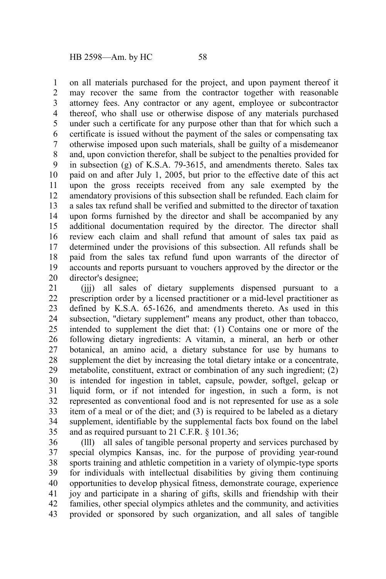on all materials purchased for the project, and upon payment thereof it may recover the same from the contractor together with reasonable attorney fees. Any contractor or any agent, employee or subcontractor thereof, who shall use or otherwise dispose of any materials purchased under such a certificate for any purpose other than that for which such a certificate is issued without the payment of the sales or compensating tax otherwise imposed upon such materials, shall be guilty of a misdemeanor and, upon conviction therefor, shall be subject to the penalties provided for in subsection (g) of K.S.A. 79-3615, and amendments thereto. Sales tax paid on and after July 1, 2005, but prior to the effective date of this act upon the gross receipts received from any sale exempted by the amendatory provisions of this subsection shall be refunded. Each claim for a sales tax refund shall be verified and submitted to the director of taxation upon forms furnished by the director and shall be accompanied by any additional documentation required by the director. The director shall review each claim and shall refund that amount of sales tax paid as determined under the provisions of this subsection. All refunds shall be paid from the sales tax refund fund upon warrants of the director of accounts and reports pursuant to vouchers approved by the director or the director's designee; 1 2 3 4 5 6 7 8 9 10 11 12 13 14 15 16 17 18 19 20

(jjj) all sales of dietary supplements dispensed pursuant to a prescription order by a licensed practitioner or a mid-level practitioner as defined by K.S.A. 65-1626, and amendments thereto. As used in this subsection, "dietary supplement" means any product, other than tobacco, intended to supplement the diet that: (1) Contains one or more of the following dietary ingredients: A vitamin, a mineral, an herb or other botanical, an amino acid, a dietary substance for use by humans to supplement the diet by increasing the total dietary intake or a concentrate, metabolite, constituent, extract or combination of any such ingredient; (2) is intended for ingestion in tablet, capsule, powder, softgel, gelcap or liquid form, or if not intended for ingestion, in such a form, is not represented as conventional food and is not represented for use as a sole item of a meal or of the diet; and (3) is required to be labeled as a dietary supplement, identifiable by the supplemental facts box found on the label and as required pursuant to 21 C.F.R. § 101.36; 21 22 23 24 25 26 27 28 29 30 31 32 33 34 35

(lll) all sales of tangible personal property and services purchased by special olympics Kansas, inc. for the purpose of providing year-round sports training and athletic competition in a variety of olympic-type sports for individuals with intellectual disabilities by giving them continuing opportunities to develop physical fitness, demonstrate courage, experience joy and participate in a sharing of gifts, skills and friendship with their families, other special olympics athletes and the community, and activities provided or sponsored by such organization, and all sales of tangible 36 37 38 39 40 41 42 43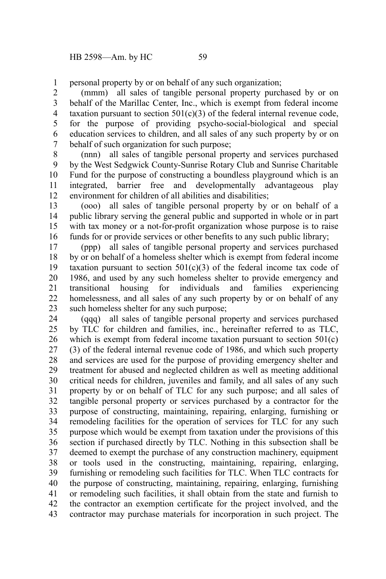personal property by or on behalf of any such organization; 1

(mmm) all sales of tangible personal property purchased by or on behalf of the Marillac Center, Inc., which is exempt from federal income taxation pursuant to section  $501(c)(3)$  of the federal internal revenue code, for the purpose of providing psycho-social-biological and special education services to children, and all sales of any such property by or on behalf of such organization for such purpose; 2 3 4 5 6 7

(nnn) all sales of tangible personal property and services purchased by the West Sedgwick County-Sunrise Rotary Club and Sunrise Charitable Fund for the purpose of constructing a boundless playground which is an integrated, barrier free and developmentally advantageous play environment for children of all abilities and disabilities; 8 9 10 11 12

(ooo) all sales of tangible personal property by or on behalf of a public library serving the general public and supported in whole or in part with tax money or a not-for-profit organization whose purpose is to raise funds for or provide services or other benefits to any such public library; 13 14 15 16

(ppp) all sales of tangible personal property and services purchased by or on behalf of a homeless shelter which is exempt from federal income taxation pursuant to section  $501(c)(3)$  of the federal income tax code of 1986, and used by any such homeless shelter to provide emergency and transitional housing for individuals and families experiencing homelessness, and all sales of any such property by or on behalf of any such homeless shelter for any such purpose; 17 18 19 20 21 22 23

(qqq) all sales of tangible personal property and services purchased by TLC for children and families, inc., hereinafter referred to as TLC, which is exempt from federal income taxation pursuant to section 501(c) (3) of the federal internal revenue code of 1986, and which such property and services are used for the purpose of providing emergency shelter and treatment for abused and neglected children as well as meeting additional critical needs for children, juveniles and family, and all sales of any such property by or on behalf of TLC for any such purpose; and all sales of tangible personal property or services purchased by a contractor for the purpose of constructing, maintaining, repairing, enlarging, furnishing or remodeling facilities for the operation of services for TLC for any such purpose which would be exempt from taxation under the provisions of this section if purchased directly by TLC. Nothing in this subsection shall be deemed to exempt the purchase of any construction machinery, equipment or tools used in the constructing, maintaining, repairing, enlarging, furnishing or remodeling such facilities for TLC. When TLC contracts for the purpose of constructing, maintaining, repairing, enlarging, furnishing or remodeling such facilities, it shall obtain from the state and furnish to the contractor an exemption certificate for the project involved, and the contractor may purchase materials for incorporation in such project. The 24 25 26 27 28 29 30 31 32 33 34 35 36 37 38 39 40 41 42 43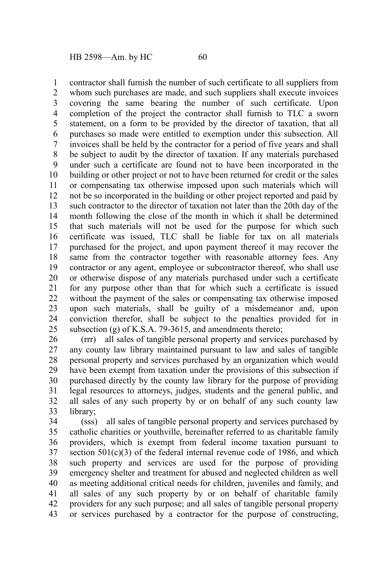contractor shall furnish the number of such certificate to all suppliers from whom such purchases are made, and such suppliers shall execute invoices covering the same bearing the number of such certificate. Upon completion of the project the contractor shall furnish to TLC a sworn statement, on a form to be provided by the director of taxation, that all purchases so made were entitled to exemption under this subsection. All invoices shall be held by the contractor for a period of five years and shall be subject to audit by the director of taxation. If any materials purchased under such a certificate are found not to have been incorporated in the building or other project or not to have been returned for credit or the sales or compensating tax otherwise imposed upon such materials which will not be so incorporated in the building or other project reported and paid by such contractor to the director of taxation not later than the 20th day of the month following the close of the month in which it shall be determined that such materials will not be used for the purpose for which such certificate was issued, TLC shall be liable for tax on all materials purchased for the project, and upon payment thereof it may recover the same from the contractor together with reasonable attorney fees. Any contractor or any agent, employee or subcontractor thereof, who shall use or otherwise dispose of any materials purchased under such a certificate for any purpose other than that for which such a certificate is issued without the payment of the sales or compensating tax otherwise imposed upon such materials, shall be guilty of a misdemeanor and, upon conviction therefor, shall be subject to the penalties provided for in subsection (g) of K.S.A. 79-3615, and amendments thereto; 1 2 3 4 5 6 7 8 9 10 11 12 13 14 15 16 17 18 19 20 21 22 23 24 25

(rrr) all sales of tangible personal property and services purchased by any county law library maintained pursuant to law and sales of tangible personal property and services purchased by an organization which would have been exempt from taxation under the provisions of this subsection if purchased directly by the county law library for the purpose of providing legal resources to attorneys, judges, students and the general public, and all sales of any such property by or on behalf of any such county law library; 26 27 28 29 30 31 32 33

(sss) all sales of tangible personal property and services purchased by catholic charities or youthville, hereinafter referred to as charitable family providers, which is exempt from federal income taxation pursuant to section 501(c)(3) of the federal internal revenue code of 1986, and which such property and services are used for the purpose of providing emergency shelter and treatment for abused and neglected children as well as meeting additional critical needs for children, juveniles and family, and all sales of any such property by or on behalf of charitable family providers for any such purpose; and all sales of tangible personal property or services purchased by a contractor for the purpose of constructing, 34 35 36 37 38 39 40 41 42 43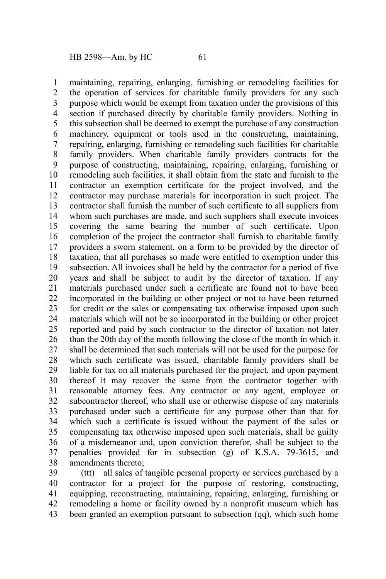maintaining, repairing, enlarging, furnishing or remodeling facilities for the operation of services for charitable family providers for any such purpose which would be exempt from taxation under the provisions of this section if purchased directly by charitable family providers. Nothing in this subsection shall be deemed to exempt the purchase of any construction machinery, equipment or tools used in the constructing, maintaining, repairing, enlarging, furnishing or remodeling such facilities for charitable family providers. When charitable family providers contracts for the purpose of constructing, maintaining, repairing, enlarging, furnishing or remodeling such facilities, it shall obtain from the state and furnish to the contractor an exemption certificate for the project involved, and the contractor may purchase materials for incorporation in such project. The contractor shall furnish the number of such certificate to all suppliers from whom such purchases are made, and such suppliers shall execute invoices covering the same bearing the number of such certificate. Upon completion of the project the contractor shall furnish to charitable family providers a sworn statement, on a form to be provided by the director of taxation, that all purchases so made were entitled to exemption under this subsection. All invoices shall be held by the contractor for a period of five years and shall be subject to audit by the director of taxation. If any materials purchased under such a certificate are found not to have been incorporated in the building or other project or not to have been returned for credit or the sales or compensating tax otherwise imposed upon such materials which will not be so incorporated in the building or other project reported and paid by such contractor to the director of taxation not later than the 20th day of the month following the close of the month in which it shall be determined that such materials will not be used for the purpose for which such certificate was issued, charitable family providers shall be liable for tax on all materials purchased for the project, and upon payment thereof it may recover the same from the contractor together with reasonable attorney fees. Any contractor or any agent, employee or subcontractor thereof, who shall use or otherwise dispose of any materials purchased under such a certificate for any purpose other than that for which such a certificate is issued without the payment of the sales or compensating tax otherwise imposed upon such materials, shall be guilty of a misdemeanor and, upon conviction therefor, shall be subject to the penalties provided for in subsection (g) of K.S.A. 79-3615, and amendments thereto; 1 2 3 4 5 6 7 8 9 10 11 12 13 14 15 16 17 18 19 20 21 22 23 24 25 26 27 28 29 30 31 32 33 34 35 36 37 38

(ttt) all sales of tangible personal property or services purchased by a contractor for a project for the purpose of restoring, constructing, equipping, reconstructing, maintaining, repairing, enlarging, furnishing or remodeling a home or facility owned by a nonprofit museum which has been granted an exemption pursuant to subsection (qq), which such home 39 40 41 42 43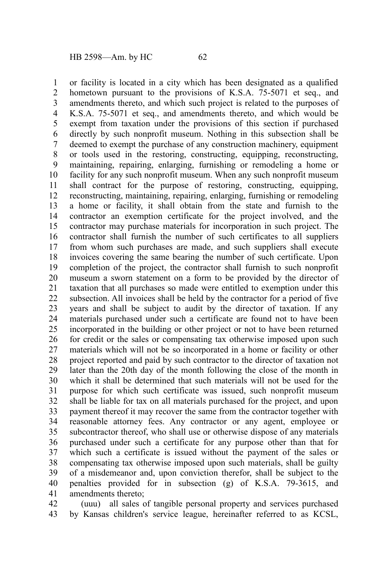or facility is located in a city which has been designated as a qualified hometown pursuant to the provisions of K.S.A. 75-5071 et seq., and amendments thereto, and which such project is related to the purposes of K.S.A. 75-5071 et seq., and amendments thereto, and which would be exempt from taxation under the provisions of this section if purchased directly by such nonprofit museum. Nothing in this subsection shall be deemed to exempt the purchase of any construction machinery, equipment or tools used in the restoring, constructing, equipping, reconstructing, maintaining, repairing, enlarging, furnishing or remodeling a home or facility for any such nonprofit museum. When any such nonprofit museum shall contract for the purpose of restoring, constructing, equipping, reconstructing, maintaining, repairing, enlarging, furnishing or remodeling a home or facility, it shall obtain from the state and furnish to the contractor an exemption certificate for the project involved, and the contractor may purchase materials for incorporation in such project. The contractor shall furnish the number of such certificates to all suppliers from whom such purchases are made, and such suppliers shall execute invoices covering the same bearing the number of such certificate. Upon completion of the project, the contractor shall furnish to such nonprofit museum a sworn statement on a form to be provided by the director of taxation that all purchases so made were entitled to exemption under this subsection. All invoices shall be held by the contractor for a period of five years and shall be subject to audit by the director of taxation. If any materials purchased under such a certificate are found not to have been incorporated in the building or other project or not to have been returned for credit or the sales or compensating tax otherwise imposed upon such materials which will not be so incorporated in a home or facility or other project reported and paid by such contractor to the director of taxation not later than the 20th day of the month following the close of the month in which it shall be determined that such materials will not be used for the purpose for which such certificate was issued, such nonprofit museum shall be liable for tax on all materials purchased for the project, and upon payment thereof it may recover the same from the contractor together with reasonable attorney fees. Any contractor or any agent, employee or subcontractor thereof, who shall use or otherwise dispose of any materials purchased under such a certificate for any purpose other than that for which such a certificate is issued without the payment of the sales or compensating tax otherwise imposed upon such materials, shall be guilty of a misdemeanor and, upon conviction therefor, shall be subject to the penalties provided for in subsection (g) of K.S.A. 79-3615, and amendments thereto; 1 2 3 4 5 6 7 8 9 10 11 12 13 14 15 16 17 18 19 20 21 22 23 24 25 26 27 28 29 30 31 32 33 34 35 36 37 38 39 40 41

(uuu) all sales of tangible personal property and services purchased by Kansas children's service league, hereinafter referred to as KCSL, 42 43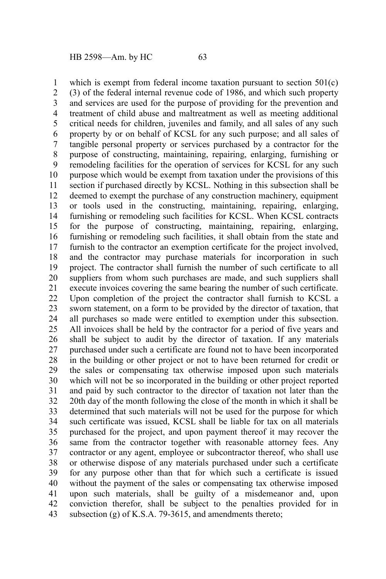which is exempt from federal income taxation pursuant to section  $501(c)$ (3) of the federal internal revenue code of 1986, and which such property and services are used for the purpose of providing for the prevention and treatment of child abuse and maltreatment as well as meeting additional critical needs for children, juveniles and family, and all sales of any such property by or on behalf of KCSL for any such purpose; and all sales of tangible personal property or services purchased by a contractor for the purpose of constructing, maintaining, repairing, enlarging, furnishing or remodeling facilities for the operation of services for KCSL for any such purpose which would be exempt from taxation under the provisions of this section if purchased directly by KCSL. Nothing in this subsection shall be deemed to exempt the purchase of any construction machinery, equipment or tools used in the constructing, maintaining, repairing, enlarging, furnishing or remodeling such facilities for KCSL. When KCSL contracts for the purpose of constructing, maintaining, repairing, enlarging, furnishing or remodeling such facilities, it shall obtain from the state and furnish to the contractor an exemption certificate for the project involved, and the contractor may purchase materials for incorporation in such project. The contractor shall furnish the number of such certificate to all suppliers from whom such purchases are made, and such suppliers shall execute invoices covering the same bearing the number of such certificate. Upon completion of the project the contractor shall furnish to KCSL a sworn statement, on a form to be provided by the director of taxation, that all purchases so made were entitled to exemption under this subsection. All invoices shall be held by the contractor for a period of five years and shall be subject to audit by the director of taxation. If any materials purchased under such a certificate are found not to have been incorporated in the building or other project or not to have been returned for credit or the sales or compensating tax otherwise imposed upon such materials which will not be so incorporated in the building or other project reported and paid by such contractor to the director of taxation not later than the 20th day of the month following the close of the month in which it shall be determined that such materials will not be used for the purpose for which such certificate was issued, KCSL shall be liable for tax on all materials purchased for the project, and upon payment thereof it may recover the same from the contractor together with reasonable attorney fees. Any contractor or any agent, employee or subcontractor thereof, who shall use or otherwise dispose of any materials purchased under such a certificate for any purpose other than that for which such a certificate is issued without the payment of the sales or compensating tax otherwise imposed upon such materials, shall be guilty of a misdemeanor and, upon conviction therefor, shall be subject to the penalties provided for in subsection (g) of K.S.A. 79-3615, and amendments thereto; 1 2 3 4 5 6 7 8 9 10 11 12 13 14 15 16 17 18 19 20 21 22 23 24 25 26 27 28 29 30 31 32 33 34 35 36 37 38 39 40 41 42 43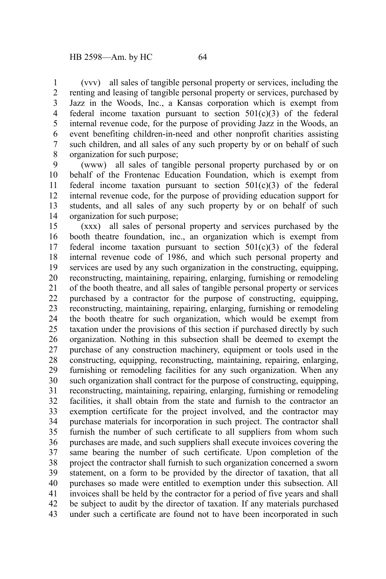(vvv) all sales of tangible personal property or services, including the renting and leasing of tangible personal property or services, purchased by Jazz in the Woods, Inc., a Kansas corporation which is exempt from federal income taxation pursuant to section  $501(c)(3)$  of the federal internal revenue code, for the purpose of providing Jazz in the Woods, an event benefiting children-in-need and other nonprofit charities assisting such children, and all sales of any such property by or on behalf of such organization for such purpose; 1 2 3 4 5 6 7 8

(www) all sales of tangible personal property purchased by or on behalf of the Frontenac Education Foundation, which is exempt from federal income taxation pursuant to section  $501(c)(3)$  of the federal internal revenue code, for the purpose of providing education support for students, and all sales of any such property by or on behalf of such organization for such purpose; 9 10 11 12 13 14

(xxx) all sales of personal property and services purchased by the booth theatre foundation, inc., an organization which is exempt from federal income taxation pursuant to section  $501(c)(3)$  of the federal internal revenue code of 1986, and which such personal property and services are used by any such organization in the constructing, equipping, reconstructing, maintaining, repairing, enlarging, furnishing or remodeling of the booth theatre, and all sales of tangible personal property or services purchased by a contractor for the purpose of constructing, equipping, reconstructing, maintaining, repairing, enlarging, furnishing or remodeling the booth theatre for such organization, which would be exempt from taxation under the provisions of this section if purchased directly by such organization. Nothing in this subsection shall be deemed to exempt the purchase of any construction machinery, equipment or tools used in the constructing, equipping, reconstructing, maintaining, repairing, enlarging, furnishing or remodeling facilities for any such organization. When any such organization shall contract for the purpose of constructing, equipping, reconstructing, maintaining, repairing, enlarging, furnishing or remodeling facilities, it shall obtain from the state and furnish to the contractor an exemption certificate for the project involved, and the contractor may purchase materials for incorporation in such project. The contractor shall furnish the number of such certificate to all suppliers from whom such purchases are made, and such suppliers shall execute invoices covering the same bearing the number of such certificate. Upon completion of the project the contractor shall furnish to such organization concerned a sworn statement, on a form to be provided by the director of taxation, that all purchases so made were entitled to exemption under this subsection. All invoices shall be held by the contractor for a period of five years and shall be subject to audit by the director of taxation. If any materials purchased under such a certificate are found not to have been incorporated in such 15 16 17 18 19 20 21 22 23 24 25 26 27 28 29 30 31 32 33 34 35 36 37 38 39 40 41 42 43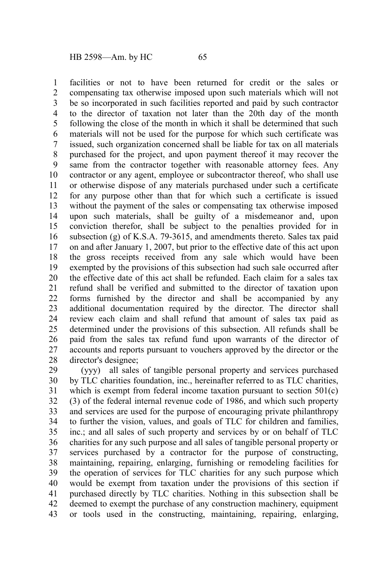facilities or not to have been returned for credit or the sales or compensating tax otherwise imposed upon such materials which will not be so incorporated in such facilities reported and paid by such contractor to the director of taxation not later than the 20th day of the month following the close of the month in which it shall be determined that such materials will not be used for the purpose for which such certificate was issued, such organization concerned shall be liable for tax on all materials purchased for the project, and upon payment thereof it may recover the same from the contractor together with reasonable attorney fees. Any contractor or any agent, employee or subcontractor thereof, who shall use or otherwise dispose of any materials purchased under such a certificate for any purpose other than that for which such a certificate is issued without the payment of the sales or compensating tax otherwise imposed upon such materials, shall be guilty of a misdemeanor and, upon conviction therefor, shall be subject to the penalties provided for in subsection (g) of K.S.A. 79-3615, and amendments thereto. Sales tax paid on and after January 1, 2007, but prior to the effective date of this act upon the gross receipts received from any sale which would have been exempted by the provisions of this subsection had such sale occurred after the effective date of this act shall be refunded. Each claim for a sales tax refund shall be verified and submitted to the director of taxation upon forms furnished by the director and shall be accompanied by any additional documentation required by the director. The director shall review each claim and shall refund that amount of sales tax paid as determined under the provisions of this subsection. All refunds shall be paid from the sales tax refund fund upon warrants of the director of accounts and reports pursuant to vouchers approved by the director or the director's designee; 1 2 3 4 5 6 7 8 9 10 11 12 13 14 15 16 17 18 19 20 21 22 23 24 25 26 27 28

(yyy) all sales of tangible personal property and services purchased by TLC charities foundation, inc., hereinafter referred to as TLC charities, which is exempt from federal income taxation pursuant to section  $501(c)$ (3) of the federal internal revenue code of 1986, and which such property and services are used for the purpose of encouraging private philanthropy to further the vision, values, and goals of TLC for children and families, inc.; and all sales of such property and services by or on behalf of TLC charities for any such purpose and all sales of tangible personal property or services purchased by a contractor for the purpose of constructing, maintaining, repairing, enlarging, furnishing or remodeling facilities for the operation of services for TLC charities for any such purpose which would be exempt from taxation under the provisions of this section if purchased directly by TLC charities. Nothing in this subsection shall be deemed to exempt the purchase of any construction machinery, equipment or tools used in the constructing, maintaining, repairing, enlarging, 29 30 31 32 33 34 35 36 37 38 39 40 41 42 43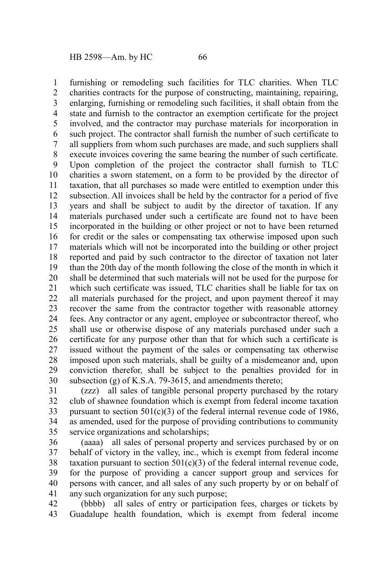furnishing or remodeling such facilities for TLC charities. When TLC charities contracts for the purpose of constructing, maintaining, repairing, enlarging, furnishing or remodeling such facilities, it shall obtain from the state and furnish to the contractor an exemption certificate for the project involved, and the contractor may purchase materials for incorporation in such project. The contractor shall furnish the number of such certificate to all suppliers from whom such purchases are made, and such suppliers shall execute invoices covering the same bearing the number of such certificate. Upon completion of the project the contractor shall furnish to TLC charities a sworn statement, on a form to be provided by the director of taxation, that all purchases so made were entitled to exemption under this subsection. All invoices shall be held by the contractor for a period of five years and shall be subject to audit by the director of taxation. If any materials purchased under such a certificate are found not to have been incorporated in the building or other project or not to have been returned for credit or the sales or compensating tax otherwise imposed upon such materials which will not be incorporated into the building or other project reported and paid by such contractor to the director of taxation not later than the 20th day of the month following the close of the month in which it shall be determined that such materials will not be used for the purpose for which such certificate was issued, TLC charities shall be liable for tax on all materials purchased for the project, and upon payment thereof it may recover the same from the contractor together with reasonable attorney fees. Any contractor or any agent, employee or subcontractor thereof, who shall use or otherwise dispose of any materials purchased under such a certificate for any purpose other than that for which such a certificate is issued without the payment of the sales or compensating tax otherwise imposed upon such materials, shall be guilty of a misdemeanor and, upon conviction therefor, shall be subject to the penalties provided for in subsection (g) of K.S.A. 79-3615, and amendments thereto; 1 2 3 4 5 6 7 8 9 10 11 12 13 14 15 16 17 18 19 20 21 22 23 24 25 26 27 28 29 30

(zzz) all sales of tangible personal property purchased by the rotary club of shawnee foundation which is exempt from federal income taxation pursuant to section  $501(c)(3)$  of the federal internal revenue code of 1986, as amended, used for the purpose of providing contributions to community service organizations and scholarships; 31 32 33 34 35

(aaaa) all sales of personal property and services purchased by or on behalf of victory in the valley, inc., which is exempt from federal income taxation pursuant to section  $501(c)(3)$  of the federal internal revenue code, for the purpose of providing a cancer support group and services for persons with cancer, and all sales of any such property by or on behalf of any such organization for any such purpose; 36 37 38 39 40 41

(bbbb) all sales of entry or participation fees, charges or tickets by Guadalupe health foundation, which is exempt from federal income 42 43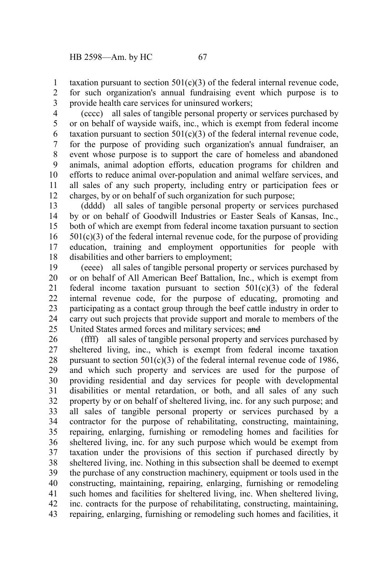taxation pursuant to section  $501(c)(3)$  of the federal internal revenue code, for such organization's annual fundraising event which purpose is to provide health care services for uninsured workers; 1 2 3

(cccc) all sales of tangible personal property or services purchased by or on behalf of wayside waifs, inc., which is exempt from federal income taxation pursuant to section  $501(c)(3)$  of the federal internal revenue code, for the purpose of providing such organization's annual fundraiser, an event whose purpose is to support the care of homeless and abandoned animals, animal adoption efforts, education programs for children and efforts to reduce animal over-population and animal welfare services, and all sales of any such property, including entry or participation fees or charges, by or on behalf of such organization for such purpose; 4 5 6 7 8 9 10 11 12

(dddd) all sales of tangible personal property or services purchased by or on behalf of Goodwill Industries or Easter Seals of Kansas, Inc., both of which are exempt from federal income taxation pursuant to section  $501(c)(3)$  of the federal internal revenue code, for the purpose of providing education, training and employment opportunities for people with disabilities and other barriers to employment; 13 14 15 16 17 18

(eeee) all sales of tangible personal property or services purchased by or on behalf of All American Beef Battalion, Inc., which is exempt from federal income taxation pursuant to section  $501(c)(3)$  of the federal internal revenue code, for the purpose of educating, promoting and participating as a contact group through the beef cattle industry in order to carry out such projects that provide support and morale to members of the United States armed forces and military services; and 19 20 21 22 23 24 25

(ffff) all sales of tangible personal property and services purchased by sheltered living, inc., which is exempt from federal income taxation pursuant to section  $501(c)(3)$  of the federal internal revenue code of 1986, and which such property and services are used for the purpose of providing residential and day services for people with developmental disabilities or mental retardation, or both, and all sales of any such property by or on behalf of sheltered living, inc. for any such purpose; and all sales of tangible personal property or services purchased by a contractor for the purpose of rehabilitating, constructing, maintaining, repairing, enlarging, furnishing or remodeling homes and facilities for sheltered living, inc. for any such purpose which would be exempt from taxation under the provisions of this section if purchased directly by sheltered living, inc. Nothing in this subsection shall be deemed to exempt the purchase of any construction machinery, equipment or tools used in the constructing, maintaining, repairing, enlarging, furnishing or remodeling such homes and facilities for sheltered living, inc. When sheltered living, inc. contracts for the purpose of rehabilitating, constructing, maintaining, repairing, enlarging, furnishing or remodeling such homes and facilities, it 26 27 28 29 30 31 32 33 34 35 36 37 38 39 40 41 42 43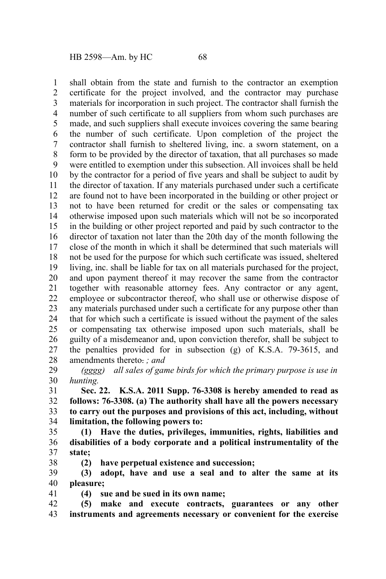shall obtain from the state and furnish to the contractor an exemption certificate for the project involved, and the contractor may purchase materials for incorporation in such project. The contractor shall furnish the number of such certificate to all suppliers from whom such purchases are made, and such suppliers shall execute invoices covering the same bearing the number of such certificate. Upon completion of the project the contractor shall furnish to sheltered living, inc. a sworn statement, on a form to be provided by the director of taxation, that all purchases so made were entitled to exemption under this subsection. All invoices shall be held by the contractor for a period of five years and shall be subject to audit by the director of taxation. If any materials purchased under such a certificate are found not to have been incorporated in the building or other project or not to have been returned for credit or the sales or compensating tax otherwise imposed upon such materials which will not be so incorporated in the building or other project reported and paid by such contractor to the director of taxation not later than the 20th day of the month following the close of the month in which it shall be determined that such materials will not be used for the purpose for which such certificate was issued, sheltered living, inc. shall be liable for tax on all materials purchased for the project, and upon payment thereof it may recover the same from the contractor together with reasonable attorney fees. Any contractor or any agent, employee or subcontractor thereof, who shall use or otherwise dispose of any materials purchased under such a certificate for any purpose other than that for which such a certificate is issued without the payment of the sales or compensating tax otherwise imposed upon such materials, shall be guilty of a misdemeanor and, upon conviction therefor, shall be subject to the penalties provided for in subsection (g) of K.S.A. 79-3615, and amendments thereto. *; and* 1 2 3 4 5 6 7 8 9 10 11 12 13 14 15 16 17 18 19 20 21 22 23 24 25 26 27 28

*(gggg) all sales of game birds for which the primary purpose is use in hunting.* 29 30

**Sec. 22. K.S.A. 2011 Supp. 76-3308 is hereby amended to read as follows: 76-3308. (a) The authority shall have all the powers necessary to carry out the purposes and provisions of this act, including, without limitation, the following powers to:** 31 32 33 34

**(1) Have the duties, privileges, immunities, rights, liabilities and disabilities of a body corporate and a political instrumentality of the state;** 35 36 37

**(2) have perpetual existence and succession;**

**(3) adopt, have and use a seal and to alter the same at its pleasure;** 39 40

**(4) sue and be sued in its own name;**

38

41

**(5) make and execute contracts, guarantees or any other instruments and agreements necessary or convenient for the exercise** 42 43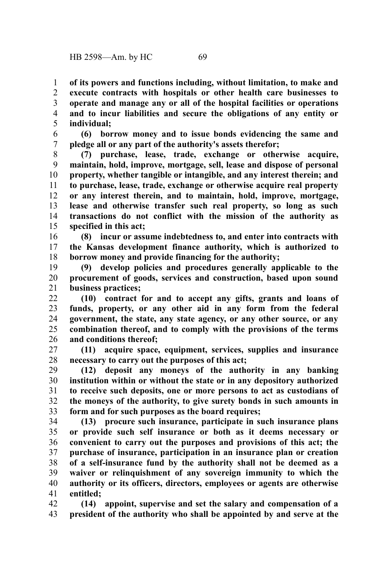**of its powers and functions including, without limitation, to make and execute contracts with hospitals or other health care businesses to operate and manage any or all of the hospital facilities or operations and to incur liabilities and secure the obligations of any entity or individual;** 1 2 3 4 5

**(6) borrow money and to issue bonds evidencing the same and pledge all or any part of the authority's assets therefor;** 6 7

**(7) purchase, lease, trade, exchange or otherwise acquire, maintain, hold, improve, mortgage, sell, lease and dispose of personal property, whether tangible or intangible, and any interest therein; and to purchase, lease, trade, exchange or otherwise acquire real property or any interest therein, and to maintain, hold, improve, mortgage, lease and otherwise transfer such real property, so long as such transactions do not conflict with the mission of the authority as specified in this act;** 8 9 10 11 12 13 14 15

**(8) incur or assume indebtedness to, and enter into contracts with the Kansas development finance authority, which is authorized to borrow money and provide financing for the authority;** 16 17 18

**(9) develop policies and procedures generally applicable to the procurement of goods, services and construction, based upon sound business practices;** 19 20 21

**(10) contract for and to accept any gifts, grants and loans of funds, property, or any other aid in any form from the federal government, the state, any state agency, or any other source, or any combination thereof, and to comply with the provisions of the terms and conditions thereof;** 22 23 24 25 26

**(11) acquire space, equipment, services, supplies and insurance necessary to carry out the purposes of this act;** 27 28

**(12) deposit any moneys of the authority in any banking institution within or without the state or in any depository authorized to receive such deposits, one or more persons to act as custodians of the moneys of the authority, to give surety bonds in such amounts in form and for such purposes as the board requires;** 29 30 31 32 33

**(13) procure such insurance, participate in such insurance plans or provide such self insurance or both as it deems necessary or convenient to carry out the purposes and provisions of this act; the purchase of insurance, participation in an insurance plan or creation of a self-insurance fund by the authority shall not be deemed as a waiver or relinquishment of any sovereign immunity to which the authority or its officers, directors, employees or agents are otherwise entitled;** 34 35 36 37 38 39 40 41

**(14) appoint, supervise and set the salary and compensation of a president of the authority who shall be appointed by and serve at the** 42 43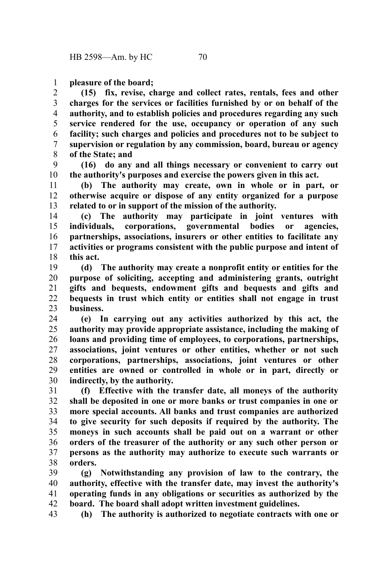**pleasure of the board;** 1

**(15) fix, revise, charge and collect rates, rentals, fees and other charges for the services or facilities furnished by or on behalf of the authority, and to establish policies and procedures regarding any such service rendered for the use, occupancy or operation of any such facility; such charges and policies and procedures not to be subject to supervision or regulation by any commission, board, bureau or agency of the State; and** 2 3 4 5 6 7 8

**(16) do any and all things necessary or convenient to carry out the authority's purposes and exercise the powers given in this act.** 9 10

**(b) The authority may create, own in whole or in part, or otherwise acquire or dispose of any entity organized for a purpose related to or in support of the mission of the authority.** 11 12 13

**(c) The authority may participate in joint ventures with individuals, corporations, governmental bodies or agencies, partnerships, associations, insurers or other entities to facilitate any activities or programs consistent with the public purpose and intent of this act.** 14 15 16 17 18

**(d) The authority may create a nonprofit entity or entities for the purpose of soliciting, accepting and administering grants, outright gifts and bequests, endowment gifts and bequests and gifts and bequests in trust which entity or entities shall not engage in trust business.** 19 20 21 22 23

**(e) In carrying out any activities authorized by this act, the authority may provide appropriate assistance, including the making of loans and providing time of employees, to corporations, partnerships, associations, joint ventures or other entities, whether or not such corporations, partnerships, associations, joint ventures or other entities are owned or controlled in whole or in part, directly or indirectly, by the authority.** 24 25 26 27 28 29 30

**(f) Effective with the transfer date, all moneys of the authority shall be deposited in one or more banks or trust companies in one or more special accounts. All banks and trust companies are authorized to give security for such deposits if required by the authority. The moneys in such accounts shall be paid out on a warrant or other orders of the treasurer of the authority or any such other person or persons as the authority may authorize to execute such warrants or orders.** 31 32 33 34 35 36 37 38

**(g) Notwithstanding any provision of law to the contrary, the authority, effective with the transfer date, may invest the authority's operating funds in any obligations or securities as authorized by the board. The board shall adopt written investment guidelines.** 39 40 41 42

**(h) The authority is authorized to negotiate contracts with one or** 43